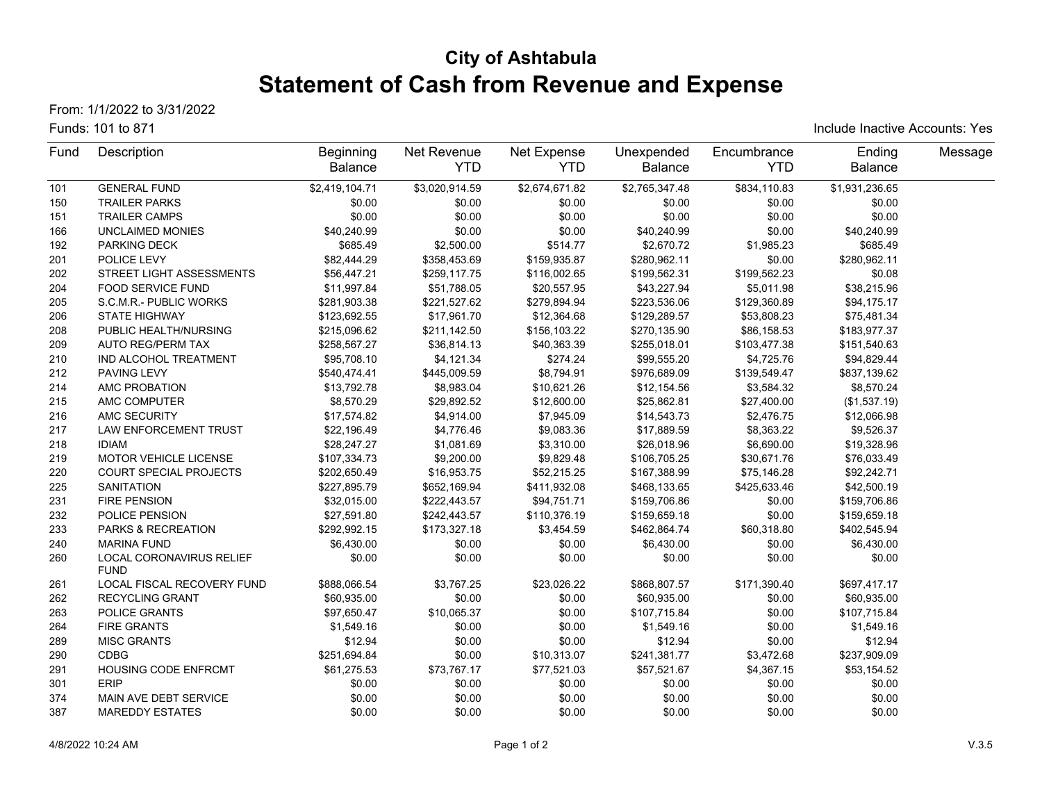# **City of Ashtabula Statement of Cash from Revenue and Expense**

From: 1/1/2022 to 3/31/2022

#### Funds: 101 to 871

Include Inactive Accounts: Yes

| Fund | Description                             | <b>Beginning</b> | Net Revenue    | Net Expense    | Unexpended     | Encumbrance  | Ending         | Message |
|------|-----------------------------------------|------------------|----------------|----------------|----------------|--------------|----------------|---------|
|      |                                         | <b>Balance</b>   | <b>YTD</b>     | <b>YTD</b>     | <b>Balance</b> | <b>YTD</b>   | Balance        |         |
| 101  | <b>GENERAL FUND</b>                     | \$2,419,104.71   | \$3,020,914.59 | \$2,674,671.82 | \$2,765,347.48 | \$834,110.83 | \$1,931,236.65 |         |
| 150  | <b>TRAILER PARKS</b>                    | \$0.00           | \$0.00         | \$0.00         | \$0.00         | \$0.00       | \$0.00         |         |
| 151  | <b>TRAILER CAMPS</b>                    | \$0.00           | \$0.00         | \$0.00         | \$0.00         | \$0.00       | \$0.00         |         |
| 166  | UNCLAIMED MONIES                        | \$40,240.99      | \$0.00         | \$0.00         | \$40,240.99    | \$0.00       | \$40,240.99    |         |
| 192  | <b>PARKING DECK</b>                     | \$685.49         | \$2,500.00     | \$514.77       | \$2,670.72     | \$1,985.23   | \$685.49       |         |
| 201  | POLICE LEVY                             | \$82,444.29      | \$358,453.69   | \$159,935.87   | \$280,962.11   | \$0.00       | \$280,962.11   |         |
| 202  | STREET LIGHT ASSESSMENTS                | \$56,447.21      | \$259,117.75   | \$116,002.65   | \$199,562.31   | \$199,562.23 | \$0.08         |         |
| 204  | <b>FOOD SERVICE FUND</b>                | \$11,997.84      | \$51,788.05    | \$20,557.95    | \$43,227.94    | \$5,011.98   | \$38,215.96    |         |
| 205  | S.C.M.R.- PUBLIC WORKS                  | \$281,903.38     | \$221,527.62   | \$279,894.94   | \$223,536.06   | \$129,360.89 | \$94,175.17    |         |
| 206  | <b>STATE HIGHWAY</b>                    | \$123,692.55     | \$17,961.70    | \$12,364.68    | \$129,289.57   | \$53,808.23  | \$75,481.34    |         |
| 208  | PUBLIC HEALTH/NURSING                   | \$215,096.62     | \$211,142.50   | \$156,103.22   | \$270,135.90   | \$86,158.53  | \$183,977.37   |         |
| 209  | <b>AUTO REG/PERM TAX</b>                | \$258,567.27     | \$36,814.13    | \$40,363.39    | \$255,018.01   | \$103,477.38 | \$151,540.63   |         |
| 210  | IND ALCOHOL TREATMENT                   | \$95,708.10      | \$4,121.34     | \$274.24       | \$99,555.20    | \$4,725.76   | \$94,829.44    |         |
| 212  | PAVING LEVY                             | \$540,474.41     | \$445,009.59   | \$8,794.91     | \$976,689.09   | \$139,549.47 | \$837,139.62   |         |
| 214  | AMC PROBATION                           | \$13,792.78      | \$8,983.04     | \$10,621.26    | \$12,154.56    | \$3,584.32   | \$8,570.24     |         |
| 215  | AMC COMPUTER                            | \$8,570.29       | \$29,892.52    | \$12,600.00    | \$25,862.81    | \$27,400.00  | (\$1,537.19)   |         |
| 216  | AMC SECURITY                            | \$17,574.82      | \$4,914.00     | \$7,945.09     | \$14,543.73    | \$2,476.75   | \$12,066.98    |         |
| 217  | <b>LAW ENFORCEMENT TRUST</b>            | \$22,196.49      | \$4,776.46     | \$9,083.36     | \$17,889.59    | \$8,363.22   | \$9,526.37     |         |
| 218  | <b>IDIAM</b>                            | \$28,247.27      | \$1,081.69     | \$3,310.00     | \$26,018.96    | \$6,690.00   | \$19,328.96    |         |
| 219  | MOTOR VEHICLE LICENSE                   | \$107,334.73     | \$9,200.00     | \$9,829.48     | \$106,705.25   | \$30,671.76  | \$76,033.49    |         |
| 220  | COURT SPECIAL PROJECTS                  | \$202,650.49     | \$16,953.75    | \$52,215.25    | \$167,388.99   | \$75,146.28  | \$92,242.71    |         |
| 225  | <b>SANITATION</b>                       | \$227,895.79     | \$652,169.94   | \$411,932.08   | \$468,133.65   | \$425,633.46 | \$42,500.19    |         |
| 231  | <b>FIRE PENSION</b>                     | \$32,015.00      | \$222,443.57   | \$94,751.71    | \$159,706.86   | \$0.00       | \$159,706.86   |         |
| 232  | POLICE PENSION                          | \$27,591.80      | \$242,443.57   | \$110,376.19   | \$159,659.18   | \$0.00       | \$159,659.18   |         |
| 233  | PARKS & RECREATION                      | \$292,992.15     | \$173,327.18   | \$3,454.59     | \$462,864.74   | \$60,318.80  | \$402,545.94   |         |
| 240  | <b>MARINA FUND</b>                      | \$6,430.00       | \$0.00         | \$0.00         | \$6,430.00     | \$0.00       | \$6,430.00     |         |
| 260  | LOCAL CORONAVIRUS RELIEF<br><b>FUND</b> | \$0.00           | \$0.00         | \$0.00         | \$0.00         | \$0.00       | \$0.00         |         |
| 261  | LOCAL FISCAL RECOVERY FUND              | \$888,066.54     | \$3,767.25     | \$23,026.22    | \$868,807.57   | \$171,390.40 | \$697,417.17   |         |
| 262  | <b>RECYCLING GRANT</b>                  | \$60,935.00      | \$0.00         | \$0.00         | \$60,935.00    | \$0.00       | \$60,935.00    |         |
| 263  | POLICE GRANTS                           | \$97,650.47      | \$10,065.37    | \$0.00         | \$107,715.84   | \$0.00       | \$107,715.84   |         |
| 264  | <b>FIRE GRANTS</b>                      | \$1,549.16       | \$0.00         | \$0.00         | \$1,549.16     | \$0.00       | \$1,549.16     |         |
| 289  | <b>MISC GRANTS</b>                      | \$12.94          | \$0.00         | \$0.00         | \$12.94        | \$0.00       | \$12.94        |         |
| 290  | <b>CDBG</b>                             | \$251,694.84     | \$0.00         | \$10,313.07    | \$241,381.77   | \$3,472.68   | \$237,909.09   |         |
| 291  | <b>HOUSING CODE ENFRCMT</b>             | \$61,275.53      | \$73,767.17    | \$77,521.03    | \$57,521.67    | \$4,367.15   | \$53,154.52    |         |
| 301  | <b>ERIP</b>                             | \$0.00           | \$0.00         | \$0.00         | \$0.00         | \$0.00       | \$0.00         |         |
| 374  | MAIN AVE DEBT SERVICE                   | \$0.00           | \$0.00         | \$0.00         | \$0.00         | \$0.00       | \$0.00         |         |
| 387  | <b>MAREDDY ESTATES</b>                  | \$0.00           | \$0.00         | \$0.00         | \$0.00         | \$0.00       | \$0.00         |         |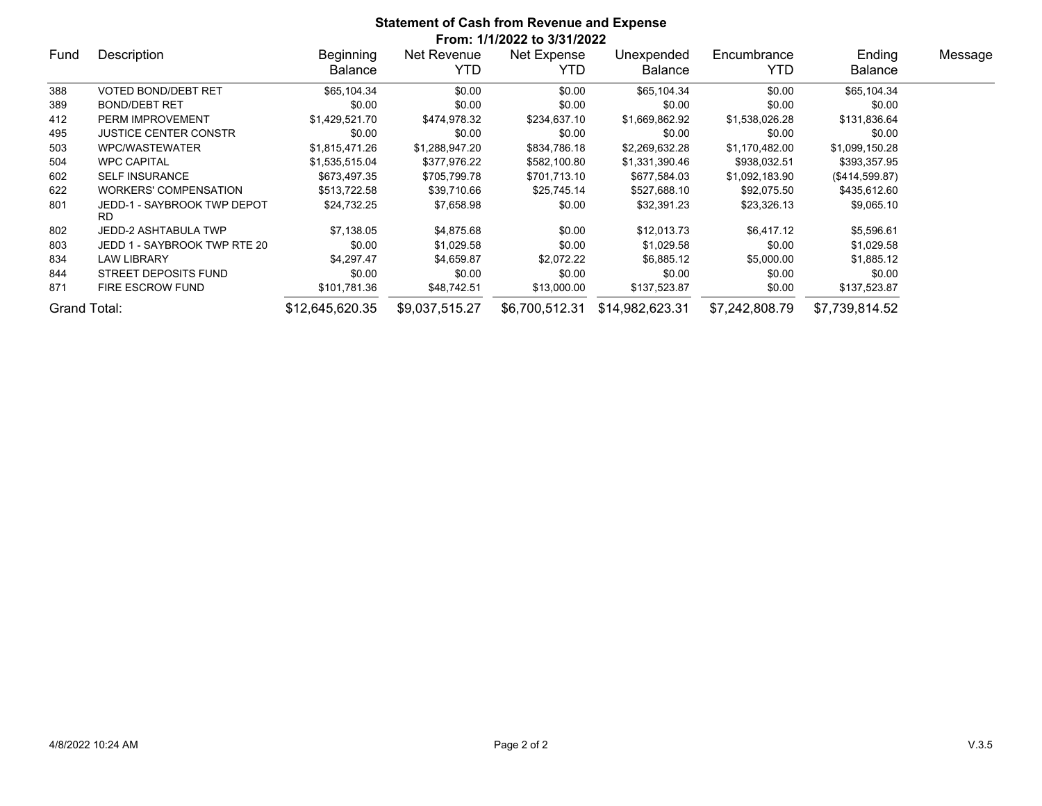| <b>Statement of Cash from Revenue and Expense</b> |                                          |                 |                |                             |                 |                |                |         |  |  |
|---------------------------------------------------|------------------------------------------|-----------------|----------------|-----------------------------|-----------------|----------------|----------------|---------|--|--|
|                                                   |                                          |                 |                | From: 1/1/2022 to 3/31/2022 |                 |                |                |         |  |  |
| Fund                                              | Description                              | Beginning       | Net Revenue    | Net Expense                 | Unexpended      | Encumbrance    | Ending         | Message |  |  |
|                                                   |                                          | <b>Balance</b>  | YTD.           | YTD.                        | <b>Balance</b>  | YTD            | Balance        |         |  |  |
| 388                                               | <b>VOTED BOND/DEBT RET</b>               | \$65,104.34     | \$0.00         | \$0.00                      | \$65,104.34     | \$0.00         | \$65,104.34    |         |  |  |
| 389                                               | <b>BOND/DEBT RET</b>                     | \$0.00          | \$0.00         | \$0.00                      | \$0.00          | \$0.00         | \$0.00         |         |  |  |
| 412                                               | PERM IMPROVEMENT                         | \$1,429,521.70  | \$474,978.32   | \$234,637.10                | \$1,669,862.92  | \$1,538,026.28 | \$131,836.64   |         |  |  |
| 495                                               | <b>JUSTICE CENTER CONSTR</b>             | \$0.00          | \$0.00         | \$0.00                      | \$0.00          | \$0.00         | \$0.00         |         |  |  |
| 503                                               | WPC/WASTEWATER                           | \$1,815,471.26  | \$1,288,947.20 | \$834,786.18                | \$2,269,632.28  | \$1,170,482.00 | \$1,099,150.28 |         |  |  |
| 504                                               | <b>WPC CAPITAL</b>                       | \$1,535,515.04  | \$377,976.22   | \$582,100.80                | \$1,331,390.46  | \$938,032.51   | \$393,357.95   |         |  |  |
| 602                                               | <b>SELF INSURANCE</b>                    | \$673,497.35    | \$705,799.78   | \$701,713.10                | \$677,584.03    | \$1,092,183.90 | (\$414,599.87) |         |  |  |
| 622                                               | <b>WORKERS' COMPENSATION</b>             | \$513,722.58    | \$39,710.66    | \$25,745.14                 | \$527,688.10    | \$92,075.50    | \$435,612.60   |         |  |  |
| 801                                               | JEDD-1 - SAYBROOK TWP DEPOT<br><b>RD</b> | \$24,732.25     | \$7,658.98     | \$0.00                      | \$32,391.23     | \$23,326.13    | \$9,065.10     |         |  |  |
| 802                                               | JEDD-2 ASHTABULA TWP                     | \$7,138.05      | \$4,875.68     | \$0.00                      | \$12,013.73     | \$6,417.12     | \$5,596.61     |         |  |  |
| 803                                               | JEDD 1 - SAYBROOK TWP RTE 20             | \$0.00          | \$1,029.58     | \$0.00                      | \$1,029.58      | \$0.00         | \$1,029.58     |         |  |  |
| 834                                               | <b>LAW LIBRARY</b>                       | \$4,297.47      | \$4,659.87     | \$2,072.22                  | \$6,885.12      | \$5,000.00     | \$1,885.12     |         |  |  |
| 844                                               | STREET DEPOSITS FUND                     | \$0.00          | \$0.00         | \$0.00                      | \$0.00          | \$0.00         | \$0.00         |         |  |  |
| 871                                               | FIRE ESCROW FUND                         | \$101,781.36    | \$48,742.51    | \$13,000.00                 | \$137,523.87    | \$0.00         | \$137,523.87   |         |  |  |
| Grand Total:                                      |                                          | \$12,645,620.35 | \$9,037,515.27 | \$6,700,512.31              | \$14,982,623.31 | \$7,242,808.79 | \$7,739,814.52 |         |  |  |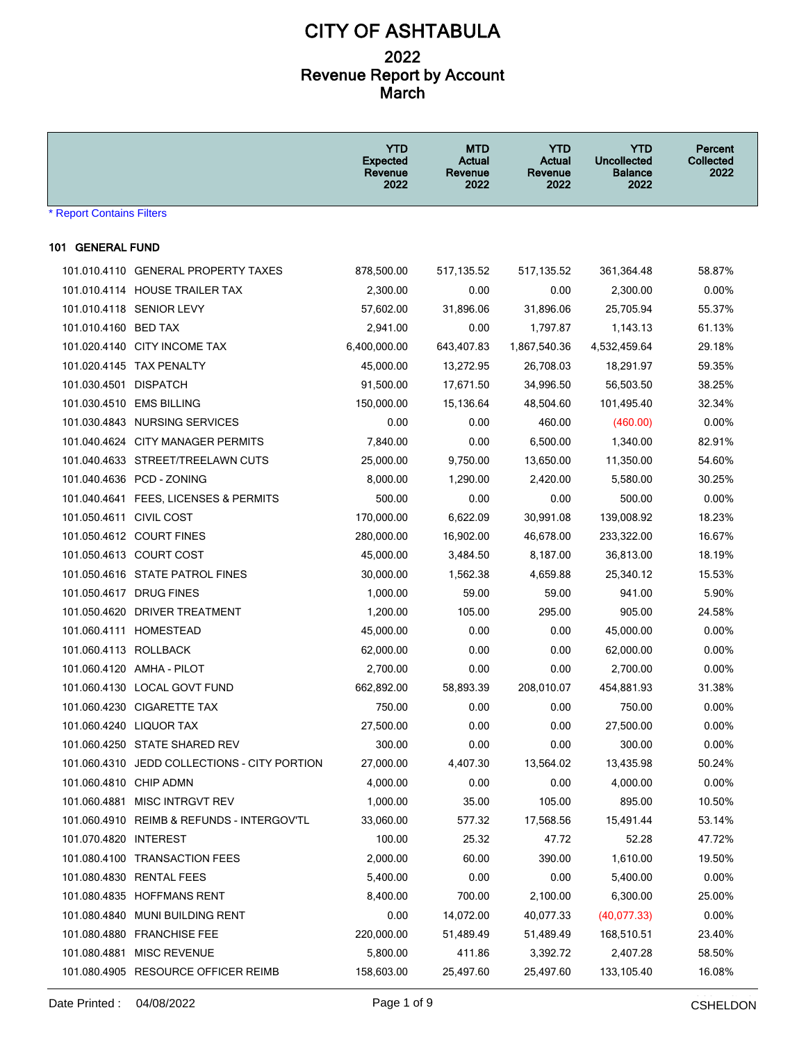|                                  |                                              | <b>YTD</b><br><b>Expected</b><br>Revenue<br>2022 | <b>MTD</b><br>Actual<br>Revenue<br>2022 | <b>YTD</b><br><b>Actual</b><br>Revenue<br>2022 | <b>YTD</b><br><b>Uncollected</b><br><b>Balance</b><br>2022 | Percent<br>Collected<br>2022 |
|----------------------------------|----------------------------------------------|--------------------------------------------------|-----------------------------------------|------------------------------------------------|------------------------------------------------------------|------------------------------|
| <b>* Report Contains Filters</b> |                                              |                                                  |                                         |                                                |                                                            |                              |
| 101 GENERAL FUND                 |                                              |                                                  |                                         |                                                |                                                            |                              |
|                                  | 101.010.4110 GENERAL PROPERTY TAXES          | 878,500.00                                       | 517,135.52                              | 517,135.52                                     | 361,364.48                                                 | 58.87%                       |
|                                  | 101.010.4114 HOUSE TRAILER TAX               | 2,300.00                                         | 0.00                                    | 0.00                                           | 2,300.00                                                   | 0.00%                        |
|                                  | 101.010.4118 SENIOR LEVY                     | 57,602.00                                        | 31,896.06                               | 31,896.06                                      | 25.705.94                                                  | 55.37%                       |
| 101.010.4160 BED TAX             |                                              | 2,941.00                                         | 0.00                                    | 1,797.87                                       | 1,143.13                                                   | 61.13%                       |
|                                  | 101.020.4140 CITY INCOME TAX                 | 6,400,000.00                                     | 643,407.83                              | 1,867,540.36                                   | 4,532,459.64                                               | 29.18%                       |
|                                  | 101.020.4145 TAX PENALTY                     | 45,000.00                                        | 13,272.95                               | 26,708.03                                      | 18,291.97                                                  | 59.35%                       |
| 101.030.4501 DISPATCH            |                                              | 91,500.00                                        | 17,671.50                               | 34,996.50                                      | 56,503.50                                                  | 38.25%                       |
|                                  | 101.030.4510 EMS BILLING                     | 150,000.00                                       | 15,136.64                               | 48,504.60                                      | 101,495.40                                                 | 32.34%                       |
|                                  | 101.030.4843 NURSING SERVICES                | 0.00                                             | 0.00                                    | 460.00                                         | (460.00)                                                   | 0.00%                        |
|                                  | 101.040.4624 CITY MANAGER PERMITS            | 7,840.00                                         | 0.00                                    | 6,500.00                                       | 1,340.00                                                   | 82.91%                       |
|                                  | 101.040.4633 STREET/TREELAWN CUTS            | 25,000.00                                        | 9,750.00                                | 13,650.00                                      | 11,350.00                                                  | 54.60%                       |
|                                  | 101.040.4636 PCD - ZONING                    | 8,000.00                                         | 1,290.00                                | 2,420.00                                       | 5,580.00                                                   | 30.25%                       |
|                                  | 101.040.4641 FEES, LICENSES & PERMITS        | 500.00                                           | 0.00                                    | 0.00                                           | 500.00                                                     | 0.00%                        |
| 101.050.4611 CIVIL COST          |                                              | 170,000.00                                       | 6,622.09                                | 30,991.08                                      | 139,008.92                                                 | 18.23%                       |
|                                  | 101.050.4612 COURT FINES                     | 280,000.00                                       | 16,902.00                               | 46,678.00                                      | 233,322.00                                                 | 16.67%                       |
|                                  | 101.050.4613 COURT COST                      | 45,000.00                                        | 3,484.50                                | 8,187.00                                       | 36,813.00                                                  | 18.19%                       |
|                                  | 101.050.4616 STATE PATROL FINES              | 30,000.00                                        | 1,562.38                                | 4,659.88                                       | 25,340.12                                                  | 15.53%                       |
|                                  | 101.050.4617 DRUG FINES                      | 1,000.00                                         | 59.00                                   | 59.00                                          | 941.00                                                     | 5.90%                        |
|                                  | 101.050.4620 DRIVER TREATMENT                | 1,200.00                                         | 105.00                                  | 295.00                                         | 905.00                                                     | 24.58%                       |
|                                  | 101.060.4111 HOMESTEAD                       | 45,000.00                                        | 0.00                                    | 0.00                                           | 45,000.00                                                  | $0.00\%$                     |
| 101.060.4113 ROLLBACK            |                                              | 62,000.00                                        | 0.00                                    | 0.00                                           | 62,000.00                                                  | 0.00%                        |
|                                  | 101.060.4120 AMHA - PILOT                    | 2,700.00                                         | 0.00                                    | 0.00                                           | 2,700.00                                                   | 0.00%                        |
|                                  | 101.060.4130 LOCAL GOVT FUND                 | 662,892.00                                       | 58,893.39                               | 208,010.07                                     | 454,881.93                                                 | 31.38%                       |
|                                  | 101.060.4230 CIGARETTE TAX                   | 750.00                                           | 0.00                                    | 0.00                                           | 750.00                                                     | $0.00\%$                     |
|                                  | 101.060.4240 LIQUOR TAX                      | 27,500.00                                        | 0.00                                    | 0.00                                           | 27,500.00                                                  | 0.00%                        |
|                                  | 101.060.4250 STATE SHARED REV                | 300.00                                           | 0.00                                    | 0.00                                           | 300.00                                                     | 0.00%                        |
|                                  | 101.060.4310 JEDD COLLECTIONS - CITY PORTION | 27,000.00                                        | 4,407.30                                | 13,564.02                                      | 13,435.98                                                  | 50.24%                       |
| 101.060.4810 CHIP ADMN           |                                              | 4,000.00                                         | 0.00                                    | 0.00                                           | 4,000.00                                                   | $0.00\%$                     |
|                                  | 101.060.4881 MISC INTRGVT REV                | 1,000.00                                         | 35.00                                   | 105.00                                         | 895.00                                                     | 10.50%                       |
|                                  | 101.060.4910 REIMB & REFUNDS - INTERGOV'TL   | 33,060.00                                        | 577.32                                  | 17,568.56                                      | 15,491.44                                                  | 53.14%                       |
| 101.070.4820 INTEREST            |                                              | 100.00                                           | 25.32                                   | 47.72                                          | 52.28                                                      | 47.72%                       |
|                                  | 101.080.4100 TRANSACTION FEES                | 2,000.00                                         | 60.00                                   | 390.00                                         | 1,610.00                                                   | 19.50%                       |
|                                  | 101.080.4830 RENTAL FEES                     | 5,400.00                                         | 0.00                                    | 0.00                                           | 5,400.00                                                   | 0.00%                        |
|                                  | 101.080.4835 HOFFMANS RENT                   | 8,400.00                                         | 700.00                                  | 2,100.00                                       | 6,300.00                                                   | 25.00%                       |
|                                  | 101.080.4840 MUNI BUILDING RENT              | 0.00                                             | 14,072.00                               | 40,077.33                                      | (40,077.33)                                                | 0.00%                        |
|                                  | 101.080.4880 FRANCHISE FEE                   | 220,000.00                                       | 51,489.49                               | 51,489.49                                      | 168,510.51                                                 | 23.40%                       |
|                                  | 101.080.4881 MISC REVENUE                    | 5,800.00                                         | 411.86                                  | 3,392.72                                       | 2,407.28                                                   | 58.50%                       |
|                                  | 101.080.4905 RESOURCE OFFICER REIMB          | 158,603.00                                       | 25,497.60                               | 25,497.60                                      | 133,105.40                                                 | 16.08%                       |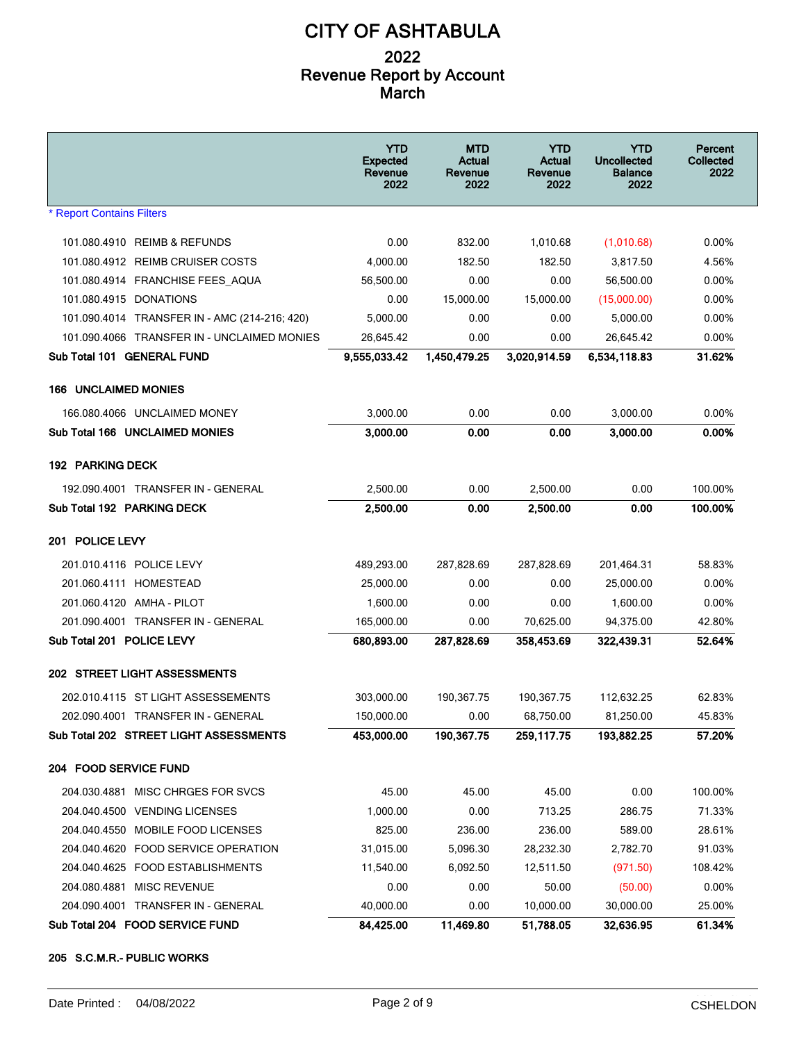|                                               | <b>YTD</b><br><b>Expected</b><br>Revenue<br>2022 | <b>MTD</b><br>Actual<br>Revenue<br>2022 | <b>YTD</b><br>Actual<br>Revenue<br>2022 | YTD<br><b>Uncollected</b><br><b>Balance</b><br>2022 | Percent<br><b>Collected</b><br>2022 |
|-----------------------------------------------|--------------------------------------------------|-----------------------------------------|-----------------------------------------|-----------------------------------------------------|-------------------------------------|
| <b>* Report Contains Filters</b>              |                                                  |                                         |                                         |                                                     |                                     |
| 101.080.4910 REIMB & REFUNDS                  | 0.00                                             | 832.00                                  | 1,010.68                                | (1,010.68)                                          | $0.00\%$                            |
| 101.080.4912 REIMB CRUISER COSTS              | 4,000.00                                         | 182.50                                  | 182.50                                  | 3,817.50                                            | 4.56%                               |
| 101.080.4914 FRANCHISE FEES AQUA              | 56,500.00                                        | 0.00                                    | 0.00                                    | 56,500.00                                           | $0.00\%$                            |
| 101.080.4915 DONATIONS                        | 0.00                                             | 15,000.00                               | 15,000.00                               | (15,000.00)                                         | $0.00\%$                            |
| 101.090.4014 TRANSFER IN - AMC (214-216; 420) | 5,000.00                                         | 0.00                                    | 0.00                                    | 5,000.00                                            | $0.00\%$                            |
| 101.090.4066 TRANSFER IN - UNCLAIMED MONIES   | 26,645.42                                        | 0.00                                    | 0.00                                    | 26,645.42                                           | $0.00\%$                            |
| Sub Total 101 GENERAL FUND                    | 9,555,033.42                                     | 1,450,479.25                            | 3,020,914.59                            | 6,534,118.83                                        | 31.62%                              |
| <b>166 UNCLAIMED MONIES</b>                   |                                                  |                                         |                                         |                                                     |                                     |
| 166.080.4066 UNCLAIMED MONEY                  | 3,000.00                                         | 0.00                                    | 0.00                                    | 3,000.00                                            | 0.00%                               |
| Sub Total 166 UNCLAIMED MONIES                | 3,000.00                                         | 0.00                                    | 0.00                                    | 3,000.00                                            | 0.00%                               |
| <b>192 PARKING DECK</b>                       |                                                  |                                         |                                         |                                                     |                                     |
| 192.090.4001 TRANSFER IN - GENERAL            | 2,500.00                                         | 0.00                                    | 2,500.00                                | 0.00                                                | 100.00%                             |
| Sub Total 192 PARKING DECK                    | 2,500.00                                         | 0.00                                    | 2,500.00                                | 0.00                                                | 100.00%                             |
| 201 POLICE LEVY                               |                                                  |                                         |                                         |                                                     |                                     |
| 201.010.4116 POLICE LEVY                      | 489,293.00                                       | 287,828.69                              | 287,828.69                              | 201,464.31                                          | 58.83%                              |
| 201.060.4111 HOMESTEAD                        | 25,000.00                                        | 0.00                                    | 0.00                                    | 25,000.00                                           | $0.00\%$                            |
| 201.060.4120 AMHA - PILOT                     | 1,600.00                                         | 0.00                                    | 0.00                                    | 1,600.00                                            | $0.00\%$                            |
| 201.090.4001 TRANSFER IN - GENERAL            | 165,000.00                                       | 0.00                                    | 70,625.00                               | 94,375.00                                           | 42.80%                              |
| Sub Total 201 POLICE LEVY                     | 680,893.00                                       | 287,828.69                              | 358,453.69                              | 322,439.31                                          | 52.64%                              |
| 202 STREET LIGHT ASSESSMENTS                  |                                                  |                                         |                                         |                                                     |                                     |
| 202.010.4115 ST LIGHT ASSESSEMENTS            | 303,000.00                                       | 190,367.75                              | 190,367.75                              | 112,632.25                                          | 62.83%                              |
| 202.090.4001 TRANSFER IN - GENERAL            | 150,000.00                                       | 0.00                                    | 68,750.00                               | 81.250.00                                           | 45.83%                              |
| Sub Total 202 STREET LIGHT ASSESSMENTS        | 453,000.00                                       | 190,367.75                              | 259,117.75                              | 193,882.25                                          | 57.20%                              |
| 204 FOOD SERVICE FUND                         |                                                  |                                         |                                         |                                                     |                                     |
| 204.030.4881 MISC CHRGES FOR SVCS             | 45.00                                            | 45.00                                   | 45.00                                   | 0.00                                                | 100.00%                             |
| 204.040.4500 VENDING LICENSES                 | 1,000.00                                         | 0.00                                    | 713.25                                  | 286.75                                              | 71.33%                              |
| 204.040.4550 MOBILE FOOD LICENSES             | 825.00                                           | 236.00                                  | 236.00                                  | 589.00                                              | 28.61%                              |
| 204.040.4620 FOOD SERVICE OPERATION           | 31,015.00                                        | 5,096.30                                | 28,232.30                               | 2,782.70                                            | 91.03%                              |
| 204.040.4625 FOOD ESTABLISHMENTS              | 11,540.00                                        | 6,092.50                                | 12,511.50                               | (971.50)                                            | 108.42%                             |
| 204.080.4881 MISC REVENUE                     | 0.00                                             | 0.00                                    | 50.00                                   | (50.00)                                             | 0.00%                               |
| 204.090.4001 TRANSFER IN - GENERAL            | 40,000.00                                        | 0.00                                    | 10,000.00                               | 30,000.00                                           | 25.00%                              |
| Sub Total 204 FOOD SERVICE FUND               | 84,425.00                                        | 11,469.80                               | 51,788.05                               | 32,636.95                                           | 61.34%                              |

#### **205 S.C.M.R.- PUBLIC WORKS**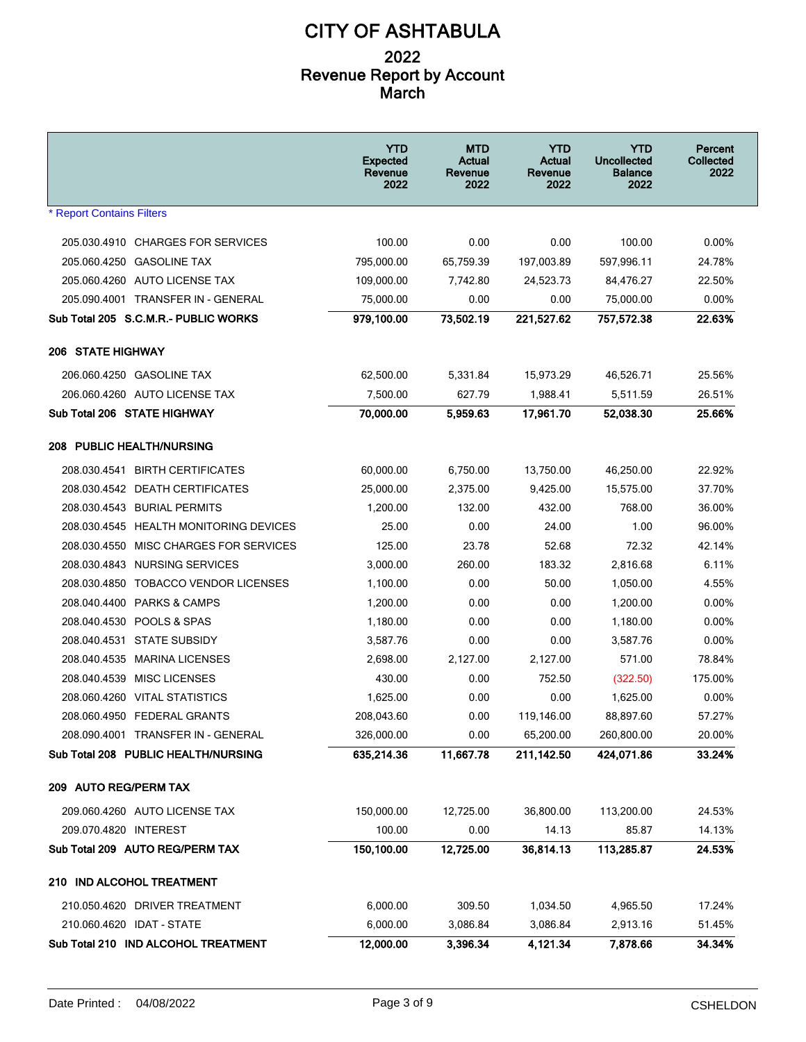|                                        | <b>YTD</b><br><b>Expected</b><br>Revenue<br>2022 | <b>MTD</b><br>Actual<br>Revenue<br>2022 | <b>YTD</b><br>Actual<br>Revenue<br>2022 | <b>YTD</b><br><b>Uncollected</b><br><b>Balance</b><br>2022 | Percent<br>Collected<br>2022 |
|----------------------------------------|--------------------------------------------------|-----------------------------------------|-----------------------------------------|------------------------------------------------------------|------------------------------|
| <b>* Report Contains Filters</b>       |                                                  |                                         |                                         |                                                            |                              |
| 205.030.4910 CHARGES FOR SERVICES      | 100.00                                           | 0.00                                    | 0.00                                    | 100.00                                                     | 0.00%                        |
| 205.060.4250 GASOLINE TAX              | 795,000.00                                       | 65,759.39                               | 197,003.89                              | 597,996.11                                                 | 24.78%                       |
| 205.060.4260 AUTO LICENSE TAX          | 109,000.00                                       | 7,742.80                                | 24,523.73                               | 84,476.27                                                  | 22.50%                       |
| 205.090.4001 TRANSFER IN - GENERAL     | 75,000.00                                        | 0.00                                    | 0.00                                    | 75,000.00                                                  | 0.00%                        |
| Sub Total 205 S.C.M.R.- PUBLIC WORKS   | 979,100.00                                       | 73,502.19                               | 221,527.62                              | 757,572.38                                                 | 22.63%                       |
| <b>206 STATE HIGHWAY</b>               |                                                  |                                         |                                         |                                                            |                              |
| 206.060.4250 GASOLINE TAX              | 62,500.00                                        | 5,331.84                                | 15,973.29                               | 46,526.71                                                  | 25.56%                       |
| 206.060.4260 AUTO LICENSE TAX          | 7,500.00                                         | 627.79                                  | 1,988.41                                | 5,511.59                                                   | 26.51%                       |
| Sub Total 206 STATE HIGHWAY            | 70,000.00                                        | 5,959.63                                | 17,961.70                               | 52,038.30                                                  | 25.66%                       |
| <b>208 PUBLIC HEALTH/NURSING</b>       |                                                  |                                         |                                         |                                                            |                              |
| 208.030.4541 BIRTH CERTIFICATES        | 60,000.00                                        | 6,750.00                                | 13,750.00                               | 46.250.00                                                  | 22.92%                       |
| 208.030.4542 DEATH CERTIFICATES        | 25,000.00                                        | 2,375.00                                | 9,425.00                                | 15,575.00                                                  | 37.70%                       |
| 208.030.4543 BURIAL PERMITS            | 1,200.00                                         | 132.00                                  | 432.00                                  | 768.00                                                     | 36.00%                       |
| 208.030.4545 HEALTH MONITORING DEVICES | 25.00                                            | 0.00                                    | 24.00                                   | 1.00                                                       | 96.00%                       |
| 208.030.4550 MISC CHARGES FOR SERVICES | 125.00                                           | 23.78                                   | 52.68                                   | 72.32                                                      | 42.14%                       |
| 208.030.4843 NURSING SERVICES          | 3,000.00                                         | 260.00                                  | 183.32                                  | 2,816.68                                                   | 6.11%                        |
| 208.030.4850 TOBACCO VENDOR LICENSES   | 1,100.00                                         | 0.00                                    | 50.00                                   | 1,050.00                                                   | 4.55%                        |
| 208.040.4400 PARKS & CAMPS             | 1,200.00                                         | 0.00                                    | 0.00                                    | 1,200.00                                                   | 0.00%                        |
| 208.040.4530 POOLS & SPAS              | 1,180.00                                         | 0.00                                    | 0.00                                    | 1,180.00                                                   | 0.00%                        |
| 208.040.4531 STATE SUBSIDY             | 3,587.76                                         | 0.00                                    | 0.00                                    | 3,587.76                                                   | 0.00%                        |
| 208.040.4535 MARINA LICENSES           | 2,698.00                                         | 2,127.00                                | 2,127.00                                | 571.00                                                     | 78.84%                       |
| 208.040.4539 MISC LICENSES             | 430.00                                           | 0.00                                    | 752.50                                  | (322.50)                                                   | 175.00%                      |
| 208.060.4260 VITAL STATISTICS          | 1.625.00                                         | 0.00                                    | 0.00                                    | 1,625.00                                                   | 0.00%                        |
| 208.060.4950 FEDERAL GRANTS            | 208,043.60                                       | 0.00                                    | 119,146.00                              | 88,897.60                                                  | 57.27%                       |
| 208.090.4001 TRANSFER IN - GENERAL     | 326,000.00                                       | 0.00                                    | 65,200.00                               | 260,800.00                                                 | 20.00%                       |
| Sub Total 208 PUBLIC HEALTH/NURSING    | 635,214.36                                       | 11,667.78                               | 211,142.50                              | 424,071.86                                                 | 33.24%                       |
| 209 AUTO REG/PERM TAX                  |                                                  |                                         |                                         |                                                            |                              |
| 209.060.4260 AUTO LICENSE TAX          | 150,000.00                                       | 12,725.00                               | 36,800.00                               | 113,200.00                                                 | 24.53%                       |
| 209.070.4820 INTEREST                  | 100.00                                           | 0.00                                    | 14.13                                   | 85.87                                                      | 14.13%                       |
| Sub Total 209 AUTO REG/PERM TAX        | 150,100.00                                       | 12,725.00                               | 36,814.13                               | 113,285.87                                                 | 24.53%                       |
| 210 IND ALCOHOL TREATMENT              |                                                  |                                         |                                         |                                                            |                              |
| 210.050.4620 DRIVER TREATMENT          | 6,000.00                                         | 309.50                                  | 1,034.50                                | 4,965.50                                                   | 17.24%                       |
| 210.060.4620 IDAT - STATE              | 6,000.00                                         | 3,086.84                                | 3,086.84                                | 2,913.16                                                   | 51.45%                       |
| Sub Total 210 IND ALCOHOL TREATMENT    | 12,000.00                                        | 3,396.34                                | 4,121.34                                | 7,878.66                                                   | 34.34%                       |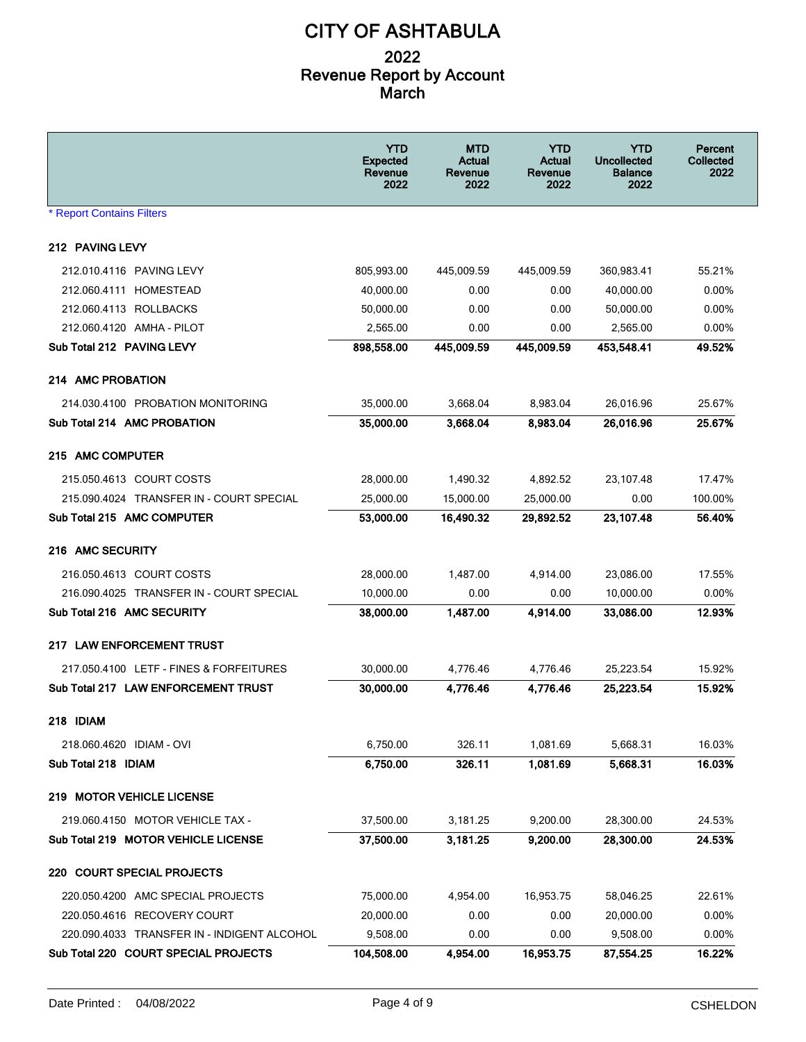|                                             | <b>YTD</b><br><b>Expected</b><br>Revenue<br>2022 | MTD<br>Actual<br>Revenue<br>2022 | YTD<br>Actual<br>Revenue<br>2022 | <b>YTD</b><br><b>Uncollected</b><br><b>Balance</b><br>2022 | Percent<br>Collected<br>2022 |
|---------------------------------------------|--------------------------------------------------|----------------------------------|----------------------------------|------------------------------------------------------------|------------------------------|
| <b>* Report Contains Filters</b>            |                                                  |                                  |                                  |                                                            |                              |
| 212 PAVING LEVY                             |                                                  |                                  |                                  |                                                            |                              |
| 212.010.4116 PAVING LEVY                    | 805,993.00                                       | 445,009.59                       | 445,009.59                       | 360,983.41                                                 | 55.21%                       |
| 212.060.4111 HOMESTEAD                      | 40,000.00                                        | 0.00                             | 0.00                             | 40.000.00                                                  | 0.00%                        |
| 212.060.4113 ROLLBACKS                      | 50.000.00                                        | 0.00                             | 0.00                             | 50,000.00                                                  | 0.00%                        |
| 212.060.4120 AMHA - PILOT                   | 2,565.00                                         | 0.00                             | 0.00                             | 2,565.00                                                   | 0.00%                        |
| Sub Total 212 PAVING LEVY                   | 898,558.00                                       | 445,009.59                       | 445,009.59                       | 453,548.41                                                 | 49.52%                       |
| 214 AMC PROBATION                           |                                                  |                                  |                                  |                                                            |                              |
| 214.030.4100 PROBATION MONITORING           | 35.000.00                                        | 3,668.04                         | 8,983.04                         | 26,016.96                                                  | 25.67%                       |
| Sub Total 214 AMC PROBATION                 | 35,000.00                                        | 3,668.04                         | 8,983.04                         | 26,016.96                                                  | 25.67%                       |
| 215 AMC COMPUTER                            |                                                  |                                  |                                  |                                                            |                              |
| 215.050.4613 COURT COSTS                    | 28,000.00                                        | 1,490.32                         | 4,892.52                         | 23,107.48                                                  | 17.47%                       |
| 215.090.4024 TRANSFER IN - COURT SPECIAL    | 25,000.00                                        | 15,000.00                        | 25,000.00                        | 0.00                                                       | 100.00%                      |
| Sub Total 215 AMC COMPUTER                  | 53,000.00                                        | 16,490.32                        | 29,892.52                        | 23,107.48                                                  | 56.40%                       |
| 216 AMC SECURITY                            |                                                  |                                  |                                  |                                                            |                              |
| 216.050.4613 COURT COSTS                    | 28,000.00                                        | 1,487.00                         | 4,914.00                         | 23,086.00                                                  | 17.55%                       |
| 216.090.4025 TRANSFER IN - COURT SPECIAL    | 10,000.00                                        | 0.00                             | 0.00                             | 10,000.00                                                  | 0.00%                        |
| Sub Total 216 AMC SECURITY                  | 38,000.00                                        | 1,487.00                         | 4,914.00                         | 33,086.00                                                  | 12.93%                       |
| 217 LAW ENFORCEMENT TRUST                   |                                                  |                                  |                                  |                                                            |                              |
| 217.050.4100 LETF - FINES & FORFEITURES     | 30,000.00                                        | 4,776.46                         | 4,776.46                         | 25,223.54                                                  | 15.92%                       |
| Sub Total 217 LAW ENFORCEMENT TRUST         | 30,000.00                                        | 4,776.46                         | 4,776.46                         | 25,223.54                                                  | 15.92%                       |
| 218 IDIAM                                   |                                                  |                                  |                                  |                                                            |                              |
| 218.060.4620 IDIAM - OVI                    | 6,750.00                                         | 326.11                           | 1,081.69                         | 5,668.31                                                   | 16.03%                       |
| Sub Total 218 IDIAM                         | 6,750.00                                         | 326.11                           | 1,081.69                         | 5,668.31                                                   | 16.03%                       |
| 219 MOTOR VEHICLE LICENSE                   |                                                  |                                  |                                  |                                                            |                              |
| 219.060.4150 MOTOR VEHICLE TAX -            | 37,500.00                                        | 3,181.25                         | 9,200.00                         | 28,300.00                                                  | 24.53%                       |
| Sub Total 219 MOTOR VEHICLE LICENSE         | 37,500.00                                        | 3,181.25                         | 9,200.00                         | 28,300.00                                                  | 24.53%                       |
| 220 COURT SPECIAL PROJECTS                  |                                                  |                                  |                                  |                                                            |                              |
| 220.050.4200 AMC SPECIAL PROJECTS           | 75,000.00                                        | 4,954.00                         | 16,953.75                        | 58,046.25                                                  | 22.61%                       |
| 220.050.4616 RECOVERY COURT                 | 20,000.00                                        | 0.00                             | 0.00                             | 20,000.00                                                  | $0.00\%$                     |
| 220.090.4033 TRANSFER IN - INDIGENT ALCOHOL | 9,508.00                                         | 0.00                             | 0.00                             | 9,508.00                                                   | 0.00%                        |
| Sub Total 220 COURT SPECIAL PROJECTS        | 104,508.00                                       | 4,954.00                         | 16,953.75                        | 87,554.25                                                  | 16.22%                       |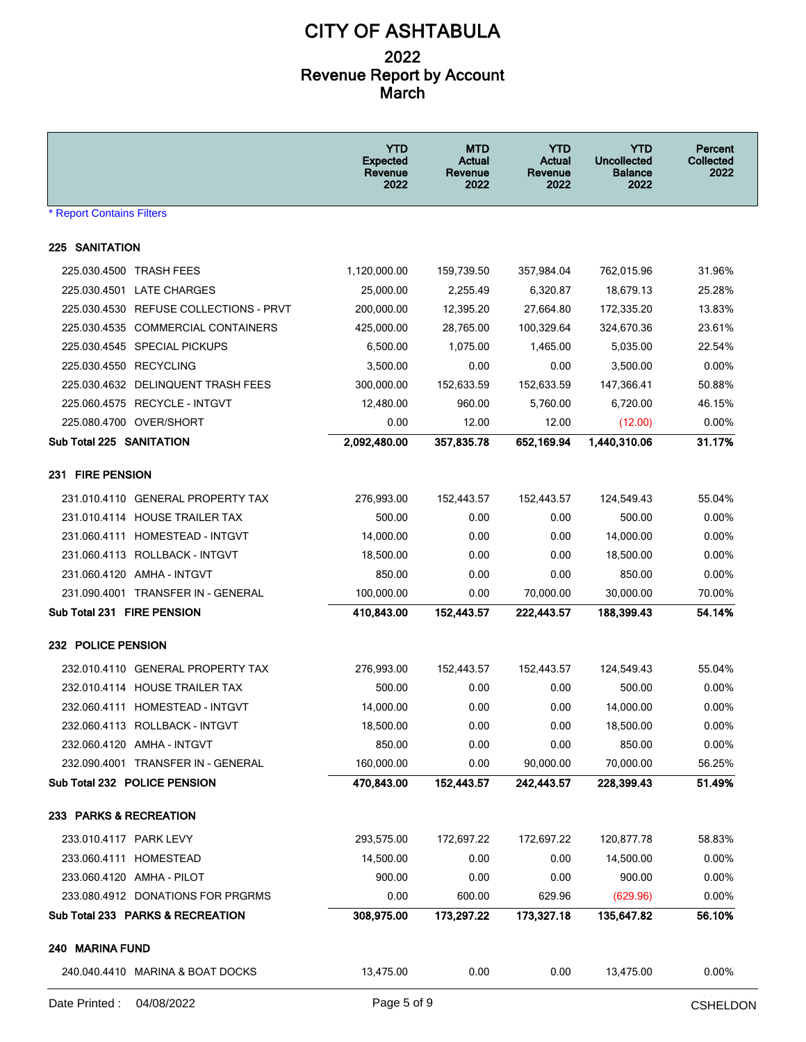|                                        | <b>YTD</b><br><b>Expected</b><br>Revenue<br>2022 | <b>MTD</b><br>Actual<br>Revenue<br>2022 | <b>YTD</b><br>Actual<br>Revenue<br>2022 | <b>YTD</b><br><b>Uncollected</b><br><b>Balance</b><br>2022 | Percent<br><b>Collected</b><br>2022 |
|----------------------------------------|--------------------------------------------------|-----------------------------------------|-----------------------------------------|------------------------------------------------------------|-------------------------------------|
| <b>* Report Contains Filters</b>       |                                                  |                                         |                                         |                                                            |                                     |
| <b>225 SANITATION</b>                  |                                                  |                                         |                                         |                                                            |                                     |
| 225.030.4500 TRASH FEES                | 1,120,000.00                                     | 159,739.50                              | 357,984.04                              | 762,015.96                                                 | 31.96%                              |
| 225.030.4501 LATE CHARGES              | 25,000.00                                        | 2.255.49                                | 6,320.87                                | 18,679.13                                                  | 25.28%                              |
| 225.030.4530 REFUSE COLLECTIONS - PRVT | 200,000.00                                       | 12,395.20                               | 27,664.80                               | 172,335.20                                                 | 13.83%                              |
| 225.030.4535 COMMERCIAL CONTAINERS     | 425,000.00                                       | 28,765.00                               | 100,329.64                              | 324,670.36                                                 | 23.61%                              |
| 225.030.4545 SPECIAL PICKUPS           | 6,500.00                                         | 1,075.00                                | 1,465.00                                | 5,035.00                                                   | 22.54%                              |
| 225.030.4550 RECYCLING                 | 3,500.00                                         | 0.00                                    | 0.00                                    | 3,500.00                                                   | $0.00\%$                            |
| 225.030.4632 DELINQUENT TRASH FEES     | 300,000.00                                       | 152,633.59                              | 152,633.59                              | 147,366.41                                                 | 50.88%                              |
| 225.060.4575 RECYCLE - INTGVT          | 12,480.00                                        | 960.00                                  | 5,760.00                                | 6,720.00                                                   | 46.15%                              |
| 225.080.4700 OVER/SHORT                | 0.00                                             | 12.00                                   | 12.00                                   | (12.00)                                                    | $0.00\%$                            |
| Sub Total 225 SANITATION               | 2,092,480.00                                     | 357,835.78                              | 652,169.94                              | 1,440,310.06                                               | 31.17%                              |
| 231 FIRE PENSION                       |                                                  |                                         |                                         |                                                            |                                     |
| 231.010.4110 GENERAL PROPERTY TAX      | 276,993.00                                       | 152,443.57                              | 152,443.57                              | 124,549.43                                                 | 55.04%                              |
| 231.010.4114 HOUSE TRAILER TAX         | 500.00                                           | 0.00                                    | 0.00                                    | 500.00                                                     | $0.00\%$                            |
| 231.060.4111 HOMESTEAD - INTGVT        | 14,000.00                                        | 0.00                                    | 0.00                                    | 14,000.00                                                  | $0.00\%$                            |
| 231.060.4113 ROLLBACK - INTGVT         | 18,500.00                                        | 0.00                                    | 0.00                                    | 18,500.00                                                  | 0.00%                               |
| 231.060.4120 AMHA - INTGVT             | 850.00                                           | 0.00                                    | 0.00                                    | 850.00                                                     | $0.00\%$                            |
| 231.090.4001 TRANSFER IN - GENERAL     | 100,000.00                                       | 0.00                                    | 70,000.00                               | 30,000.00                                                  | 70.00%                              |
| Sub Total 231 FIRE PENSION             | 410,843.00                                       | 152,443.57                              | 222,443.57                              | 188,399.43                                                 | 54.14%                              |
| 232 POLICE PENSION                     |                                                  |                                         |                                         |                                                            |                                     |
| 232.010.4110 GENERAL PROPERTY TAX      | 276,993.00                                       | 152,443.57                              | 152,443.57                              | 124,549.43                                                 | 55.04%                              |
| 232.010.4114 HOUSE TRAILER TAX         | 500.00                                           | 0.00                                    | 0.00                                    | 500.00                                                     | $0.00\%$                            |
| 232.060.4111 HOMESTEAD - INTGVT        | 14,000.00                                        | 0.00                                    | 0.00                                    | 14,000.00                                                  | $0.00\%$                            |
| 232.060.4113 ROLLBACK - INTGVT         | 18,500.00                                        | 0.00                                    | 0.00                                    | 18,500.00                                                  | 0.00%                               |
| 232.060.4120 AMHA - INTGVT             | 850.00                                           | 0.00                                    | 0.00                                    | 850.00                                                     | 0.00%                               |
| 232.090.4001 TRANSFER IN - GENERAL     | 160,000.00                                       | 0.00                                    | 90,000.00                               | 70,000.00                                                  | 56.25%                              |
| Sub Total 232 POLICE PENSION           | 470,843.00                                       | 152,443.57                              | 242,443.57                              | 228,399.43                                                 | 51.49%                              |
| 233 PARKS & RECREATION                 |                                                  |                                         |                                         |                                                            |                                     |
| 233.010.4117 PARK LEVY                 | 293,575.00                                       | 172,697.22                              | 172,697.22                              | 120,877.78                                                 | 58.83%                              |
| 233.060.4111 HOMESTEAD                 | 14,500.00                                        | 0.00                                    | 0.00                                    | 14,500.00                                                  | $0.00\%$                            |
| 233.060.4120 AMHA - PILOT              | 900.00                                           | 0.00                                    | 0.00                                    | 900.00                                                     | 0.00%                               |
| 233.080.4912 DONATIONS FOR PRGRMS      | 0.00                                             | 600.00                                  | 629.96                                  | (629.96)                                                   | 0.00%                               |
| Sub Total 233 PARKS & RECREATION       | 308,975.00                                       | 173,297.22                              | 173,327.18                              | 135,647.82                                                 | 56.10%                              |
| 240 MARINA FUND                        |                                                  |                                         |                                         |                                                            |                                     |
| 240.040.4410 MARINA & BOAT DOCKS       | 13,475.00                                        | 0.00                                    | 0.00                                    | 13,475.00                                                  | 0.00%                               |
|                                        |                                                  |                                         |                                         |                                                            | وينتوه والوواو                      |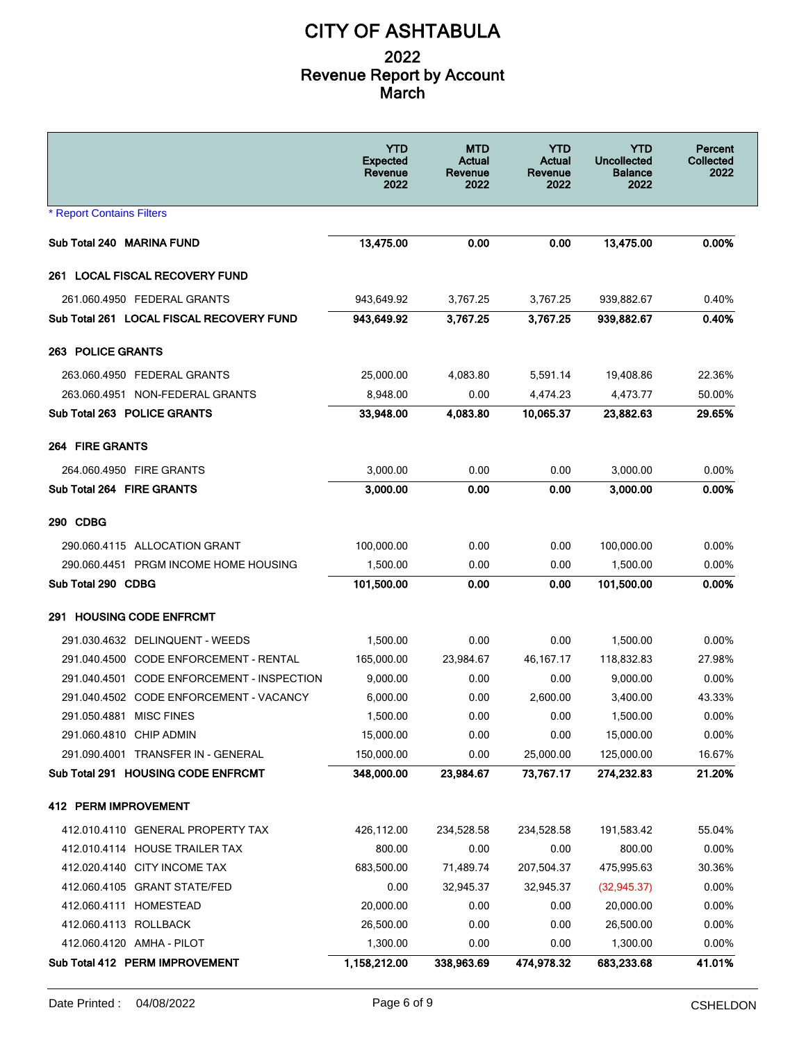|                                            | <b>YTD</b><br><b>Expected</b><br>Revenue<br>2022 | <b>MTD</b><br>Actual<br>Revenue<br>2022 | <b>YTD</b><br>Actual<br>Revenue<br>2022 | YTD<br><b>Uncollected</b><br><b>Balance</b><br>2022 | Percent<br><b>Collected</b><br>2022 |
|--------------------------------------------|--------------------------------------------------|-----------------------------------------|-----------------------------------------|-----------------------------------------------------|-------------------------------------|
| <b>* Report Contains Filters</b>           |                                                  |                                         |                                         |                                                     |                                     |
| Sub Total 240 MARINA FUND                  | 13,475.00                                        | 0.00                                    | 0.00                                    | 13,475.00                                           | 0.00%                               |
| 261 LOCAL FISCAL RECOVERY FUND             |                                                  |                                         |                                         |                                                     |                                     |
| 261.060.4950 FEDERAL GRANTS                | 943,649.92                                       | 3,767.25                                | 3,767.25                                | 939,882.67                                          | 0.40%                               |
| Sub Total 261 LOCAL FISCAL RECOVERY FUND   | 943,649.92                                       | 3,767.25                                | 3,767.25                                | 939,882.67                                          | 0.40%                               |
| <b>263 POLICE GRANTS</b>                   |                                                  |                                         |                                         |                                                     |                                     |
| 263.060.4950 FEDERAL GRANTS                | 25,000.00                                        | 4,083.80                                | 5,591.14                                | 19,408.86                                           | 22.36%                              |
| 263.060.4951 NON-FEDERAL GRANTS            | 8,948.00                                         | 0.00                                    | 4,474.23                                | 4,473.77                                            | 50.00%                              |
| Sub Total 263 POLICE GRANTS                | 33,948.00                                        | 4,083.80                                | 10,065.37                               | 23,882.63                                           | 29.65%                              |
| <b>264 FIRE GRANTS</b>                     |                                                  |                                         |                                         |                                                     |                                     |
| 264.060.4950 FIRE GRANTS                   | 3,000.00                                         | 0.00                                    | 0.00                                    | 3,000.00                                            | 0.00%                               |
| Sub Total 264 FIRE GRANTS                  | 3.000.00                                         | 0.00                                    | 0.00                                    | 3,000.00                                            | $0.00\%$                            |
| 290 CDBG                                   |                                                  |                                         |                                         |                                                     |                                     |
| 290.060.4115 ALLOCATION GRANT              | 100,000.00                                       | 0.00                                    | 0.00                                    | 100,000.00                                          | 0.00%                               |
| 290.060.4451 PRGM INCOME HOME HOUSING      | 1,500.00                                         | 0.00                                    | 0.00                                    | 1,500.00                                            | 0.00%                               |
| Sub Total 290 CDBG                         | 101,500.00                                       | 0.00                                    | 0.00                                    | 101,500.00                                          | 0.00%                               |
| 291 HOUSING CODE ENFROMT                   |                                                  |                                         |                                         |                                                     |                                     |
| 291.030.4632 DELINQUENT - WEEDS            | 1,500.00                                         | 0.00                                    | 0.00                                    | 1,500.00                                            | 0.00%                               |
| 291.040.4500 CODE ENFORCEMENT - RENTAL     | 165,000.00                                       | 23,984.67                               | 46, 167. 17                             | 118,832.83                                          | 27.98%                              |
| 291.040.4501 CODE ENFORCEMENT - INSPECTION | 9,000.00                                         | 0.00                                    | 0.00                                    | 9,000.00                                            | $0.00\%$                            |
| 291.040.4502 CODE ENFORCEMENT - VACANCY    | 6,000.00                                         | 0.00                                    | 2.600.00                                | 3,400.00                                            | 43.33%                              |
| 291.050.4881 MISC FINES                    | 1,500.00                                         | 0.00                                    | 0.00                                    | 1,500.00                                            | 0.00%                               |
| 291.060.4810 CHIP ADMIN                    | 15,000.00                                        | 0.00                                    | 0.00                                    | 15,000.00                                           | 0.00%                               |
| 291.090.4001 TRANSFER IN - GENERAL         | 150,000.00                                       | 0.00                                    | 25,000.00                               | 125,000.00                                          | 16.67%                              |
| Sub Total 291 HOUSING CODE ENFRCMT         | 348,000.00                                       | 23,984.67                               | 73,767.17                               | 274,232.83                                          | 21.20%                              |
| 412 PERM IMPROVEMENT                       |                                                  |                                         |                                         |                                                     |                                     |
| 412.010.4110 GENERAL PROPERTY TAX          | 426,112.00                                       | 234,528.58                              | 234,528.58                              | 191,583.42                                          | 55.04%                              |
| 412.010.4114 HOUSE TRAILER TAX             | 800.00                                           | 0.00                                    | 0.00                                    | 800.00                                              | 0.00%                               |
| 412.020.4140 CITY INCOME TAX               | 683,500.00                                       | 71,489.74                               | 207,504.37                              | 475,995.63                                          | 30.36%                              |
| 412.060.4105 GRANT STATE/FED               | 0.00                                             | 32,945.37                               | 32,945.37                               | (32, 945.37)                                        | 0.00%                               |
| 412.060.4111 HOMESTEAD                     | 20,000.00                                        | 0.00                                    | 0.00                                    | 20,000.00                                           | 0.00%                               |
| 412.060.4113 ROLLBACK                      | 26,500.00                                        | 0.00                                    | 0.00                                    | 26,500.00                                           | 0.00%                               |
| 412.060.4120 AMHA - PILOT                  | 1,300.00                                         | 0.00                                    | 0.00                                    | 1,300.00                                            | 0.00%                               |
| Sub Total 412 PERM IMPROVEMENT             | 1,158,212.00                                     | 338,963.69                              | 474,978.32                              | 683,233.68                                          | 41.01%                              |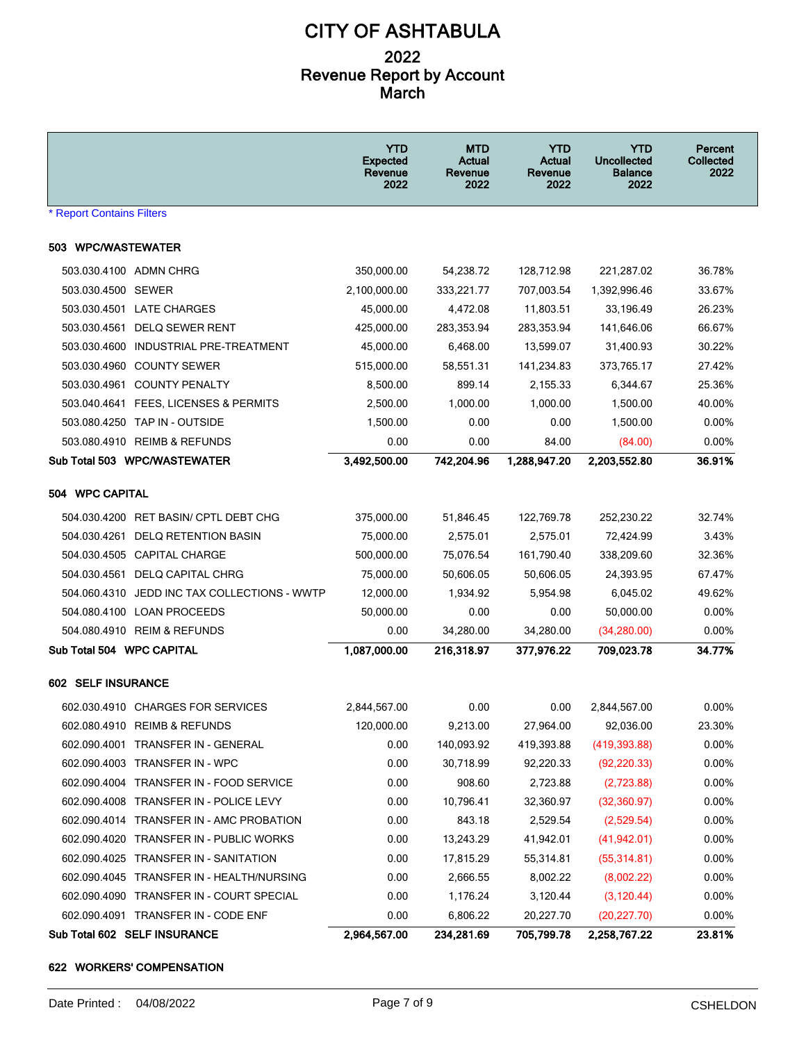|                                              | <b>YTD</b><br><b>Expected</b><br>Revenue<br>2022 | <b>MTD</b><br>Actual<br>Revenue<br>2022 | <b>YTD</b><br>Actual<br>Revenue<br>2022 | <b>YTD</b><br><b>Uncollected</b><br><b>Balance</b><br>2022 | Percent<br>Collected<br>2022 |
|----------------------------------------------|--------------------------------------------------|-----------------------------------------|-----------------------------------------|------------------------------------------------------------|------------------------------|
| * Report Contains Filters                    |                                                  |                                         |                                         |                                                            |                              |
| 503 WPC/WASTEWATER                           |                                                  |                                         |                                         |                                                            |                              |
| 503.030.4100 ADMN CHRG                       | 350,000.00                                       | 54,238.72                               | 128,712.98                              | 221,287.02                                                 | 36.78%                       |
| 503.030.4500 SEWER                           | 2,100,000.00                                     | 333,221.77                              | 707,003.54                              | 1,392,996.46                                               | 33.67%                       |
| 503.030.4501 LATE CHARGES                    | 45,000.00                                        | 4,472.08                                | 11,803.51                               | 33,196.49                                                  | 26.23%                       |
| 503.030.4561 DELQ SEWER RENT                 | 425,000.00                                       | 283,353.94                              | 283,353.94                              | 141,646.06                                                 | 66.67%                       |
| 503.030.4600<br>INDUSTRIAL PRE-TREATMENT     | 45,000.00                                        | 6,468.00                                | 13,599.07                               | 31,400.93                                                  | 30.22%                       |
| 503.030.4960 COUNTY SEWER                    | 515,000.00                                       | 58,551.31                               | 141,234.83                              | 373,765.17                                                 | 27.42%                       |
| 503.030.4961<br><b>COUNTY PENALTY</b>        | 8,500.00                                         | 899.14                                  | 2,155.33                                | 6,344.67                                                   | 25.36%                       |
| 503.040.4641 FEES, LICENSES & PERMITS        | 2,500.00                                         | 1,000.00                                | 1,000.00                                | 1,500.00                                                   | 40.00%                       |
| 503.080.4250 TAP IN - OUTSIDE                | 1,500.00                                         | 0.00                                    | 0.00                                    | 1,500.00                                                   | 0.00%                        |
| 503.080.4910 REIMB & REFUNDS                 | 0.00                                             | 0.00                                    | 84.00                                   | (84.00)                                                    | 0.00%                        |
| Sub Total 503 WPC/WASTEWATER                 | 3,492,500.00                                     | 742,204.96                              | 1,288,947.20                            | 2,203,552.80                                               | 36.91%                       |
|                                              |                                                  |                                         |                                         |                                                            |                              |
| 504 WPC CAPITAL                              |                                                  |                                         |                                         |                                                            |                              |
| 504.030.4200 RET BASIN/ CPTL DEBT CHG        | 375,000.00                                       | 51,846.45                               | 122,769.78                              | 252,230.22                                                 | 32.74%                       |
| 504.030.4261 DELQ RETENTION BASIN            | 75,000.00                                        | 2,575.01                                | 2,575.01                                | 72,424.99                                                  | 3.43%                        |
| 504.030.4505 CAPITAL CHARGE                  | 500,000.00                                       | 75,076.54                               | 161,790.40                              | 338,209.60                                                 | 32.36%                       |
| 504 030.4561 DELQ CAPITAL CHRG               | 75,000.00                                        | 50,606.05                               | 50,606.05                               | 24,393.95                                                  | 67.47%                       |
| 504.060.4310 JEDD INC TAX COLLECTIONS - WWTP | 12,000.00                                        | 1,934.92                                | 5,954.98                                | 6,045.02                                                   | 49.62%                       |
| 504.080.4100 LOAN PROCEEDS                   | 50,000.00                                        | 0.00                                    | 0.00                                    | 50,000.00                                                  | 0.00%                        |
| 504.080.4910 REIM & REFUNDS                  | 0.00                                             | 34,280.00                               | 34,280.00                               | (34, 280.00)                                               | 0.00%                        |
| Sub Total 504 WPC CAPITAL                    | 1,087,000.00                                     | 216,318.97                              | 377,976.22                              | 709,023.78                                                 | 34.77%                       |
| 602 SELF INSURANCE                           |                                                  |                                         |                                         |                                                            |                              |
| 602.030.4910 CHARGES FOR SERVICES            | 2,844,567.00                                     | 0.00                                    | 0.00                                    | 2,844,567.00                                               | $0.00\%$                     |
| 602.080.4910 REIMB & REFUNDS                 | 120,000.00                                       | 9,213.00                                | 27,964.00                               | 92,036.00                                                  | 23.30%                       |
| 602.090.4001 TRANSFER IN - GENERAL           | 0.00                                             | 140,093.92                              | 419,393.88                              | (419, 393.88)                                              | 0.00%                        |
| 602.090.4003 TRANSFER IN - WPC               | 0.00                                             | 30,718.99                               | 92,220.33                               | (92, 220.33)                                               | $0.00\%$                     |
| 602.090.4004 TRANSFER IN - FOOD SERVICE      | 0.00                                             | 908.60                                  | 2,723.88                                | (2,723.88)                                                 | 0.00%                        |
| 602.090.4008 TRANSFER IN - POLICE LEVY       | 0.00                                             | 10,796.41                               | 32,360.97                               | (32,360.97)                                                | 0.00%                        |
| 602.090.4014 TRANSFER IN - AMC PROBATION     | 0.00                                             | 843.18                                  | 2,529.54                                | (2,529.54)                                                 | 0.00%                        |
| 602.090.4020 TRANSFER IN - PUBLIC WORKS      | 0.00                                             | 13,243.29                               | 41,942.01                               | (41, 942.01)                                               | 0.00%                        |
| 602.090.4025 TRANSFER IN - SANITATION        | 0.00                                             | 17,815.29                               | 55,314.81                               | (55, 314.81)                                               | $0.00\%$                     |
| 602.090.4045 TRANSFER IN - HEALTH/NURSING    | 0.00                                             | 2,666.55                                | 8,002.22                                | (8,002.22)                                                 | 0.00%                        |
| 602.090.4090 TRANSFER IN - COURT SPECIAL     | 0.00                                             | 1,176.24                                | 3,120.44                                | (3, 120.44)                                                | 0.00%                        |
| 602.090.4091 TRANSFER IN - CODE ENF          | 0.00                                             | 6,806.22                                | 20,227.70                               | (20, 227.70)                                               | 0.00%                        |
| Sub Total 602 SELF INSURANCE                 | 2,964,567.00                                     | 234,281.69                              | 705,799.78                              | 2,258,767.22                                               | 23.81%                       |

#### **622 WORKERS' COMPENSATION**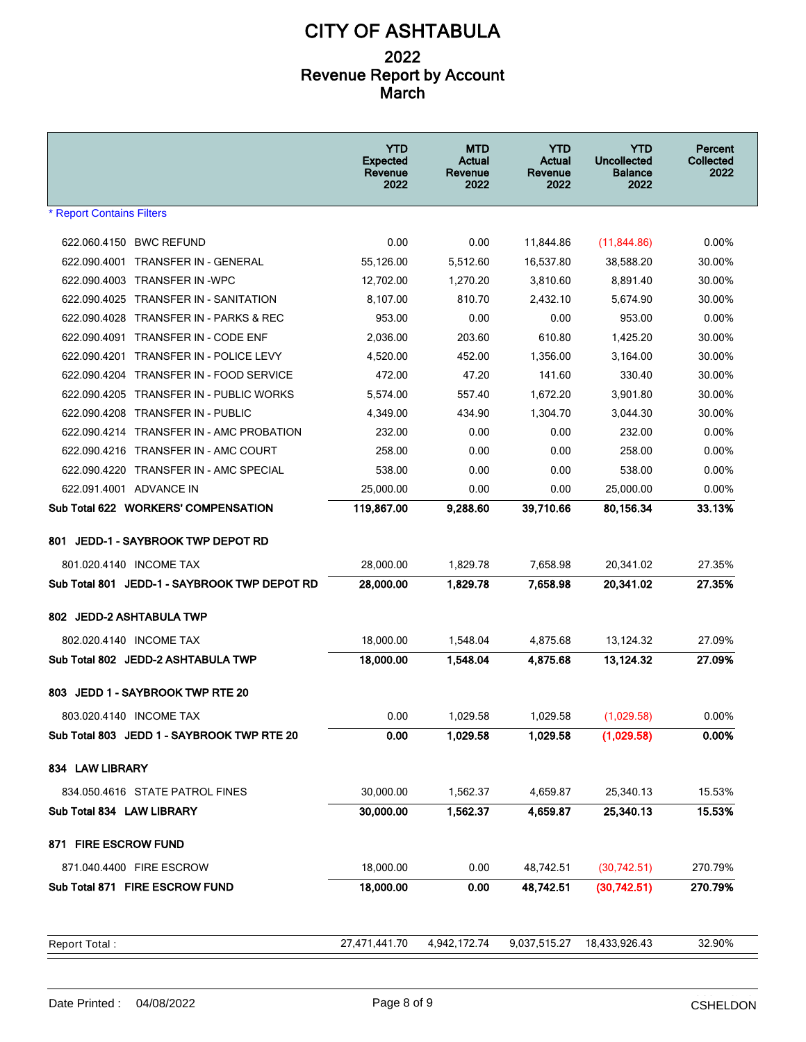|                                                   | <b>YTD</b><br><b>Expected</b><br>Revenue<br>2022 | <b>MTD</b><br>Actual<br>Revenue<br>2022 | <b>YTD</b><br>Actual<br>Revenue<br>2022 | <b>YTD</b><br><b>Uncollected</b><br><b>Balance</b><br>2022 | Percent<br><b>Collected</b><br>2022 |
|---------------------------------------------------|--------------------------------------------------|-----------------------------------------|-----------------------------------------|------------------------------------------------------------|-------------------------------------|
| <b>* Report Contains Filters</b>                  |                                                  |                                         |                                         |                                                            |                                     |
| 622.060.4150 BWC REFUND                           | 0.00                                             | 0.00                                    | 11,844.86                               | (11, 844.86)                                               | $0.00\%$                            |
| 622.090.4001 TRANSFER IN - GENERAL                | 55,126.00                                        | 5,512.60                                | 16,537.80                               | 38,588.20                                                  | 30.00%                              |
| 622.090.4003 TRANSFER IN -WPC                     | 12,702.00                                        | 1,270.20                                | 3,810.60                                | 8.891.40                                                   | 30.00%                              |
| 622.090.4025<br><b>TRANSFER IN - SANITATION</b>   | 8,107.00                                         | 810.70                                  | 2,432.10                                | 5,674.90                                                   | 30.00%                              |
| 622.090.4028 TRANSFER IN - PARKS & REC            | 953.00                                           | 0.00                                    | 0.00                                    | 953.00                                                     | $0.00\%$                            |
| 622.090.4091 TRANSFER IN - CODE ENF               | 2,036.00                                         | 203.60                                  | 610.80                                  | 1,425.20                                                   | 30.00%                              |
| 622.090.4201 TRANSFER IN - POLICE LEVY            | 4,520.00                                         | 452.00                                  | 1,356.00                                | 3,164.00                                                   | 30.00%                              |
| 622.090.4204 TRANSFER IN - FOOD SERVICE           | 472.00                                           | 47.20                                   | 141.60                                  | 330.40                                                     | 30.00%                              |
| 622.090.4205<br><b>TRANSFER IN - PUBLIC WORKS</b> | 5,574.00                                         | 557.40                                  | 1.672.20                                | 3,901.80                                                   | 30.00%                              |
| 622.090.4208 TRANSFER IN - PUBLIC                 | 4,349.00                                         | 434.90                                  | 1,304.70                                | 3,044.30                                                   | 30.00%                              |
| 622.090.4214 TRANSFER IN - AMC PROBATION          | 232.00                                           | 0.00                                    | 0.00                                    | 232.00                                                     | $0.00\%$                            |
| 622.090.4216 TRANSFER IN - AMC COURT              | 258.00                                           | 0.00                                    | 0.00                                    | 258.00                                                     | 0.00%                               |
| 622.090.4220 TRANSFER IN - AMC SPECIAL            | 538.00                                           | 0.00                                    | 0.00                                    | 538.00                                                     | $0.00\%$                            |
| 622.091.4001 ADVANCE IN                           | 25,000.00                                        | 0.00                                    | 0.00                                    | 25,000.00                                                  | $0.00\%$                            |
| Sub Total 622 WORKERS' COMPENSATION               | 119,867.00                                       | 9,288.60                                | 39,710.66                               | 80,156.34                                                  | 33.13%                              |
| 801 JEDD-1 - SAYBROOK TWP DEPOT RD                |                                                  |                                         |                                         |                                                            |                                     |
| 801.020.4140 INCOME TAX                           | 28,000.00                                        | 1,829.78                                | 7,658.98                                | 20,341.02                                                  | 27.35%                              |
| Sub Total 801 JEDD-1 - SAYBROOK TWP DEPOT RD      | 28,000.00                                        | 1,829.78                                | 7,658.98                                | 20,341.02                                                  | 27.35%                              |
| 802 JEDD-2 ASHTABULA TWP                          |                                                  |                                         |                                         |                                                            |                                     |
| 802.020.4140 INCOME TAX                           | 18,000.00                                        | 1,548.04                                | 4,875.68                                | 13,124.32                                                  | 27.09%                              |
| Sub Total 802 JEDD-2 ASHTABULA TWP                | 18,000.00                                        | 1.548.04                                | 4,875.68                                | 13,124.32                                                  | 27.09%                              |
| JEDD 1 - SAYBROOK TWP RTE 20<br>803               |                                                  |                                         |                                         |                                                            |                                     |
| 803.020.4140 INCOME TAX                           | 0.00                                             | 1,029.58                                | 1,029.58                                | (1,029.58)                                                 | 0.00%                               |
| Sub Total 803 JEDD 1 - SAYBROOK TWP RTE 20        | 0.00                                             | 1,029.58                                | 1,029.58                                | (1,029.58)                                                 | 0.00%                               |
| 834 LAW LIBRARY                                   |                                                  |                                         |                                         |                                                            |                                     |
| 834.050.4616 STATE PATROL FINES                   | 30,000.00                                        | 1,562.37                                | 4,659.87                                | 25,340.13                                                  | 15.53%                              |
| Sub Total 834 LAW LIBRARY                         | 30,000.00                                        | 1,562.37                                | 4,659.87                                | 25,340.13                                                  | 15.53%                              |
| 871 FIRE ESCROW FUND                              |                                                  |                                         |                                         |                                                            |                                     |
| 871.040.4400 FIRE ESCROW                          | 18,000.00                                        | 0.00                                    | 48,742.51                               | (30, 742.51)                                               | 270.79%                             |
| Sub Total 871 FIRE ESCROW FUND                    | 18,000.00                                        | 0.00                                    | 48,742.51                               | (30,742.51)                                                | 270.79%                             |
|                                                   |                                                  |                                         |                                         |                                                            |                                     |
| Report Total:                                     | 27,471,441.70                                    | 4,942,172.74                            | 9,037,515.27                            | 18,433,926.43                                              | 32.90%                              |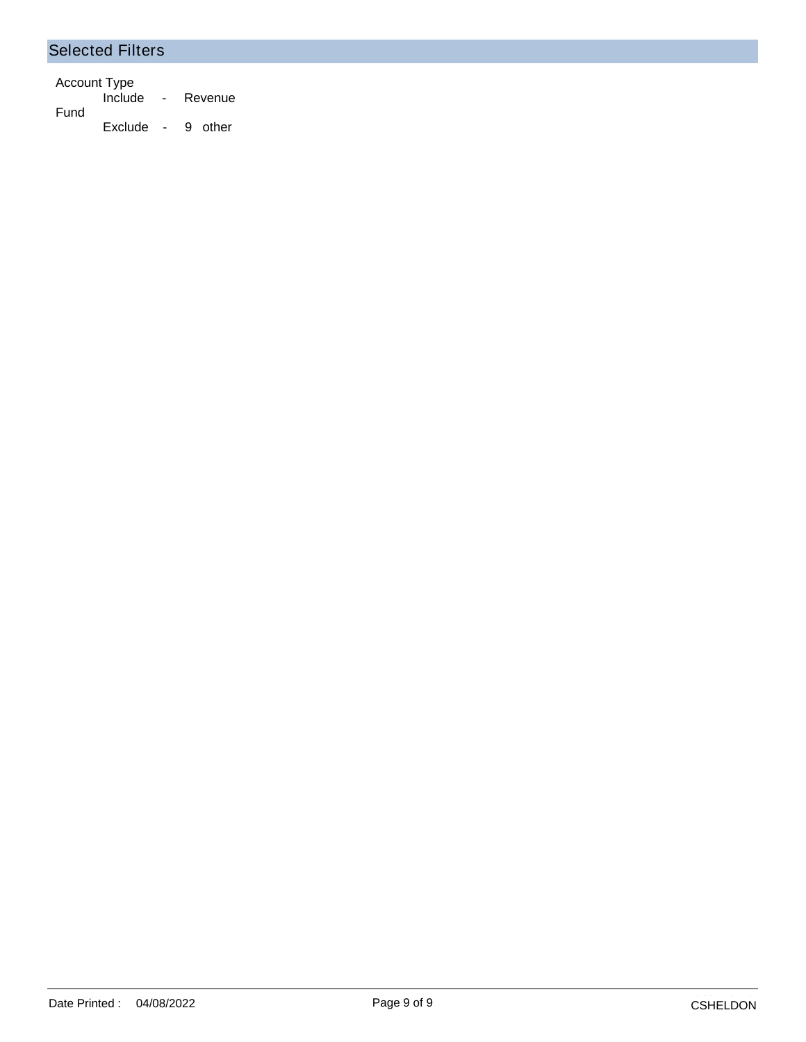#### Selected Filters

Account Type Include - Revenue Fund Exclude - 9 other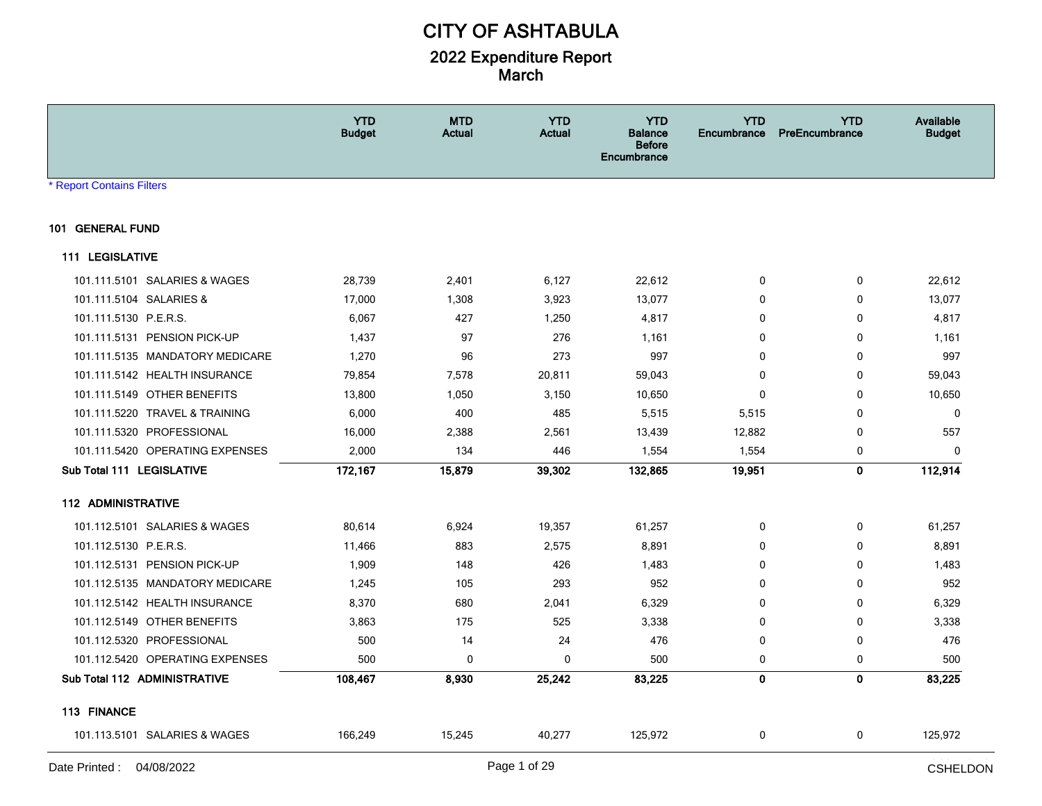|                                 | <b>YTD</b><br><b>Budget</b> | <b>MTD</b><br><b>Actual</b> | <b>YTD</b><br><b>Actual</b> | <b>YTD</b><br><b>Balance</b><br><b>Before</b><br>Encumbrance | <b>YTD</b><br><b>Encumbrance</b> | <b>YTD</b><br>PreEncumbrance | Available<br><b>Budget</b> |
|---------------------------------|-----------------------------|-----------------------------|-----------------------------|--------------------------------------------------------------|----------------------------------|------------------------------|----------------------------|
| <b>Report Contains Filters</b>  |                             |                             |                             |                                                              |                                  |                              |                            |
| 101 GENERAL FUND                |                             |                             |                             |                                                              |                                  |                              |                            |
| <b>111 LEGISLATIVE</b>          |                             |                             |                             |                                                              |                                  |                              |                            |
| 101.111.5101 SALARIES & WAGES   | 28,739                      | 2,401                       | 6,127                       | 22,612                                                       | 0                                | 0                            | 22,612                     |
| 101.111.5104 SALARIES &         | 17,000                      | 1,308                       | 3,923                       | 13,077                                                       | 0                                | 0                            | 13,077                     |
| 101.111.5130 P.E.R.S.           | 6,067                       | 427                         | 1,250                       | 4,817                                                        | $\mathbf 0$                      | 0                            | 4,817                      |
| 101.111.5131 PENSION PICK-UP    | 1,437                       | 97                          | 276                         | 1,161                                                        | $\mathbf{0}$                     | 0                            | 1,161                      |
| 101.111.5135 MANDATORY MEDICARE | 1,270                       | 96                          | 273                         | 997                                                          | 0                                | 0                            | 997                        |
| 101.111.5142 HEALTH INSURANCE   | 79,854                      | 7,578                       | 20,811                      | 59,043                                                       | $\mathbf 0$                      | 0                            | 59,043                     |
| 101.111.5149 OTHER BENEFITS     | 13,800                      | 1,050                       | 3,150                       | 10,650                                                       | $\mathbf 0$                      | 0                            | 10,650                     |
| 101.111.5220 TRAVEL & TRAINING  | 6,000                       | 400                         | 485                         | 5,515                                                        | 5,515                            | 0                            | $\mathbf{0}$               |
| 101.111.5320 PROFESSIONAL       | 16,000                      | 2,388                       | 2,561                       | 13,439                                                       | 12,882                           | 0                            | 557                        |
| 101.111.5420 OPERATING EXPENSES | 2,000                       | 134                         | 446                         | 1,554                                                        | 1,554                            | 0                            | $\mathbf{0}$               |
| Sub Total 111 LEGISLATIVE       | 172,167                     | 15,879                      | 39,302                      | 132,865                                                      | 19,951                           | 0                            | 112,914                    |
| <b>112 ADMINISTRATIVE</b>       |                             |                             |                             |                                                              |                                  |                              |                            |
| 101.112.5101 SALARIES & WAGES   | 80,614                      | 6,924                       | 19,357                      | 61,257                                                       | 0                                | 0                            | 61,257                     |
| 101.112.5130 P.E.R.S.           | 11,466                      | 883                         | 2,575                       | 8,891                                                        | $\mathbf 0$                      | 0                            | 8,891                      |
| 101.112.5131 PENSION PICK-UP    | 1,909                       | 148                         | 426                         | 1,483                                                        | $\mathbf{0}$                     | 0                            | 1,483                      |
| 101.112.5135 MANDATORY MEDICARE | 1,245                       | 105                         | 293                         | 952                                                          | $\mathbf 0$                      | 0                            | 952                        |
| 101.112.5142 HEALTH INSURANCE   | 8,370                       | 680                         | 2,041                       | 6,329                                                        | $\mathbf 0$                      | 0                            | 6,329                      |
| 101.112.5149 OTHER BENEFITS     | 3,863                       | 175                         | 525                         | 3,338                                                        | 0                                | 0                            | 3,338                      |
| 101.112.5320 PROFESSIONAL       | 500                         | 14                          | 24                          | 476                                                          | 0                                | 0                            | 476                        |
| 101.112.5420 OPERATING EXPENSES | 500                         | 0                           | 0                           | 500                                                          | 0                                | 0                            | 500                        |
| Sub Total 112 ADMINISTRATIVE    | 108,467                     | 8,930                       | 25,242                      | 83,225                                                       | $\mathbf 0$                      | $\mathbf{0}$                 | 83,225                     |
| 113 FINANCE                     |                             |                             |                             |                                                              |                                  |                              |                            |
| 101.113.5101 SALARIES & WAGES   | 166,249                     | 15,245                      | 40,277                      | 125,972                                                      | 0                                | 0                            | 125,972                    |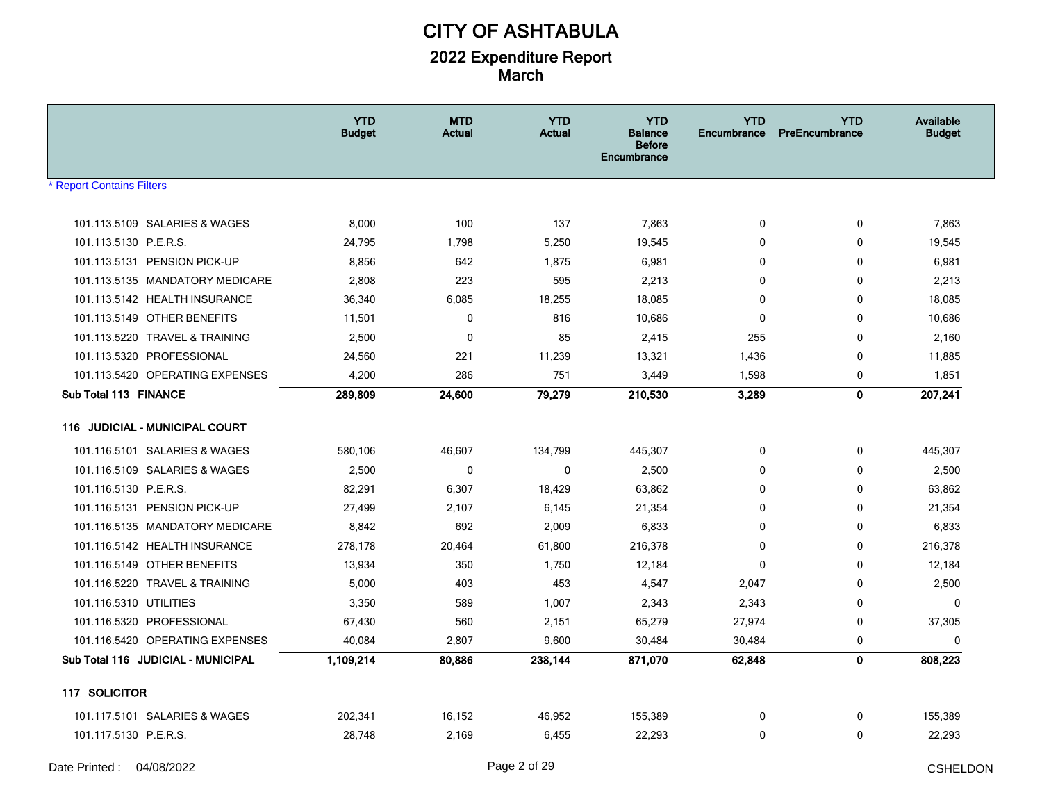|                                    | <b>YTD</b><br><b>Budget</b> | <b>MTD</b><br>Actual | <b>YTD</b><br>Actual | <b>YTD</b><br><b>Balance</b><br><b>Before</b><br>Encumbrance | <b>YTD</b><br>Encumbrance | <b>YTD</b><br>PreEncumbrance | <b>Available</b><br><b>Budget</b> |
|------------------------------------|-----------------------------|----------------------|----------------------|--------------------------------------------------------------|---------------------------|------------------------------|-----------------------------------|
| <b>Report Contains Filters</b>     |                             |                      |                      |                                                              |                           |                              |                                   |
|                                    |                             |                      |                      |                                                              |                           |                              |                                   |
| 101.113.5109 SALARIES & WAGES      | 8,000                       | 100                  | 137                  | 7,863                                                        | 0                         | 0                            | 7,863                             |
| 101.113.5130 P.E.R.S.              | 24,795                      | 1,798                | 5,250                | 19,545                                                       | $\mathbf 0$               | 0                            | 19,545                            |
| 101.113.5131 PENSION PICK-UP       | 8,856                       | 642                  | 1,875                | 6,981                                                        | 0                         | 0                            | 6,981                             |
| 101.113.5135 MANDATORY MEDICARE    | 2,808                       | 223                  | 595                  | 2,213                                                        | 0                         | 0                            | 2,213                             |
| 101.113.5142 HEALTH INSURANCE      | 36,340                      | 6,085                | 18,255               | 18,085                                                       | $\mathbf 0$               | $\mathbf 0$                  | 18,085                            |
| 101.113.5149 OTHER BENEFITS        | 11,501                      | 0                    | 816                  | 10,686                                                       | $\mathbf 0$               | $\mathbf 0$                  | 10,686                            |
| 101.113.5220 TRAVEL & TRAINING     | 2,500                       | 0                    | 85                   | 2,415                                                        | 255                       | 0                            | 2,160                             |
| 101.113.5320 PROFESSIONAL          | 24,560                      | 221                  | 11,239               | 13,321                                                       | 1,436                     | 0                            | 11,885                            |
| 101.113.5420 OPERATING EXPENSES    | 4,200                       | 286                  | 751                  | 3,449                                                        | 1,598                     | 0                            | 1,851                             |
| Sub Total 113 FINANCE              | 289,809                     | 24,600               | 79,279               | 210,530                                                      | 3,289                     | $\mathbf 0$                  | 207,241                           |
| 116 JUDICIAL - MUNICIPAL COURT     |                             |                      |                      |                                                              |                           |                              |                                   |
| 101.116.5101 SALARIES & WAGES      | 580,106                     | 46,607               | 134,799              | 445,307                                                      | $\mathbf 0$               | 0                            | 445,307                           |
| 101.116.5109 SALARIES & WAGES      | 2,500                       | 0                    | 0                    | 2,500                                                        | 0                         | 0                            | 2,500                             |
| 101.116.5130 P.E.R.S.              | 82,291                      | 6,307                | 18,429               | 63,862                                                       | 0                         | $\mathbf 0$                  | 63,862                            |
| 101.116.5131 PENSION PICK-UP       | 27,499                      | 2,107                | 6,145                | 21,354                                                       | 0                         | 0                            | 21,354                            |
| 101.116.5135 MANDATORY MEDICARE    | 8,842                       | 692                  | 2,009                | 6,833                                                        | $\mathbf 0$               | 0                            | 6,833                             |
| 101.116.5142 HEALTH INSURANCE      | 278,178                     | 20,464               | 61,800               | 216,378                                                      | $\mathbf{0}$              | $\mathbf 0$                  | 216,378                           |
| 101.116.5149 OTHER BENEFITS        | 13,934                      | 350                  | 1,750                | 12,184                                                       | $\mathbf 0$               | 0                            | 12,184                            |
| 101.116.5220 TRAVEL & TRAINING     | 5,000                       | 403                  | 453                  | 4,547                                                        | 2,047                     | 0                            | 2,500                             |
| 101.116.5310 UTILITIES             | 3,350                       | 589                  | 1,007                | 2,343                                                        | 2,343                     | $\mathbf 0$                  | $\mathbf{0}$                      |
| 101.116.5320 PROFESSIONAL          | 67,430                      | 560                  | 2,151                | 65,279                                                       | 27,974                    | 0                            | 37,305                            |
| 101.116.5420 OPERATING EXPENSES    | 40,084                      | 2,807                | 9,600                | 30,484                                                       | 30,484                    | 0                            | $\Omega$                          |
| Sub Total 116 JUDICIAL - MUNICIPAL | 1,109,214                   | 80,886               | 238,144              | 871,070                                                      | 62,848                    | $\mathbf{0}$                 | 808,223                           |
| 117 SOLICITOR                      |                             |                      |                      |                                                              |                           |                              |                                   |
| 101.117.5101 SALARIES & WAGES      | 202,341                     | 16,152               | 46,952               | 155,389                                                      | 0                         | 0                            | 155,389                           |
| 101.117.5130 P.E.R.S.              | 28,748                      | 2,169                | 6,455                | 22,293                                                       | $\mathbf 0$               | 0                            | 22,293                            |
|                                    |                             |                      |                      |                                                              |                           |                              |                                   |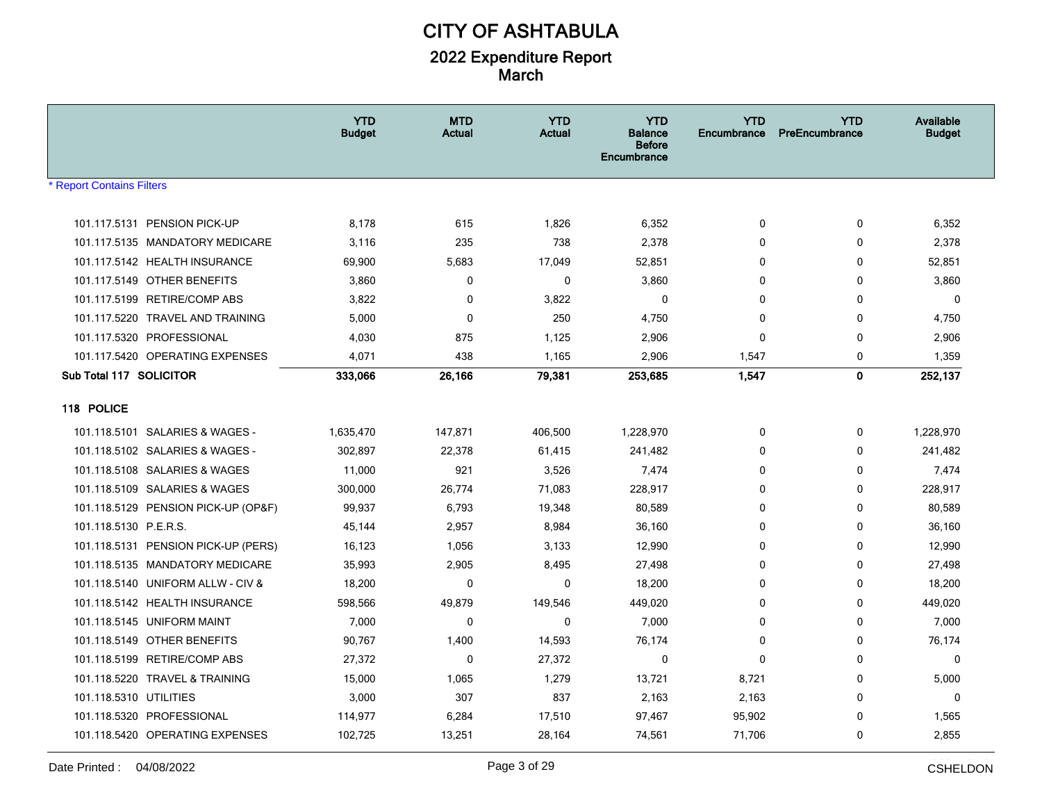|                                     | <b>YTD</b><br><b>Budget</b> | <b>MTD</b><br><b>Actual</b> | <b>YTD</b><br><b>Actual</b> | <b>YTD</b><br><b>Balance</b><br><b>Before</b><br><b>Encumbrance</b> | <b>YTD</b><br><b>Encumbrance</b> | <b>YTD</b><br>PreEncumbrance | Available<br><b>Budget</b> |
|-------------------------------------|-----------------------------|-----------------------------|-----------------------------|---------------------------------------------------------------------|----------------------------------|------------------------------|----------------------------|
| <b>* Report Contains Filters</b>    |                             |                             |                             |                                                                     |                                  |                              |                            |
|                                     |                             |                             |                             |                                                                     |                                  |                              |                            |
| 101.117.5131 PENSION PICK-UP        | 8,178                       | 615                         | 1,826                       | 6,352                                                               | $\mathbf 0$                      | 0                            | 6,352                      |
| 101.117.5135 MANDATORY MEDICARE     | 3,116                       | 235                         | 738                         | 2,378                                                               | 0                                | 0                            | 2,378                      |
| 101.117.5142 HEALTH INSURANCE       | 69,900                      | 5,683                       | 17,049                      | 52,851                                                              | 0                                | 0                            | 52,851                     |
| 101.117.5149 OTHER BENEFITS         | 3,860                       | 0                           | 0                           | 3,860                                                               | 0                                | 0                            | 3,860                      |
| 101.117.5199 RETIRE/COMP ABS        | 3,822                       | 0                           | 3,822                       | 0                                                                   | 0                                | 0                            | 0                          |
| 101.117.5220 TRAVEL AND TRAINING    | 5,000                       | 0                           | 250                         | 4,750                                                               | $\mathbf{0}$                     | 0                            | 4,750                      |
| 101.117.5320 PROFESSIONAL           | 4,030                       | 875                         | 1,125                       | 2,906                                                               | 0                                | 0                            | 2,906                      |
| 101.117.5420 OPERATING EXPENSES     | 4,071                       | 438                         | 1,165                       | 2,906                                                               | 1,547                            | 0                            | 1,359                      |
| Sub Total 117 SOLICITOR             | 333,066                     | 26,166                      | 79,381                      | 253,685                                                             | 1,547                            | $\mathbf{0}$                 | 252,137                    |
| 118 POLICE                          |                             |                             |                             |                                                                     |                                  |                              |                            |
| 101.118.5101 SALARIES & WAGES -     | 1,635,470                   | 147,871                     | 406,500                     | 1,228,970                                                           | 0                                | 0                            | 1,228,970                  |
| 101.118.5102 SALARIES & WAGES -     | 302,897                     | 22,378                      | 61,415                      | 241,482                                                             | $\mathbf{0}$                     | 0                            | 241,482                    |
| 101.118.5108 SALARIES & WAGES       | 11,000                      | 921                         | 3,526                       | 7,474                                                               | 0                                | 0                            | 7,474                      |
| 101.118.5109 SALARIES & WAGES       | 300,000                     | 26,774                      | 71,083                      | 228,917                                                             | 0                                | 0                            | 228,917                    |
| 101.118.5129 PENSION PICK-UP (OP&F) | 99,937                      | 6,793                       | 19,348                      | 80,589                                                              | 0                                | 0                            | 80,589                     |
| 101.118.5130 P.E.R.S.               | 45,144                      | 2,957                       | 8,984                       | 36,160                                                              | 0                                | 0                            | 36,160                     |
| 101.118.5131 PENSION PICK-UP (PERS) | 16,123                      | 1,056                       | 3,133                       | 12,990                                                              | $\mathbf{0}$                     | 0                            | 12,990                     |
| 101.118.5135 MANDATORY MEDICARE     | 35,993                      | 2,905                       | 8,495                       | 27,498                                                              | 0                                | $\Omega$                     | 27,498                     |
| 101.118.5140 UNIFORM ALLW - CIV &   | 18,200                      | 0                           | 0                           | 18,200                                                              | 0                                | 0                            | 18,200                     |
| 101.118.5142 HEALTH INSURANCE       | 598,566                     | 49,879                      | 149,546                     | 449,020                                                             | $\Omega$                         | 0                            | 449,020                    |
| 101.118.5145 UNIFORM MAINT          | 7,000                       | 0                           | 0                           | 7,000                                                               | 0                                | 0                            | 7,000                      |
| 101.118.5149 OTHER BENEFITS         | 90,767                      | 1,400                       | 14,593                      | 76,174                                                              | 0                                | 0                            | 76,174                     |
| 101.118.5199 RETIRE/COMP ABS        | 27,372                      | 0                           | 27,372                      | 0                                                                   | 0                                | 0                            | 0                          |
| 101.118.5220 TRAVEL & TRAINING      | 15,000                      | 1,065                       | 1,279                       | 13,721                                                              | 8,721                            | 0                            | 5,000                      |
| 101.118.5310 UTILITIES              | 3,000                       | 307                         | 837                         | 2,163                                                               | 2,163                            | 0                            | $\mathbf 0$                |
| 101.118.5320 PROFESSIONAL           | 114,977                     | 6,284                       | 17,510                      | 97,467                                                              | 95,902                           | 0                            | 1,565                      |
| 101.118.5420 OPERATING EXPENSES     | 102,725                     | 13,251                      | 28,164                      | 74,561                                                              | 71,706                           | 0                            | 2,855                      |
|                                     |                             |                             |                             |                                                                     |                                  |                              |                            |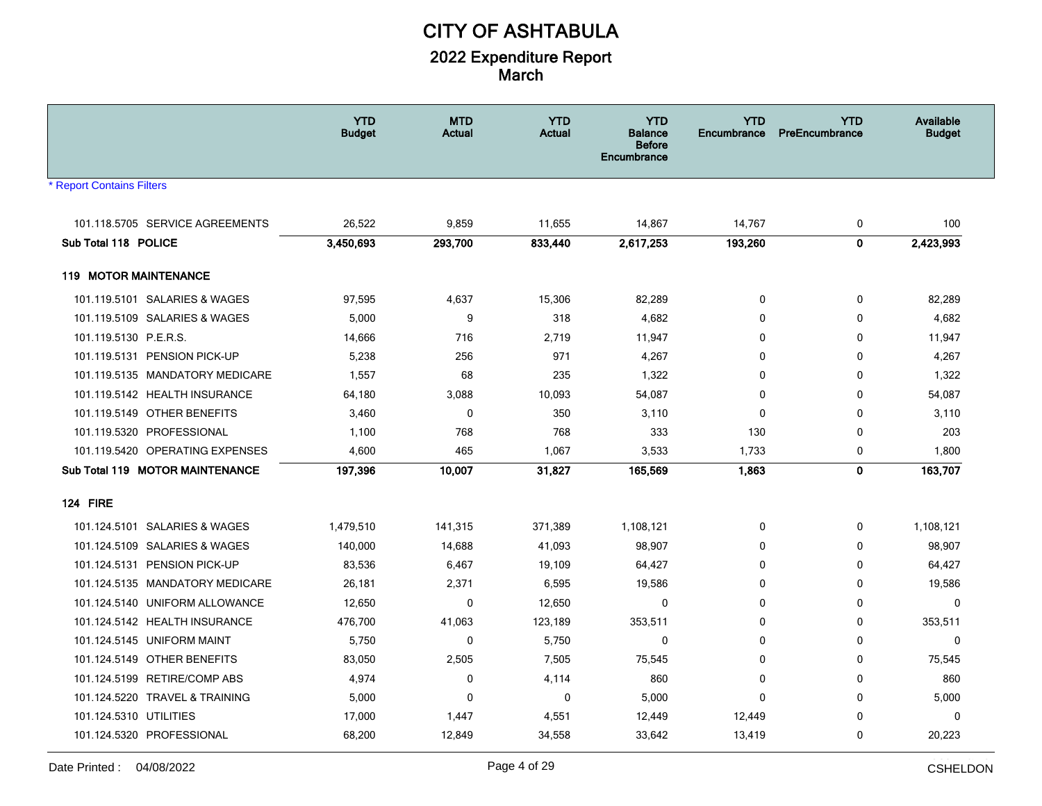|                                  | <b>YTD</b><br><b>Budget</b> | <b>MTD</b><br><b>Actual</b> | <b>YTD</b><br><b>Actual</b> | <b>YTD</b><br><b>Balance</b><br><b>Before</b><br>Encumbrance | <b>YTD</b><br>Encumbrance | <b>YTD</b><br>PreEncumbrance | Available<br><b>Budget</b> |
|----------------------------------|-----------------------------|-----------------------------|-----------------------------|--------------------------------------------------------------|---------------------------|------------------------------|----------------------------|
| <b>* Report Contains Filters</b> |                             |                             |                             |                                                              |                           |                              |                            |
|                                  |                             |                             |                             |                                                              |                           |                              |                            |
| 101.118.5705 SERVICE AGREEMENTS  | 26,522                      | 9,859                       | 11,655                      | 14,867                                                       | 14,767                    | 0                            | 100                        |
| Sub Total 118 POLICE             | 3,450,693                   | 293,700                     | 833,440                     | 2,617,253                                                    | 193,260                   | $\mathbf 0$                  | 2,423,993                  |
| <b>119 MOTOR MAINTENANCE</b>     |                             |                             |                             |                                                              |                           |                              |                            |
| 101.119.5101 SALARIES & WAGES    | 97,595                      | 4,637                       | 15,306                      | 82,289                                                       | $\mathbf 0$               | 0                            | 82,289                     |
| 101.119.5109 SALARIES & WAGES    | 5,000                       | 9                           | 318                         | 4,682                                                        | 0                         | $\mathbf 0$                  | 4,682                      |
| 101.119.5130 P.E.R.S.            | 14,666                      | 716                         | 2,719                       | 11,947                                                       | $\Omega$                  | $\mathbf 0$                  | 11,947                     |
| 101.119.5131 PENSION PICK-UP     | 5,238                       | 256                         | 971                         | 4,267                                                        | $\mathbf{0}$              | 0                            | 4,267                      |
| 101.119.5135 MANDATORY MEDICARE  | 1,557                       | 68                          | 235                         | 1,322                                                        | $\mathbf{0}$              | 0                            | 1,322                      |
| 101.119.5142 HEALTH INSURANCE    | 64,180                      | 3,088                       | 10,093                      | 54,087                                                       | 0                         | 0                            | 54,087                     |
| 101.119.5149 OTHER BENEFITS      | 3,460                       | 0                           | 350                         | 3,110                                                        | 0                         | 0                            | 3,110                      |
| 101.119.5320 PROFESSIONAL        | 1,100                       | 768                         | 768                         | 333                                                          | 130                       | 0                            | 203                        |
| 101.119.5420 OPERATING EXPENSES  | 4,600                       | 465                         | 1,067                       | 3,533                                                        | 1,733                     | 0                            | 1,800                      |
| Sub Total 119 MOTOR MAINTENANCE  | 197,396                     | 10,007                      | 31,827                      | 165,569                                                      | 1,863                     | $\mathbf{0}$                 | 163,707                    |
| <b>124 FIRE</b>                  |                             |                             |                             |                                                              |                           |                              |                            |
| 101.124.5101 SALARIES & WAGES    | 1,479,510                   | 141,315                     | 371,389                     | 1,108,121                                                    | 0                         | 0                            | 1,108,121                  |
| 101.124.5109 SALARIES & WAGES    | 140,000                     | 14,688                      | 41,093                      | 98,907                                                       | $\Omega$                  | $\mathbf 0$                  | 98,907                     |
| 101.124.5131 PENSION PICK-UP     | 83,536                      | 6,467                       | 19,109                      | 64,427                                                       | $\mathbf{0}$              | $\mathbf 0$                  | 64,427                     |
| 101.124.5135 MANDATORY MEDICARE  | 26,181                      | 2,371                       | 6,595                       | 19,586                                                       | 0                         | 0                            | 19,586                     |
| 101.124.5140 UNIFORM ALLOWANCE   | 12,650                      | $\mathbf 0$                 | 12,650                      | $\mathbf 0$                                                  | 0                         | 0                            | $\mathbf 0$                |
| 101.124.5142 HEALTH INSURANCE    | 476,700                     | 41,063                      | 123,189                     | 353,511                                                      | $\mathbf{0}$              | 0                            | 353,511                    |
| 101.124.5145 UNIFORM MAINT       | 5,750                       | $\mathbf 0$                 | 5,750                       | 0                                                            | $\mathbf{0}$              | 0                            | $\mathbf 0$                |
| 101.124.5149 OTHER BENEFITS      | 83,050                      | 2,505                       | 7,505                       | 75,545                                                       | $\Omega$                  | $\mathbf 0$                  | 75,545                     |
| 101.124.5199 RETIRE/COMP ABS     | 4,974                       | 0                           | 4,114                       | 860                                                          | 0                         | 0                            | 860                        |
| 101.124.5220 TRAVEL & TRAINING   | 5,000                       | $\mathbf 0$                 | $\mathbf 0$                 | 5,000                                                        | $\Omega$                  | $\mathbf 0$                  | 5,000                      |
| 101.124.5310 UTILITIES           | 17,000                      | 1,447                       | 4,551                       | 12,449                                                       | 12,449                    | $\Omega$                     | 0                          |
| 101.124.5320 PROFESSIONAL        | 68,200                      | 12,849                      | 34,558                      | 33,642                                                       | 13,419                    | 0                            | 20,223                     |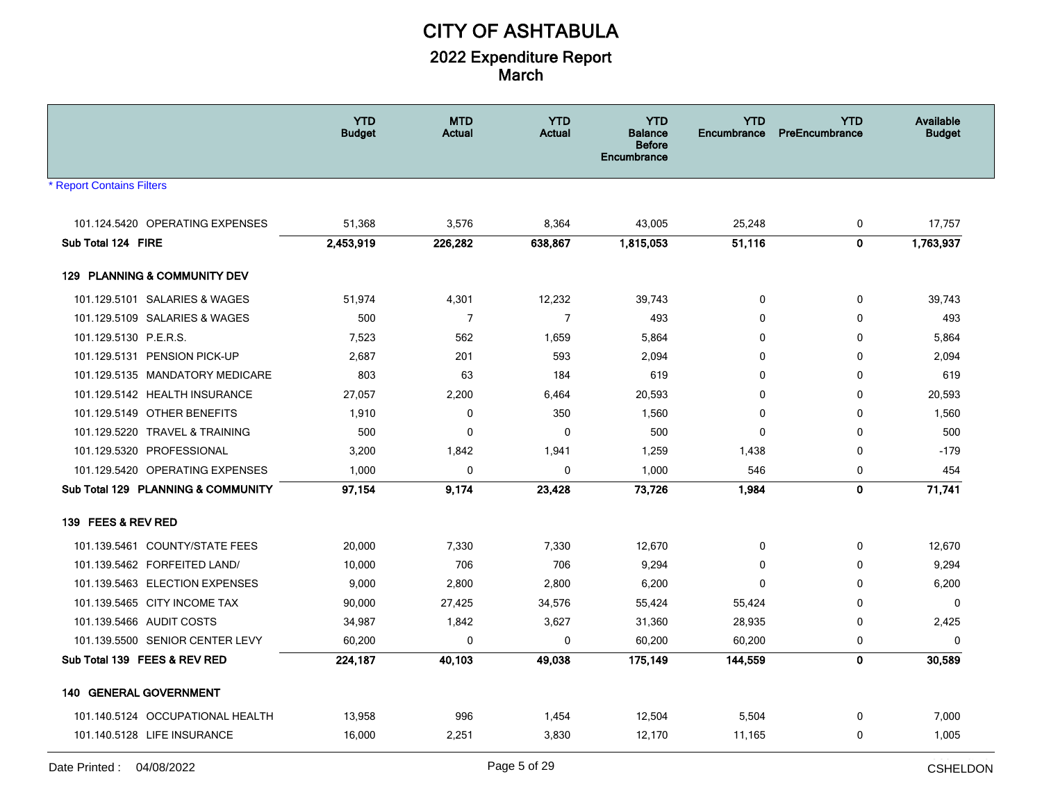|                                    | <b>YTD</b><br><b>Budget</b> | <b>MTD</b><br><b>Actual</b> | <b>YTD</b><br><b>Actual</b> | <b>YTD</b><br><b>Balance</b><br><b>Before</b><br>Encumbrance | <b>YTD</b><br><b>Encumbrance</b> | <b>YTD</b><br>PreEncumbrance | Available<br><b>Budget</b> |
|------------------------------------|-----------------------------|-----------------------------|-----------------------------|--------------------------------------------------------------|----------------------------------|------------------------------|----------------------------|
| <b>Report Contains Filters</b>     |                             |                             |                             |                                                              |                                  |                              |                            |
| 101.124.5420 OPERATING EXPENSES    |                             |                             | 8,364                       | 43,005                                                       |                                  |                              | 17.757                     |
| Sub Total 124 FIRE                 | 51,368<br>2,453,919         | 3,576<br>226,282            | 638,867                     | 1,815,053                                                    | 25,248<br>51,116                 | 0<br>$\mathbf 0$             | 1,763,937                  |
|                                    |                             |                             |                             |                                                              |                                  |                              |                            |
| 129 PLANNING & COMMUNITY DEV       |                             |                             |                             |                                                              |                                  |                              |                            |
| 101.129.5101 SALARIES & WAGES      | 51,974                      | 4,301                       | 12,232                      | 39,743                                                       | 0                                | 0                            | 39,743                     |
| 101.129.5109 SALARIES & WAGES      | 500                         | $\overline{7}$              | $\overline{7}$              | 493                                                          | $\mathbf{0}$                     | 0                            | 493                        |
| 101.129.5130 P.E.R.S.              | 7,523                       | 562                         | 1,659                       | 5,864                                                        | 0                                | 0                            | 5,864                      |
| 101.129.5131 PENSION PICK-UP       | 2,687                       | 201                         | 593                         | 2,094                                                        | 0                                | 0                            | 2,094                      |
| 101.129.5135 MANDATORY MEDICARE    | 803                         | 63                          | 184                         | 619                                                          | $\Omega$                         | 0                            | 619                        |
| 101.129.5142 HEALTH INSURANCE      | 27,057                      | 2,200                       | 6,464                       | 20,593                                                       | $\mathbf{0}$                     | 0                            | 20,593                     |
| 101.129.5149 OTHER BENEFITS        | 1,910                       | $\mathbf 0$                 | 350                         | 1,560                                                        | 0                                | 0                            | 1,560                      |
| 101.129.5220 TRAVEL & TRAINING     | 500                         | 0                           | 0                           | 500                                                          | 0                                | 0                            | 500                        |
| 101.129.5320 PROFESSIONAL          | 3,200                       | 1,842                       | 1,941                       | 1,259                                                        | 1,438                            | 0                            | $-179$                     |
| 101.129.5420 OPERATING EXPENSES    | 1,000                       | 0                           | 0                           | 1,000                                                        | 546                              | 0                            | 454                        |
| Sub Total 129 PLANNING & COMMUNITY | 97,154                      | 9,174                       | 23,428                      | 73,726                                                       | 1,984                            | $\mathbf 0$                  | 71,741                     |
| 139 FEES & REV RED                 |                             |                             |                             |                                                              |                                  |                              |                            |
| 101.139.5461 COUNTY/STATE FEES     | 20,000                      | 7,330                       | 7,330                       | 12,670                                                       | 0                                | 0                            | 12,670                     |
| 101.139.5462 FORFEITED LAND/       | 10,000                      | 706                         | 706                         | 9,294                                                        | 0                                | 0                            | 9,294                      |
| 101.139.5463 ELECTION EXPENSES     | 9,000                       | 2,800                       | 2,800                       | 6,200                                                        | $\mathbf{0}$                     | $\mathbf 0$                  | 6,200                      |
| 101.139.5465 CITY INCOME TAX       | 90,000                      | 27,425                      | 34,576                      | 55,424                                                       | 55,424                           | 0                            | 0                          |
| 101.139.5466 AUDIT COSTS           | 34,987                      | 1,842                       | 3,627                       | 31,360                                                       | 28,935                           | 0                            | 2,425                      |
| 101.139.5500 SENIOR CENTER LEVY    | 60,200                      | 0                           | $\mathbf 0$                 | 60,200                                                       | 60,200                           | 0                            | 0                          |
| Sub Total 139 FEES & REV RED       | 224,187                     | 40,103                      | 49,038                      | 175,149                                                      | 144,559                          | $\mathbf{0}$                 | 30,589                     |
| <b>140 GENERAL GOVERNMENT</b>      |                             |                             |                             |                                                              |                                  |                              |                            |
| 101.140.5124 OCCUPATIONAL HEALTH   | 13,958                      | 996                         | 1,454                       | 12,504                                                       | 5,504                            | 0                            | 7,000                      |
| 101.140.5128 LIFE INSURANCE        | 16,000                      | 2,251                       | 3,830                       | 12,170                                                       | 11,165                           | 0                            | 1,005                      |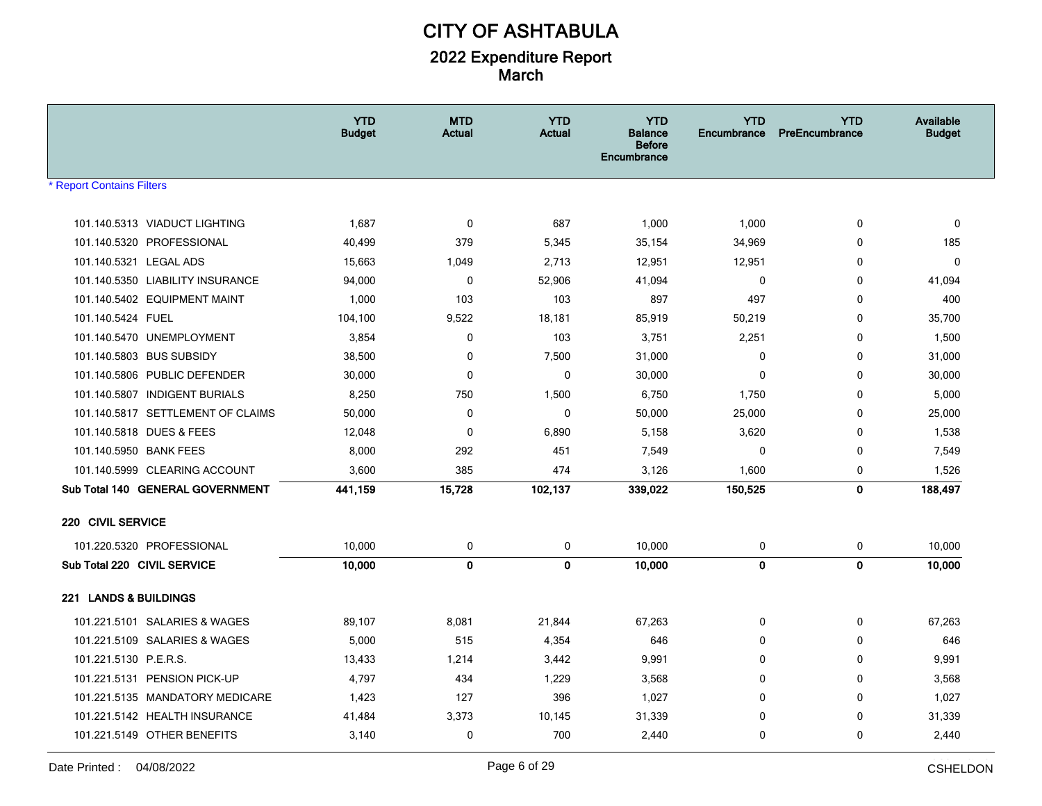|                                   | <b>YTD</b><br><b>Budget</b> | <b>MTD</b><br><b>Actual</b> | <b>YTD</b><br><b>Actual</b> | <b>YTD</b><br><b>Balance</b><br><b>Before</b><br>Encumbrance | <b>YTD</b><br>Encumbrance | <b>YTD</b><br>PreEncumbrance | Available<br><b>Budget</b> |
|-----------------------------------|-----------------------------|-----------------------------|-----------------------------|--------------------------------------------------------------|---------------------------|------------------------------|----------------------------|
| <b>Report Contains Filters</b>    |                             |                             |                             |                                                              |                           |                              |                            |
| 101.140.5313 VIADUCT LIGHTING     | 1,687                       | $\mathbf 0$                 | 687                         | 1,000                                                        | 1,000                     | $\mathbf 0$                  | $\mathbf 0$                |
| 101.140.5320 PROFESSIONAL         | 40,499                      | 379                         | 5,345                       | 35,154                                                       | 34,969                    | $\mathbf 0$                  | 185                        |
| 101.140.5321 LEGAL ADS            | 15,663                      | 1,049                       | 2,713                       | 12,951                                                       | 12,951                    | $\mathbf 0$                  | $\mathbf 0$                |
| 101.140.5350 LIABILITY INSURANCE  | 94,000                      | $\mathbf 0$                 | 52,906                      | 41,094                                                       | 0                         | $\mathbf 0$                  | 41,094                     |
| 101.140.5402 EQUIPMENT MAINT      | 1,000                       | 103                         | 103                         | 897                                                          | 497                       | $\mathbf 0$                  | 400                        |
| 101.140.5424 FUEL                 | 104,100                     | 9,522                       | 18,181                      | 85,919                                                       | 50,219                    | $\mathbf 0$                  | 35,700                     |
| 101.140.5470 UNEMPLOYMENT         | 3,854                       | 0                           | 103                         | 3,751                                                        | 2,251                     | $\mathbf 0$                  | 1,500                      |
| 101.140.5803 BUS SUBSIDY          | 38,500                      | $\mathbf 0$                 | 7,500                       | 31,000                                                       | $\mathbf 0$               | $\mathbf 0$                  | 31,000                     |
| 101.140.5806 PUBLIC DEFENDER      | 30,000                      | 0                           | $\mathbf{0}$                | 30,000                                                       | $\Omega$                  | $\mathbf 0$                  | 30,000                     |
| 101.140.5807 INDIGENT BURIALS     | 8,250                       | 750                         | 1,500                       | 6.750                                                        | 1,750                     | $\mathbf 0$                  | 5,000                      |
| 101.140.5817 SETTLEMENT OF CLAIMS | 50,000                      | 0                           | $\mathbf 0$                 | 50,000                                                       | 25,000                    | $\mathbf 0$                  | 25,000                     |
| 101.140.5818 DUES & FEES          | 12,048                      | 0                           | 6,890                       | 5,158                                                        | 3,620                     | $\mathbf 0$                  | 1,538                      |
| 101.140.5950 BANK FEES            | 8,000                       | 292                         | 451                         | 7,549                                                        | $\mathbf 0$               | $\mathbf 0$                  | 7,549                      |
| 101.140.5999 CLEARING ACCOUNT     | 3,600                       | 385                         | 474                         | 3,126                                                        | 1,600                     | 0                            | 1,526                      |
| Sub Total 140 GENERAL GOVERNMENT  | 441,159                     | 15,728                      | 102,137                     | 339,022                                                      | 150,525                   | $\mathbf{0}$                 | 188,497                    |
| 220 CIVIL SERVICE                 |                             |                             |                             |                                                              |                           |                              |                            |
| 101.220.5320 PROFESSIONAL         | 10,000                      | 0                           | 0                           | 10,000                                                       | 0                         | 0                            | 10,000                     |
| Sub Total 220 CIVIL SERVICE       | 10,000                      | $\mathbf 0$                 | $\mathbf{0}$                | 10,000                                                       | $\mathbf 0$               | $\mathbf 0$                  | 10,000                     |
| 221 LANDS & BUILDINGS             |                             |                             |                             |                                                              |                           |                              |                            |
| 101.221.5101 SALARIES & WAGES     | 89,107                      | 8,081                       | 21,844                      | 67,263                                                       | 0                         | $\mathbf 0$                  | 67,263                     |
| 101.221.5109 SALARIES & WAGES     | 5,000                       | 515                         | 4,354                       | 646                                                          | $\mathbf 0$               | $\mathbf 0$                  | 646                        |
| 101.221.5130 P.E.R.S.             | 13,433                      | 1,214                       | 3,442                       | 9,991                                                        | $\mathbf{0}$              | $\mathbf 0$                  | 9,991                      |
| 101.221.5131 PENSION PICK-UP      | 4,797                       | 434                         | 1,229                       | 3.568                                                        | 0                         | $\mathbf 0$                  | 3,568                      |
| 101.221.5135 MANDATORY MEDICARE   | 1,423                       | 127                         | 396                         | 1,027                                                        | 0                         | $\mathbf 0$                  | 1,027                      |
| 101.221.5142 HEALTH INSURANCE     | 41,484                      | 3,373                       | 10,145                      | 31,339                                                       | $\mathbf 0$               | $\mathbf 0$                  | 31,339                     |
| 101.221.5149 OTHER BENEFITS       | 3,140                       | 0                           | 700                         | 2,440                                                        | $\mathbf 0$               | $\mathbf 0$                  | 2,440                      |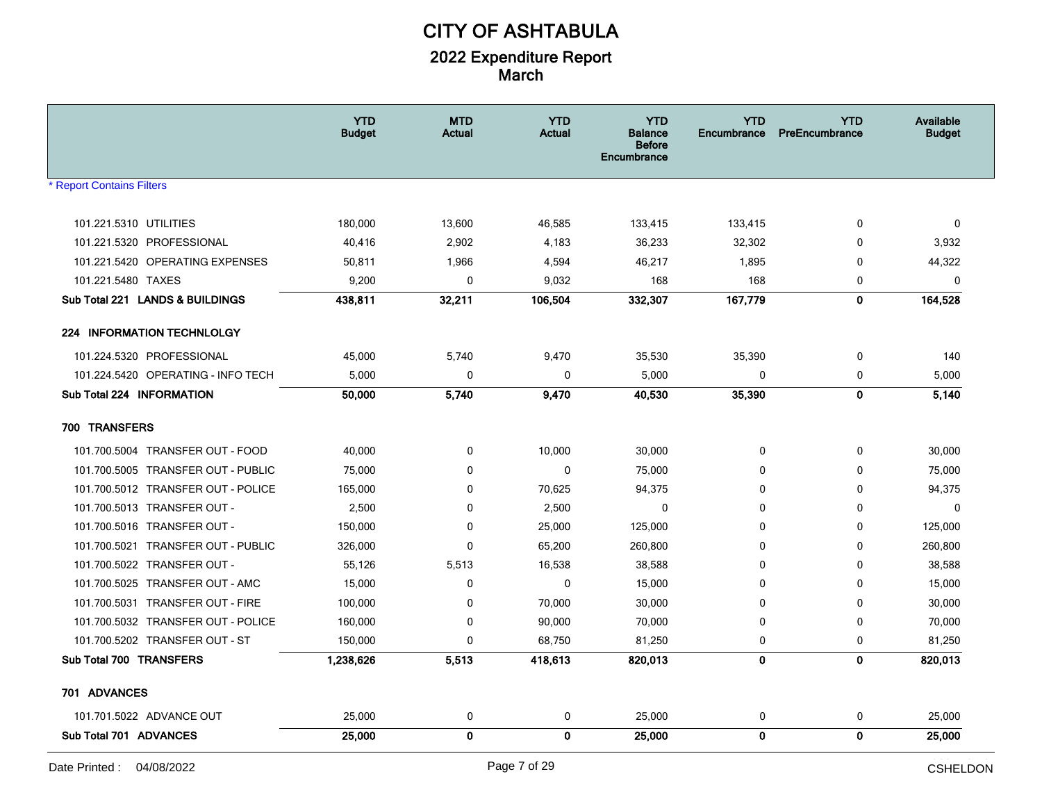|                                    | <b>YTD</b><br><b>Budget</b> | <b>MTD</b><br><b>Actual</b> | <b>YTD</b><br><b>Actual</b> | <b>YTD</b><br>Balance<br><b>Before</b><br>Encumbrance | <b>YTD</b><br><b>Encumbrance</b> | <b>YTD</b><br>PreEncumbrance | Available<br><b>Budget</b> |
|------------------------------------|-----------------------------|-----------------------------|-----------------------------|-------------------------------------------------------|----------------------------------|------------------------------|----------------------------|
| <b>Report Contains Filters</b>     |                             |                             |                             |                                                       |                                  |                              |                            |
| 101.221.5310 UTILITIES             | 180,000                     | 13,600                      | 46,585                      | 133,415                                               | 133,415                          | 0                            | 0                          |
| 101.221.5320 PROFESSIONAL          | 40,416                      | 2,902                       | 4,183                       | 36,233                                                | 32,302                           | 0                            | 3,932                      |
| 101.221.5420 OPERATING EXPENSES    | 50,811                      | 1,966                       | 4,594                       | 46,217                                                | 1,895                            | 0                            | 44,322                     |
| 101.221.5480 TAXES                 | 9,200                       | $\mathbf 0$                 | 9,032                       | 168                                                   | 168                              | 0                            | $\mathbf 0$                |
| Sub Total 221 LANDS & BUILDINGS    | 438,811                     | 32,211                      | 106,504                     | 332,307                                               | 167,779                          | $\mathbf{0}$                 | 164,528                    |
| <b>224 INFORMATION TECHNLOLGY</b>  |                             |                             |                             |                                                       |                                  |                              |                            |
| 101.224.5320 PROFESSIONAL          | 45,000                      | 5,740                       | 9,470                       | 35,530                                                | 35,390                           | 0                            | 140                        |
| 101.224.5420 OPERATING - INFO TECH | 5,000                       | $\mathbf 0$                 | 0                           | 5,000                                                 | 0                                | 0                            | 5,000                      |
| Sub Total 224 INFORMATION          | 50,000                      | 5,740                       | 9,470                       | 40,530                                                | 35,390                           | $\mathbf 0$                  | 5,140                      |
| 700 TRANSFERS                      |                             |                             |                             |                                                       |                                  |                              |                            |
| 101.700.5004 TRANSFER OUT - FOOD   | 40,000                      | $\mathbf 0$                 | 10,000                      | 30,000                                                | 0                                | $\mathbf 0$                  | 30,000                     |
| 101.700.5005 TRANSFER OUT - PUBLIC | 75,000                      | 0                           | 0                           | 75,000                                                | 0                                | 0                            | 75,000                     |
| 101.700.5012 TRANSFER OUT - POLICE | 165,000                     | 0                           | 70,625                      | 94,375                                                | 0                                | 0                            | 94,375                     |
| 101.700.5013 TRANSFER OUT -        | 2,500                       | $\mathbf 0$                 | 2,500                       | $\mathbf 0$                                           | 0                                | 0                            | $\Omega$                   |
| 101.700.5016 TRANSFER OUT -        | 150,000                     | 0                           | 25,000                      | 125,000                                               | 0                                | 0                            | 125,000                    |
| 101.700.5021 TRANSFER OUT - PUBLIC | 326,000                     | $\mathbf 0$                 | 65,200                      | 260,800                                               | 0                                | 0                            | 260,800                    |
| 101.700.5022 TRANSFER OUT -        | 55,126                      | 5,513                       | 16,538                      | 38,588                                                | 0                                | 0                            | 38,588                     |
| 101.700.5025 TRANSFER OUT - AMC    | 15,000                      | 0                           | 0                           | 15,000                                                | 0                                | 0                            | 15,000                     |
| 101.700.5031 TRANSFER OUT - FIRE   | 100,000                     | $\mathbf 0$                 | 70,000                      | 30,000                                                | 0                                | 0                            | 30,000                     |
| 101.700.5032 TRANSFER OUT - POLICE | 160,000                     | $\mathbf 0$                 | 90,000                      | 70,000                                                | 0                                | 0                            | 70,000                     |
| 101.700.5202 TRANSFER OUT - ST     | 150,000                     | $\mathbf 0$                 | 68,750                      | 81,250                                                | 0                                | 0                            | 81,250                     |
| Sub Total 700 TRANSFERS            | 1,238,626                   | 5,513                       | 418,613                     | 820,013                                               | $\mathbf 0$                      | $\mathbf{0}$                 | 820,013                    |
| 701 ADVANCES                       |                             |                             |                             |                                                       |                                  |                              |                            |
| 101.701.5022 ADVANCE OUT           | 25,000                      | 0                           | 0                           | 25,000                                                | 0                                | 0                            | 25,000                     |
| Sub Total 701 ADVANCES             | 25,000                      | $\pmb{0}$                   | 0                           | 25,000                                                | 0                                | $\mathbf 0$                  | 25,000                     |
|                                    |                             |                             |                             |                                                       |                                  |                              | بالمساد بالممات            |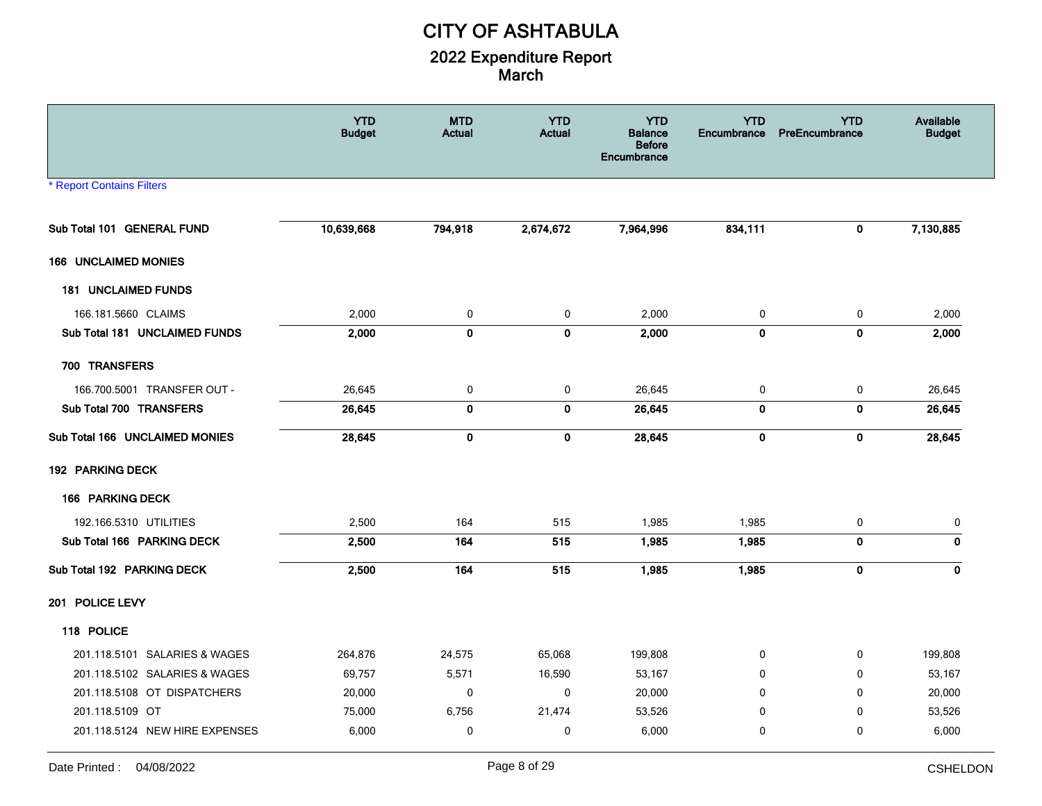|                                  | <b>YTD</b><br><b>Budget</b> | <b>MTD</b><br>Actual | <b>YTD</b><br><b>Actual</b> | <b>YTD</b><br><b>Balance</b><br><b>Before</b><br>Encumbrance | <b>YTD</b><br>Encumbrance | <b>YTD</b><br>PreEncumbrance | <b>Available</b><br><b>Budget</b> |
|----------------------------------|-----------------------------|----------------------|-----------------------------|--------------------------------------------------------------|---------------------------|------------------------------|-----------------------------------|
| <b>* Report Contains Filters</b> |                             |                      |                             |                                                              |                           |                              |                                   |
| Sub Total 101 GENERAL FUND       | 10,639,668                  | 794,918              | 2,674,672                   | 7,964,996                                                    | 834,111                   | 0                            | 7,130,885                         |
| 166 UNCLAIMED MONIES             |                             |                      |                             |                                                              |                           |                              |                                   |
| <b>181 UNCLAIMED FUNDS</b>       |                             |                      |                             |                                                              |                           |                              |                                   |
| 166.181.5660 CLAIMS              | 2,000                       | 0                    | 0                           | 2,000                                                        | 0                         | 0                            | 2,000                             |
| Sub Total 181 UNCLAIMED FUNDS    | 2,000                       | $\mathbf 0$          | $\mathbf 0$                 | 2,000                                                        | $\mathbf 0$               | $\mathbf 0$                  | 2,000                             |
| 700 TRANSFERS                    |                             |                      |                             |                                                              |                           |                              |                                   |
| 166.700.5001 TRANSFER OUT -      | 26,645                      | $\pmb{0}$            | $\pmb{0}$                   | 26,645                                                       | 0                         | $\pmb{0}$                    | 26,645                            |
| Sub Total 700 TRANSFERS          | 26,645                      | $\mathbf 0$          | $\bf{0}$                    | 26,645                                                       | $\mathbf 0$               | $\pmb{0}$                    | 26,645                            |
| Sub Total 166 UNCLAIMED MONIES   | 28,645                      | $\pmb{0}$            | $\pmb{0}$                   | 28,645                                                       | $\pmb{0}$                 | $\mathbf 0$                  | 28,645                            |
| 192 PARKING DECK                 |                             |                      |                             |                                                              |                           |                              |                                   |
| 166 PARKING DECK                 |                             |                      |                             |                                                              |                           |                              |                                   |
| 192.166.5310 UTILITIES           | 2,500                       | 164                  | 515                         | 1,985                                                        | 1,985                     | 0                            | 0                                 |
| Sub Total 166 PARKING DECK       | 2,500                       | 164                  | 515                         | 1,985                                                        | 1,985                     | $\bf{0}$                     | $\mathbf 0$                       |
| Sub Total 192 PARKING DECK       | 2,500                       | 164                  | 515                         | 1,985                                                        | 1,985                     | $\mathbf 0$                  | 0                                 |
| 201 POLICE LEVY                  |                             |                      |                             |                                                              |                           |                              |                                   |
| 118 POLICE                       |                             |                      |                             |                                                              |                           |                              |                                   |
| 201.118.5101 SALARIES & WAGES    | 264,876                     | 24,575               | 65,068                      | 199,808                                                      | 0                         | 0                            | 199,808                           |
| 201.118.5102 SALARIES & WAGES    | 69,757                      | 5,571                | 16,590                      | 53,167                                                       | 0                         | 0                            | 53,167                            |
| 201.118.5108 OT DISPATCHERS      | 20,000                      | $\mathbf 0$          | $\mathbf 0$                 | 20,000                                                       | $\mathbf{0}$              | $\Omega$                     | 20,000                            |
| 201.118.5109 OT                  | 75,000                      | 6,756                | 21,474                      | 53,526                                                       | 0                         | 0                            | 53,526                            |
| 201.118.5124 NEW HIRE EXPENSES   | 6,000                       | $\mathbf 0$          | 0                           | 6,000                                                        | $\mathbf 0$               | $\mathbf 0$                  | 6,000                             |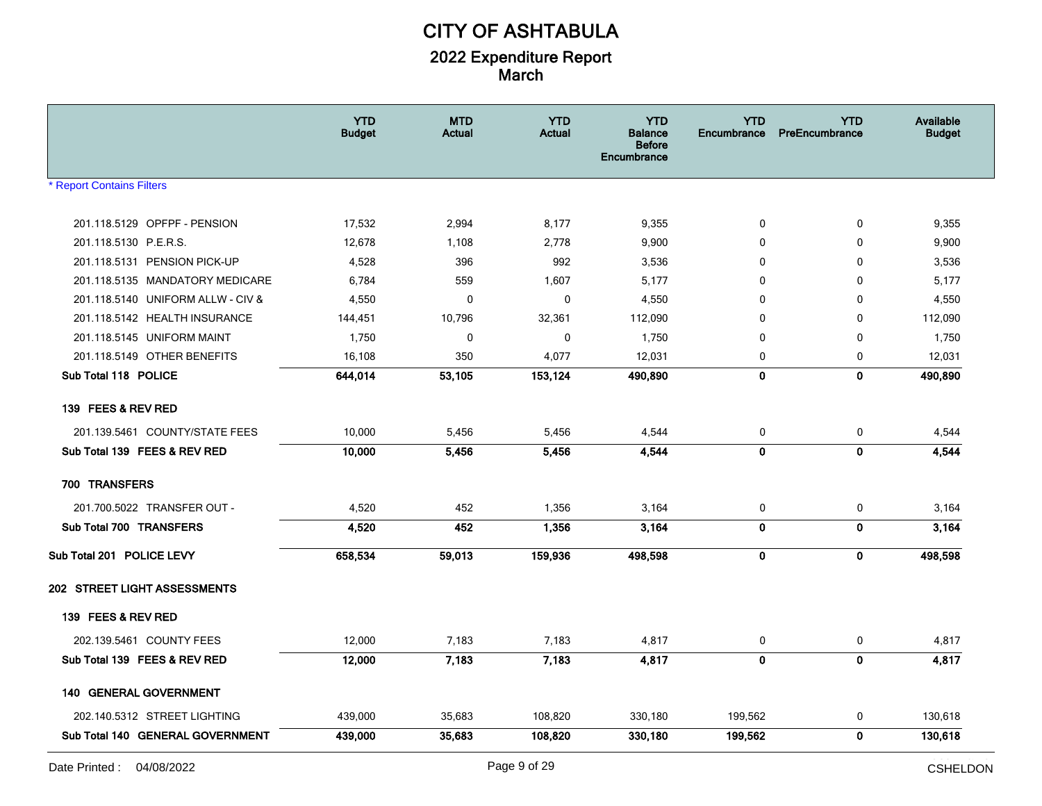|                                   | <b>YTD</b><br><b>Budget</b> | <b>MTD</b><br>Actual | <b>YTD</b><br><b>Actual</b> | <b>YTD</b><br><b>Balance</b><br><b>Before</b><br>Encumbrance | <b>YTD</b><br><b>Encumbrance</b> | <b>YTD</b><br>PreEncumbrance | Available<br><b>Budget</b> |
|-----------------------------------|-----------------------------|----------------------|-----------------------------|--------------------------------------------------------------|----------------------------------|------------------------------|----------------------------|
| <b>* Report Contains Filters</b>  |                             |                      |                             |                                                              |                                  |                              |                            |
| 201.118.5129 OPFPF - PENSION      | 17,532                      | 2,994                | 8,177                       | 9,355                                                        | 0                                | 0                            | 9,355                      |
| 201.118.5130 P.E.R.S.             | 12,678                      | 1,108                | 2,778                       | 9,900                                                        | 0                                | 0                            | 9,900                      |
| 201.118.5131 PENSION PICK-UP      | 4,528                       | 396                  | 992                         | 3,536                                                        | 0                                | 0                            | 3,536                      |
| 201.118.5135 MANDATORY MEDICARE   | 6,784                       | 559                  | 1,607                       | 5,177                                                        | 0                                | 0                            | 5,177                      |
| 201.118.5140 UNIFORM ALLW - CIV & | 4,550                       | $\mathbf 0$          | 0                           | 4,550                                                        | $\mathbf 0$                      | 0                            | 4,550                      |
| 201.118.5142 HEALTH INSURANCE     | 144,451                     | 10,796               | 32,361                      | 112,090                                                      | 0                                | 0                            | 112,090                    |
| 201.118.5145 UNIFORM MAINT        | 1,750                       | 0                    | 0                           | 1,750                                                        | 0                                | 0                            | 1,750                      |
| 201.118.5149 OTHER BENEFITS       | 16,108                      | 350                  | 4,077                       | 12,031                                                       | $\mathbf 0$                      | 0                            | 12,031                     |
| Sub Total 118 POLICE              | 644,014                     | 53,105               | 153,124                     | 490,890                                                      | 0                                | $\mathbf 0$                  | 490,890                    |
| 139 FEES & REV RED                |                             |                      |                             |                                                              |                                  |                              |                            |
| 201.139.5461 COUNTY/STATE FEES    | 10,000                      | 5,456                | 5,456                       | 4,544                                                        | 0                                | 0                            | 4,544                      |
| Sub Total 139 FEES & REV RED      | 10,000                      | 5,456                | 5,456                       | 4,544                                                        | 0                                | 0                            | 4,544                      |
| 700 TRANSFERS                     |                             |                      |                             |                                                              |                                  |                              |                            |
| 201.700.5022 TRANSFER OUT -       | 4,520                       | 452                  | 1,356                       | 3,164                                                        | $\pmb{0}$                        | 0                            | 3,164                      |
| Sub Total 700 TRANSFERS           | 4,520                       | 452                  | 1,356                       | 3,164                                                        | 0                                | $\mathbf 0$                  | 3,164                      |
| Sub Total 201 POLICE LEVY         | 658,534                     | 59,013               | 159,936                     | 498,598                                                      | 0                                | $\mathbf 0$                  | 498,598                    |
| 202 STREET LIGHT ASSESSMENTS      |                             |                      |                             |                                                              |                                  |                              |                            |
| 139 FEES & REV RED                |                             |                      |                             |                                                              |                                  |                              |                            |
| 202.139.5461 COUNTY FEES          | 12,000                      | 7,183                | 7,183                       | 4,817                                                        | 0                                | 0                            | 4,817                      |
| Sub Total 139 FEES & REV RED      | 12,000                      | 7,183                | 7,183                       | 4,817                                                        | $\pmb{0}$                        | $\mathbf 0$                  | 4,817                      |
| <b>140 GENERAL GOVERNMENT</b>     |                             |                      |                             |                                                              |                                  |                              |                            |
| 202.140.5312 STREET LIGHTING      | 439,000                     | 35,683               | 108,820                     | 330,180                                                      | 199,562                          | 0                            | 130,618                    |
| Sub Total 140 GENERAL GOVERNMENT  | 439,000                     | 35,683               | 108,820                     | 330,180                                                      | 199,562                          | $\mathbf 0$                  | 130,618                    |
|                                   |                             |                      |                             |                                                              |                                  |                              | بالمساد بالممات            |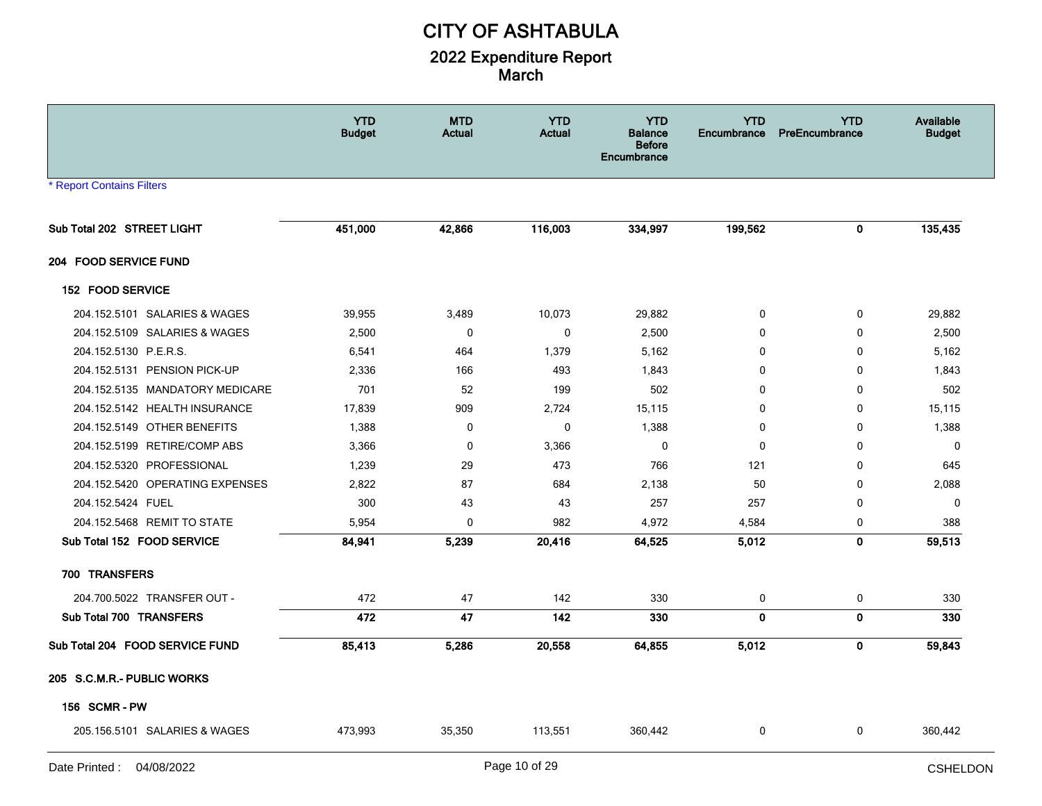|                                  | <b>YTD</b><br><b>Budget</b> | <b>MTD</b><br>Actual | <b>YTD</b><br><b>Actual</b> | <b>YTD</b><br><b>Balance</b><br><b>Before</b><br>Encumbrance | <b>YTD</b><br><b>Encumbrance</b> | <b>YTD</b><br>PreEncumbrance | Available<br><b>Budget</b> |
|----------------------------------|-----------------------------|----------------------|-----------------------------|--------------------------------------------------------------|----------------------------------|------------------------------|----------------------------|
| <b>* Report Contains Filters</b> |                             |                      |                             |                                                              |                                  |                              |                            |
| Sub Total 202 STREET LIGHT       | 451,000                     | 42,866               | 116,003                     | 334,997                                                      | 199,562                          | 0                            | 135,435                    |
| 204 FOOD SERVICE FUND            |                             |                      |                             |                                                              |                                  |                              |                            |
| 152 FOOD SERVICE                 |                             |                      |                             |                                                              |                                  |                              |                            |
| 204.152.5101 SALARIES & WAGES    | 39,955                      | 3,489                | 10,073                      | 29,882                                                       | 0                                | 0                            | 29,882                     |
| 204.152.5109 SALARIES & WAGES    | 2,500                       | 0                    | 0                           | 2,500                                                        | $\mathbf 0$                      | 0                            | 2,500                      |
| 204.152.5130 P.E.R.S.            | 6,541                       | 464                  | 1,379                       | 5,162                                                        | 0                                | 0                            | 5,162                      |
| 204.152.5131 PENSION PICK-UP     | 2,336                       | 166                  | 493                         | 1,843                                                        | 0                                | 0                            | 1,843                      |
| 204.152.5135 MANDATORY MEDICARE  | 701                         | 52                   | 199                         | 502                                                          | $\mathbf{0}$                     | $\Omega$                     | 502                        |
| 204.152.5142 HEALTH INSURANCE    | 17,839                      | 909                  | 2,724                       | 15,115                                                       | $\mathbf{0}$                     | 0                            | 15,115                     |
| 204.152.5149 OTHER BENEFITS      | 1,388                       | $\mathbf 0$          | 0                           | 1,388                                                        | 0                                | 0                            | 1,388                      |
| 204.152.5199 RETIRE/COMP ABS     | 3,366                       | 0                    | 3,366                       | $\mathbf 0$                                                  | $\mathbf 0$                      | 0                            | $\mathbf 0$                |
| 204.152.5320 PROFESSIONAL        | 1,239                       | 29                   | 473                         | 766                                                          | 121                              | 0                            | 645                        |
| 204.152.5420 OPERATING EXPENSES  | 2,822                       | 87                   | 684                         | 2,138                                                        | 50                               | 0                            | 2,088                      |
| 204.152.5424 FUEL                | 300                         | 43                   | 43                          | 257                                                          | 257                              | $\Omega$                     | $\mathbf{0}$               |
| 204.152.5468 REMIT TO STATE      | 5,954                       | $\mathbf 0$          | 982                         | 4,972                                                        | 4,584                            | 0                            | 388                        |
| Sub Total 152 FOOD SERVICE       | 84,941                      | 5,239                | 20,416                      | 64,525                                                       | 5,012                            | $\mathbf{0}$                 | 59,513                     |
| 700 TRANSFERS                    |                             |                      |                             |                                                              |                                  |                              |                            |
| 204.700.5022 TRANSFER OUT -      | 472                         | 47                   | 142                         | 330                                                          | $\pmb{0}$                        | 0                            | 330                        |
| Sub Total 700 TRANSFERS          | 472                         | 47                   | 142                         | 330                                                          | $\mathbf 0$                      | $\mathbf 0$                  | 330                        |
| Sub Total 204 FOOD SERVICE FUND  | 85,413                      | 5,286                | 20,558                      | 64,855                                                       | 5,012                            | 0                            | 59,843                     |
| 205 S.C.M.R.- PUBLIC WORKS       |                             |                      |                             |                                                              |                                  |                              |                            |
| <b>156 SCMR-PW</b>               |                             |                      |                             |                                                              |                                  |                              |                            |
| 205.156.5101 SALARIES & WAGES    | 473,993                     | 35,350               | 113,551                     | 360,442                                                      | 0                                | 0                            | 360,442                    |
|                                  |                             |                      |                             |                                                              |                                  |                              | عاديتها التاعات            |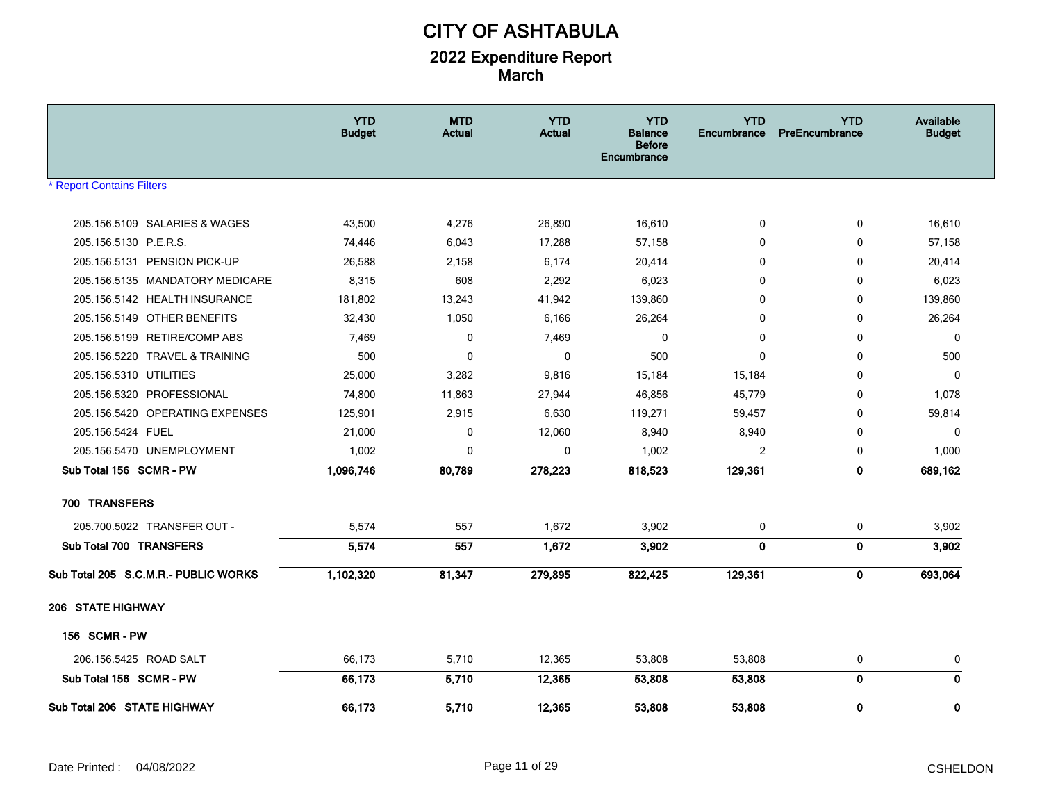|                                      | <b>YTD</b><br><b>Budget</b> | <b>MTD</b><br>Actual | <b>YTD</b><br><b>Actual</b> | <b>YTD</b><br><b>Balance</b><br><b>Before</b><br><b>Encumbrance</b> | <b>YTD</b><br>Encumbrance | <b>YTD</b><br>PreEncumbrance | Available<br><b>Budget</b> |
|--------------------------------------|-----------------------------|----------------------|-----------------------------|---------------------------------------------------------------------|---------------------------|------------------------------|----------------------------|
| <b>* Report Contains Filters</b>     |                             |                      |                             |                                                                     |                           |                              |                            |
| 205.156.5109 SALARIES & WAGES        | 43,500                      | 4,276                | 26,890                      | 16,610                                                              | 0                         | 0                            | 16,610                     |
| 205.156.5130 P.E.R.S.                | 74,446                      | 6,043                | 17,288                      | 57,158                                                              | $\mathbf{0}$              | 0                            | 57,158                     |
| 205.156.5131 PENSION PICK-UP         | 26,588                      | 2,158                | 6,174                       | 20,414                                                              | 0                         | 0                            | 20,414                     |
| 205.156.5135 MANDATORY MEDICARE      | 8,315                       | 608                  | 2,292                       | 6,023                                                               | $\mathbf{0}$              | 0                            | 6,023                      |
| 205.156.5142 HEALTH INSURANCE        | 181,802                     | 13,243               | 41,942                      | 139,860                                                             | 0                         | $\mathbf{0}$                 | 139,860                    |
| 205.156.5149 OTHER BENEFITS          | 32,430                      | 1,050                | 6,166                       | 26,264                                                              | $\mathbf{0}$              | $\mathbf 0$                  | 26,264                     |
| 205.156.5199 RETIRE/COMP ABS         | 7,469                       | $\Omega$             | 7,469                       | $\Omega$                                                            | $\mathbf{0}$              | $\mathbf 0$                  | $\mathbf 0$                |
| 205.156.5220 TRAVEL & TRAINING       | 500                         | $\mathbf 0$          | 0                           | 500                                                                 | $\mathbf{0}$              | $\mathbf 0$                  | 500                        |
| 205.156.5310 UTILITIES               | 25,000                      | 3,282                | 9,816                       | 15,184                                                              | 15,184                    | 0                            | $\mathbf{0}$               |
| 205.156.5320 PROFESSIONAL            | 74,800                      | 11,863               | 27,944                      | 46,856                                                              | 45,779                    | $\mathbf{0}$                 | 1,078                      |
| 205.156.5420 OPERATING EXPENSES      | 125,901                     | 2,915                | 6,630                       | 119,271                                                             | 59,457                    | $\mathbf{0}$                 | 59,814                     |
| 205.156.5424 FUEL                    | 21,000                      | 0                    | 12,060                      | 8,940                                                               | 8,940                     | $\mathbf 0$                  | $\mathbf 0$                |
| 205.156.5470 UNEMPLOYMENT            | 1,002                       | $\Omega$             | 0                           | 1,002                                                               | 2                         | 0                            | 1,000                      |
| Sub Total 156 SCMR - PW              | 1,096,746                   | 80,789               | 278,223                     | 818,523                                                             | 129,361                   | $\mathbf{0}$                 | 689,162                    |
| 700 TRANSFERS                        |                             |                      |                             |                                                                     |                           |                              |                            |
| 205.700.5022 TRANSFER OUT -          | 5,574                       | 557                  | 1,672                       | 3,902                                                               | 0                         | 0                            | 3,902                      |
| Sub Total 700 TRANSFERS              | 5,574                       | 557                  | 1,672                       | 3,902                                                               | $\mathbf{0}$              | $\mathbf 0$                  | 3,902                      |
| Sub Total 205 S.C.M.R.- PUBLIC WORKS | 1,102,320                   | 81,347               | 279,895                     | 822,425                                                             | 129,361                   | 0                            | 693,064                    |
| <b>206 STATE HIGHWAY</b>             |                             |                      |                             |                                                                     |                           |                              |                            |
| <b>156 SCMR-PW</b>                   |                             |                      |                             |                                                                     |                           |                              |                            |
| 206.156.5425 ROAD SALT               | 66,173                      | 5,710                | 12,365                      | 53,808                                                              | 53,808                    | 0                            | 0                          |
| Sub Total 156 SCMR - PW              | 66,173                      | 5,710                | 12,365                      | 53,808                                                              | 53,808                    | $\bf{0}$                     | $\mathbf 0$                |
| Sub Total 206 STATE HIGHWAY          | 66,173                      | 5,710                | 12,365                      | 53,808                                                              | 53,808                    | $\mathbf 0$                  | $\mathbf 0$                |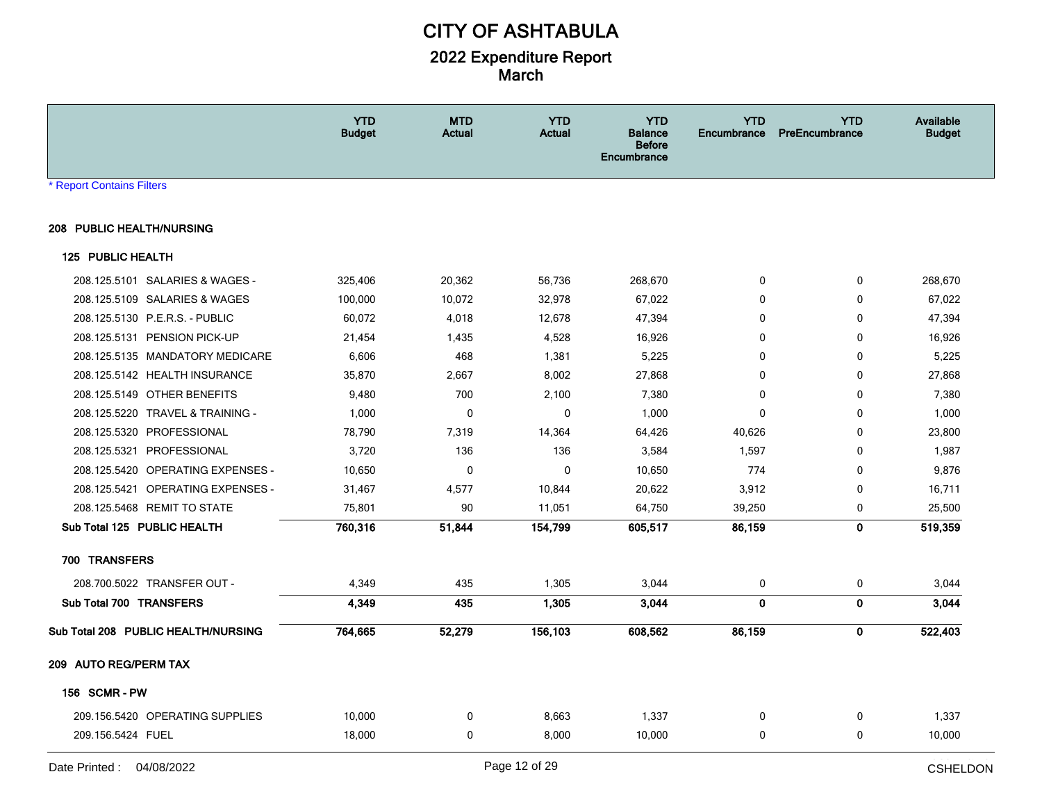|                                     | <b>YTD</b><br><b>Budget</b> | <b>MTD</b><br>Actual | <b>YTD</b><br><b>Actual</b> | <b>YTD</b><br><b>Balance</b><br><b>Before</b><br><b>Encumbrance</b> | <b>YTD</b><br><b>Encumbrance</b> | <b>YTD</b><br><b>PreEncumbrance</b> | Available<br><b>Budget</b> |
|-------------------------------------|-----------------------------|----------------------|-----------------------------|---------------------------------------------------------------------|----------------------------------|-------------------------------------|----------------------------|
| * Report Contains Filters           |                             |                      |                             |                                                                     |                                  |                                     |                            |
| 208 PUBLIC HEALTH/NURSING           |                             |                      |                             |                                                                     |                                  |                                     |                            |
| 125 PUBLIC HEALTH                   |                             |                      |                             |                                                                     |                                  |                                     |                            |
| 208.125.5101 SALARIES & WAGES -     | 325,406                     | 20,362               | 56,736                      | 268,670                                                             | 0                                | 0                                   | 268,670                    |
| 208.125.5109 SALARIES & WAGES       | 100,000                     | 10,072               | 32,978                      | 67,022                                                              | $\Omega$                         | $\Omega$                            | 67,022                     |
| 208.125.5130 P.E.R.S. - PUBLIC      | 60,072                      | 4,018                | 12,678                      | 47,394                                                              | 0                                | $\Omega$                            | 47,394                     |
| 208.125.5131 PENSION PICK-UP        | 21,454                      | 1,435                | 4,528                       | 16,926                                                              | 0                                | 0                                   | 16,926                     |
| 208.125.5135 MANDATORY MEDICARE     | 6,606                       | 468                  | 1,381                       | 5,225                                                               | 0                                | 0                                   | 5,225                      |
| 208.125.5142 HEALTH INSURANCE       | 35,870                      | 2,667                | 8,002                       | 27,868                                                              | 0                                | 0                                   | 27,868                     |
| 208.125.5149 OTHER BENEFITS         | 9,480                       | 700                  | 2,100                       | 7,380                                                               | $\mathbf{0}$                     | 0                                   | 7,380                      |
| 208.125.5220 TRAVEL & TRAINING -    | 1,000                       | $\mathbf 0$          | 0                           | 1,000                                                               | $\mathbf{0}$                     | 0                                   | 1,000                      |
| 208.125.5320 PROFESSIONAL           | 78,790                      | 7,319                | 14,364                      | 64,426                                                              | 40,626                           | 0                                   | 23,800                     |
| 208.125.5321 PROFESSIONAL           | 3,720                       | 136                  | 136                         | 3,584                                                               | 1,597                            | 0                                   | 1,987                      |
| 208.125.5420 OPERATING EXPENSES -   | 10,650                      | 0                    | $\pmb{0}$                   | 10,650                                                              | 774                              | 0                                   | 9,876                      |
| 208.125.5421 OPERATING EXPENSES -   | 31,467                      | 4,577                | 10,844                      | 20,622                                                              | 3,912                            | 0                                   | 16,711                     |
| 208.125.5468 REMIT TO STATE         | 75,801                      | 90                   | 11,051                      | 64,750                                                              | 39,250                           | 0                                   | 25,500                     |
| Sub Total 125 PUBLIC HEALTH         | 760,316                     | 51,844               | 154,799                     | 605,517                                                             | 86,159                           | $\mathbf{0}$                        | 519,359                    |
| 700 TRANSFERS                       |                             |                      |                             |                                                                     |                                  |                                     |                            |
| 208.700.5022 TRANSFER OUT -         | 4,349                       | 435                  | 1,305                       | 3,044                                                               | $\mathbf 0$                      | $\mathbf 0$                         | 3,044                      |
| Sub Total 700 TRANSFERS             | 4,349                       | 435                  | 1,305                       | 3,044                                                               | $\mathbf 0$                      | $\pmb{0}$                           | 3,044                      |
| Sub Total 208 PUBLIC HEALTH/NURSING | 764,665                     | 52,279               | 156,103                     | 608,562                                                             | 86,159                           | $\mathbf 0$                         | 522,403                    |
| 209 AUTO REG/PERM TAX               |                             |                      |                             |                                                                     |                                  |                                     |                            |
| <b>156 SCMR-PW</b>                  |                             |                      |                             |                                                                     |                                  |                                     |                            |
| 209.156.5420 OPERATING SUPPLIES     | 10,000                      | 0                    | 8,663                       | 1,337                                                               | 0                                | 0                                   | 1,337                      |
| 209.156.5424 FUEL                   | 18,000                      | $\mathbf 0$          | 8,000                       | 10,000                                                              | 0                                | 0                                   | 10,000                     |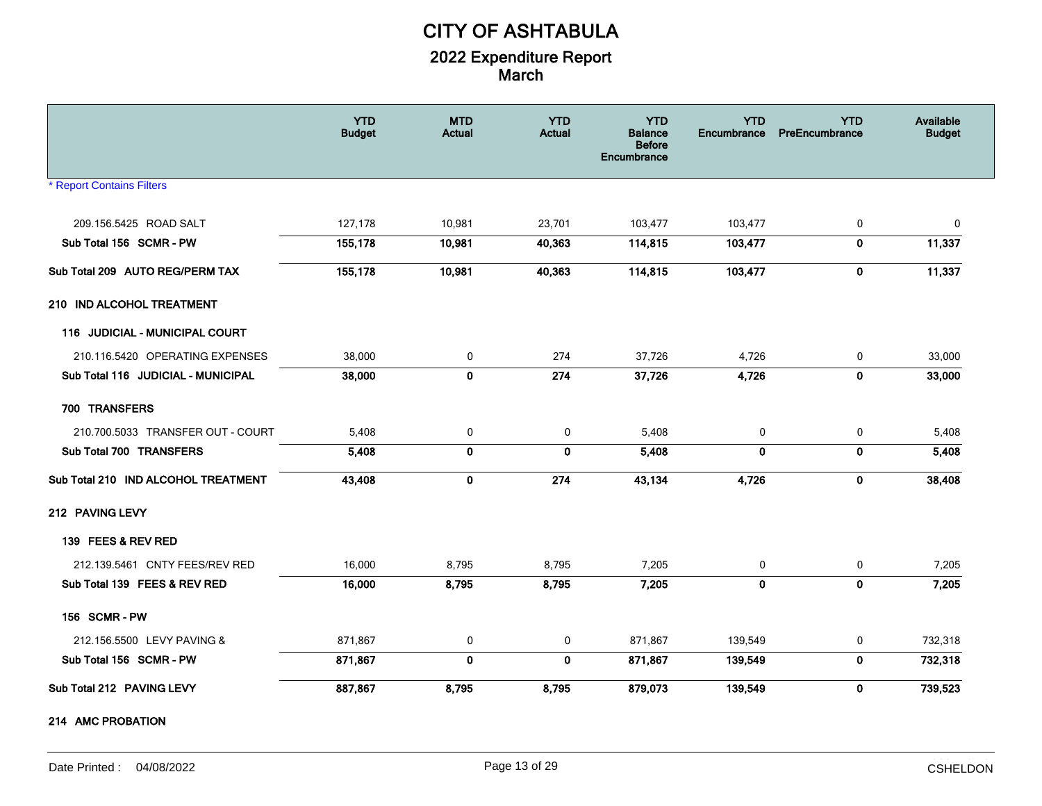|                                     | <b>YTD</b><br><b>Budget</b> | <b>MTD</b><br><b>Actual</b> | <b>YTD</b><br><b>Actual</b> | <b>YTD</b><br><b>Balance</b><br><b>Before</b><br>Encumbrance | <b>YTD</b><br>Encumbrance | <b>YTD</b><br>PreEncumbrance | Available<br><b>Budget</b> |
|-------------------------------------|-----------------------------|-----------------------------|-----------------------------|--------------------------------------------------------------|---------------------------|------------------------------|----------------------------|
| <b>* Report Contains Filters</b>    |                             |                             |                             |                                                              |                           |                              |                            |
| 209.156.5425 ROAD SALT              | 127,178                     | 10,981                      | 23,701                      | 103,477                                                      | 103,477                   | 0                            | 0                          |
| Sub Total 156 SCMR - PW             | 155,178                     | 10,981                      | 40,363                      | 114,815                                                      | 103,477                   | $\mathbf 0$                  | 11,337                     |
| Sub Total 209 AUTO REG/PERM TAX     | 155,178                     | 10,981                      | 40,363                      | 114,815                                                      | 103,477                   | $\mathbf 0$                  | 11,337                     |
| 210 IND ALCOHOL TREATMENT           |                             |                             |                             |                                                              |                           |                              |                            |
| 116 JUDICIAL - MUNICIPAL COURT      |                             |                             |                             |                                                              |                           |                              |                            |
| 210.116.5420 OPERATING EXPENSES     | 38,000                      | 0                           | 274                         | 37,726                                                       | 4,726                     | 0                            | 33,000                     |
| Sub Total 116 JUDICIAL - MUNICIPAL  | 38,000                      | $\mathbf 0$                 | 274                         | 37,726                                                       | 4,726                     | $\mathbf 0$                  | 33,000                     |
| 700 TRANSFERS                       |                             |                             |                             |                                                              |                           |                              |                            |
| 210.700.5033 TRANSFER OUT - COURT   | 5,408                       | 0                           | 0                           | 5,408                                                        | 0                         | 0                            | 5,408                      |
| Sub Total 700 TRANSFERS             | 5,408                       | $\bf{0}$                    | $\mathbf 0$                 | 5,408                                                        | $\mathbf{0}$              | $\mathbf 0$                  | 5,408                      |
| Sub Total 210 IND ALCOHOL TREATMENT | 43,408                      | 0                           | 274                         | 43,134                                                       | 4,726                     | $\mathbf 0$                  | 38,408                     |
| 212 PAVING LEVY                     |                             |                             |                             |                                                              |                           |                              |                            |
| 139 FEES & REV RED                  |                             |                             |                             |                                                              |                           |                              |                            |
| 212.139.5461 CNTY FEES/REV RED      | 16,000                      | 8,795                       | 8,795                       | 7,205                                                        | 0                         | $\mathbf 0$                  | 7,205                      |
| Sub Total 139 FEES & REV RED        | 16,000                      | 8,795                       | 8,795                       | 7,205                                                        | $\mathbf 0$               | $\mathbf 0$                  | 7,205                      |
| 156 SCMR-PW                         |                             |                             |                             |                                                              |                           |                              |                            |
| 212.156.5500 LEVY PAVING &          | 871,867                     | 0                           | 0                           | 871,867                                                      | 139,549                   | 0                            | 732,318                    |
| Sub Total 156 SCMR - PW             | 871,867                     | $\mathbf 0$                 | $\mathbf{0}$                | 871,867                                                      | 139,549                   | $\mathbf 0$                  | 732,318                    |
| Sub Total 212 PAVING LEVY           | 887,867                     | 8,795                       | 8,795                       | 879,073                                                      | 139,549                   | $\mathbf 0$                  | 739,523                    |
| 214 AMC PROBATION                   |                             |                             |                             |                                                              |                           |                              |                            |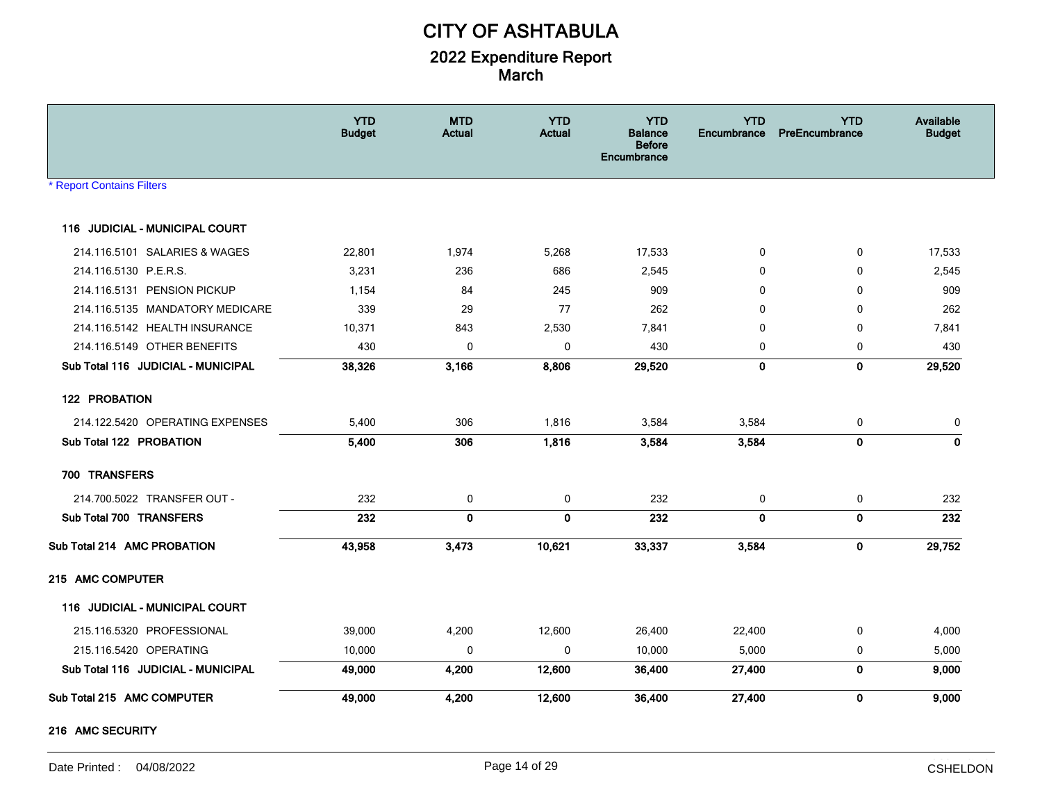|                                       | <b>YTD</b><br><b>Budget</b> | <b>MTD</b><br>Actual | <b>YTD</b><br><b>Actual</b> | <b>YTD</b><br><b>Balance</b><br><b>Before</b><br>Encumbrance | <b>YTD</b><br>Encumbrance | <b>YTD</b><br>PreEncumbrance | Available<br><b>Budget</b> |
|---------------------------------------|-----------------------------|----------------------|-----------------------------|--------------------------------------------------------------|---------------------------|------------------------------|----------------------------|
| <b>* Report Contains Filters</b>      |                             |                      |                             |                                                              |                           |                              |                            |
| 116 JUDICIAL - MUNICIPAL COURT        |                             |                      |                             |                                                              |                           |                              |                            |
| 214.116.5101 SALARIES & WAGES         | 22,801                      | 1,974                | 5,268                       | 17,533                                                       | 0                         | $\mathbf 0$                  | 17,533                     |
| 214.116.5130 P.E.R.S.                 | 3,231                       | 236                  | 686                         | 2,545                                                        | 0                         | $\mathbf 0$                  | 2,545                      |
| 214.116.5131 PENSION PICKUP           | 1,154                       | 84                   | 245                         | 909                                                          | $\mathbf{0}$              | $\mathbf 0$                  | 909                        |
| 214.116.5135 MANDATORY MEDICARE       | 339                         | 29                   | 77                          | 262                                                          | $\mathbf{0}$              | 0                            | 262                        |
| 214.116.5142 HEALTH INSURANCE         | 10,371                      | 843                  | 2,530                       | 7,841                                                        | 0                         | 0                            | 7,841                      |
| 214.116.5149 OTHER BENEFITS           | 430                         | 0                    | 0                           | 430                                                          | 0                         | 0                            | 430                        |
| Sub Total 116 JUDICIAL - MUNICIPAL    | 38,326                      | 3,166                | 8,806                       | 29,520                                                       | 0                         | $\mathbf 0$                  | 29,520                     |
| 122 PROBATION                         |                             |                      |                             |                                                              |                           |                              |                            |
| 214.122.5420 OPERATING EXPENSES       | 5,400                       | 306                  | 1,816                       | 3,584                                                        | 3,584                     | 0                            | 0                          |
| Sub Total 122 PROBATION               | 5,400                       | 306                  | 1,816                       | 3,584                                                        | 3,584                     | $\mathbf 0$                  | $\mathbf 0$                |
| 700 TRANSFERS                         |                             |                      |                             |                                                              |                           |                              |                            |
| 214.700.5022 TRANSFER OUT -           | 232                         | 0                    | 0                           | 232                                                          | 0                         | 0                            | 232                        |
| Sub Total 700 TRANSFERS               | 232                         | $\mathbf 0$          | $\mathbf 0$                 | 232                                                          | $\mathbf 0$               | $\mathbf 0$                  | 232                        |
| Sub Total 214 AMC PROBATION           | 43,958                      | 3,473                | 10,621                      | 33,337                                                       | 3,584                     | $\mathbf 0$                  | 29,752                     |
| 215 AMC COMPUTER                      |                             |                      |                             |                                                              |                           |                              |                            |
| <b>116 JUDICIAL - MUNICIPAL COURT</b> |                             |                      |                             |                                                              |                           |                              |                            |
| 215.116.5320 PROFESSIONAL             | 39,000                      | 4,200                | 12,600                      | 26,400                                                       | 22,400                    | 0                            | 4,000                      |
| 215.116.5420 OPERATING                | 10,000                      | 0                    | 0                           | 10,000                                                       | 5,000                     | 0                            | 5,000                      |
| Sub Total 116 JUDICIAL - MUNICIPAL    | 49,000                      | 4,200                | 12,600                      | 36,400                                                       | 27,400                    | $\mathbf 0$                  | 9,000                      |
| Sub Total 215 AMC COMPUTER            | 49,000                      | 4,200                | 12,600                      | 36,400                                                       | 27,400                    | $\mathbf 0$                  | 9,000                      |

#### **216 AMC SECURITY**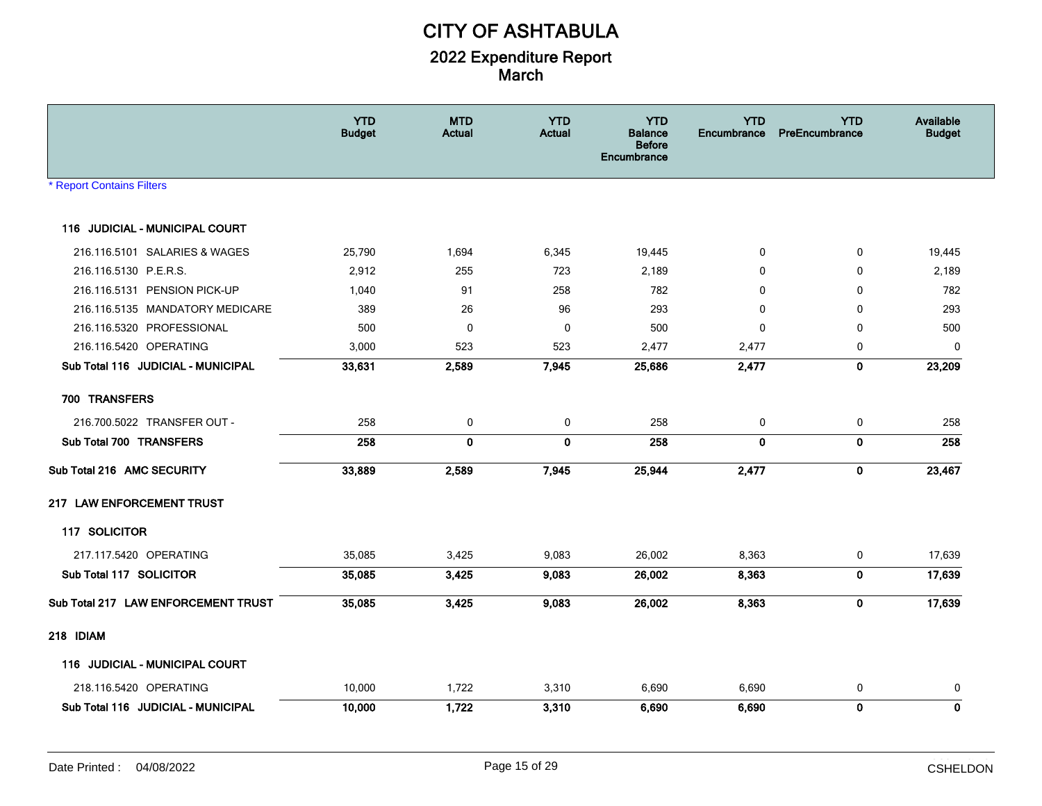|                                     | <b>YTD</b><br><b>Budget</b> | <b>MTD</b><br>Actual | <b>YTD</b><br><b>Actual</b> | <b>YTD</b><br>Balance<br><b>Before</b><br><b>Encumbrance</b> | <b>YTD</b><br><b>Encumbrance</b> | <b>YTD</b><br>PreEncumbrance | Available<br><b>Budget</b> |
|-------------------------------------|-----------------------------|----------------------|-----------------------------|--------------------------------------------------------------|----------------------------------|------------------------------|----------------------------|
| * Report Contains Filters           |                             |                      |                             |                                                              |                                  |                              |                            |
| 116 JUDICIAL - MUNICIPAL COURT      |                             |                      |                             |                                                              |                                  |                              |                            |
| 216.116.5101 SALARIES & WAGES       | 25,790                      | 1,694                | 6,345                       | 19,445                                                       | 0                                | 0                            | 19,445                     |
| 216.116.5130 P.E.R.S.               | 2,912                       | 255                  | 723                         | 2,189                                                        | 0                                | 0                            | 2,189                      |
| 216.116.5131 PENSION PICK-UP        | 1,040                       | 91                   | 258                         | 782                                                          | $\Omega$                         | $\Omega$                     | 782                        |
| 216.116.5135 MANDATORY MEDICARE     | 389                         | 26                   | 96                          | 293                                                          | 0                                | 0                            | 293                        |
| 216.116.5320 PROFESSIONAL           | 500                         | $\mathbf 0$          | 0                           | 500                                                          | 0                                | $\mathbf 0$                  | 500                        |
| 216.116.5420 OPERATING              | 3,000                       | 523                  | 523                         | 2,477                                                        | 2,477                            | $\mathbf 0$                  | $\mathbf 0$                |
| Sub Total 116 JUDICIAL - MUNICIPAL  | 33,631                      | 2,589                | 7,945                       | 25,686                                                       | 2,477                            | $\mathbf 0$                  | 23,209                     |
| 700 TRANSFERS                       |                             |                      |                             |                                                              |                                  |                              |                            |
| 216.700.5022 TRANSFER OUT -         | 258                         | $\mathbf 0$          | $\mathbf 0$                 | 258                                                          | 0                                | $\mathbf 0$                  | 258                        |
| Sub Total 700 TRANSFERS             | 258                         | 0                    | $\mathbf 0$                 | 258                                                          | $\mathbf{0}$                     | $\mathbf 0$                  | 258                        |
| Sub Total 216 AMC SECURITY          | 33,889                      | 2,589                | 7,945                       | 25,944                                                       | 2,477                            | $\mathbf 0$                  | 23,467                     |
| 217 LAW ENFORCEMENT TRUST           |                             |                      |                             |                                                              |                                  |                              |                            |
| 117 SOLICITOR                       |                             |                      |                             |                                                              |                                  |                              |                            |
| 217.117.5420 OPERATING              | 35,085                      | 3,425                | 9,083                       | 26,002                                                       | 8,363                            | 0                            | 17,639                     |
| Sub Total 117 SOLICITOR             | 35,085                      | 3,425                | 9,083                       | 26,002                                                       | 8,363                            | $\mathbf 0$                  | 17,639                     |
| Sub Total 217 LAW ENFORCEMENT TRUST | 35,085                      | 3,425                | 9,083                       | 26,002                                                       | 8,363                            | $\mathbf 0$                  | 17,639                     |
| 218 IDIAM                           |                             |                      |                             |                                                              |                                  |                              |                            |
| 116 JUDICIAL - MUNICIPAL COURT      |                             |                      |                             |                                                              |                                  |                              |                            |
| 218.116.5420 OPERATING              | 10,000                      | 1,722                | 3,310                       | 6,690                                                        | 6,690                            | 0                            | 0                          |
| Sub Total 116 JUDICIAL - MUNICIPAL  | 10,000                      | 1,722                | 3,310                       | 6,690                                                        | 6,690                            | $\mathbf 0$                  | $\mathbf 0$                |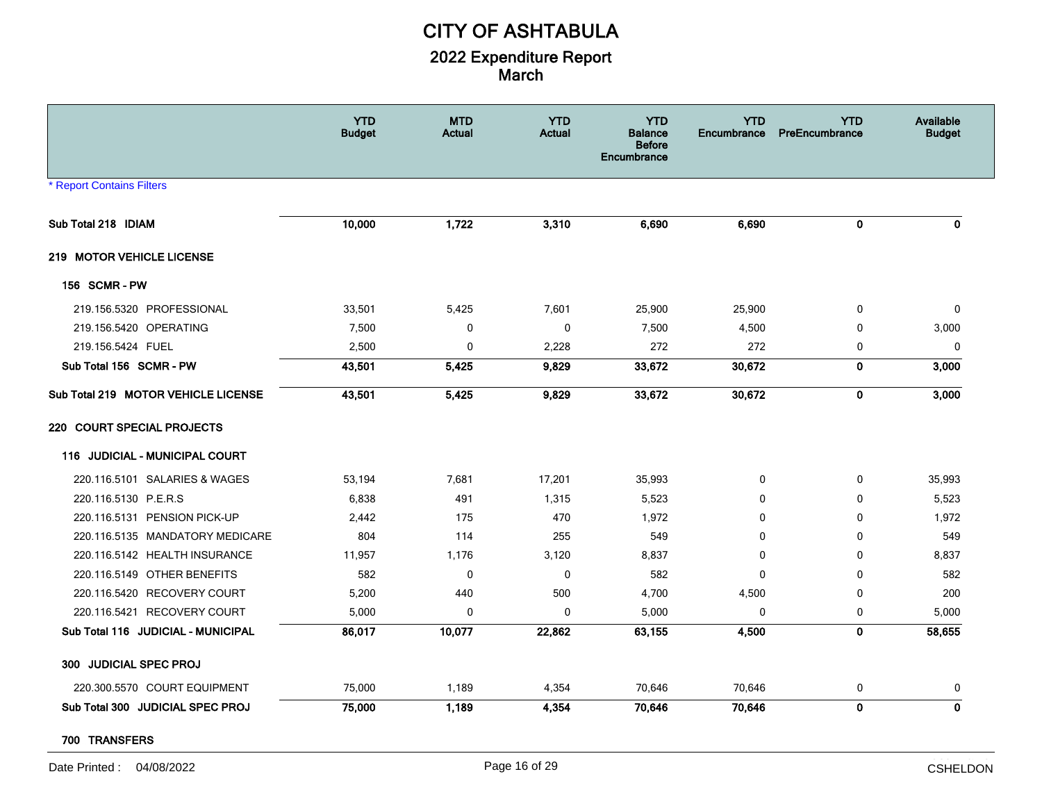|                                     | <b>YTD</b><br><b>Budget</b> | <b>MTD</b><br>Actual | <b>YTD</b><br><b>Actual</b> | <b>YTD</b><br><b>Balance</b><br><b>Before</b><br>Encumbrance | <b>YTD</b><br>Encumbrance | <b>YTD</b><br>PreEncumbrance | Available<br><b>Budget</b> |
|-------------------------------------|-----------------------------|----------------------|-----------------------------|--------------------------------------------------------------|---------------------------|------------------------------|----------------------------|
| <b>* Report Contains Filters</b>    |                             |                      |                             |                                                              |                           |                              |                            |
| Sub Total 218 IDIAM                 | 10,000                      | 1,722                | 3,310                       | 6,690                                                        | 6,690                     | $\mathbf 0$                  | $\mathbf 0$                |
| 219 MOTOR VEHICLE LICENSE           |                             |                      |                             |                                                              |                           |                              |                            |
| 156 SCMR-PW                         |                             |                      |                             |                                                              |                           |                              |                            |
| 219.156.5320 PROFESSIONAL           | 33,501                      | 5,425                | 7,601                       | 25,900                                                       | 25,900                    | 0                            | 0                          |
| 219.156.5420 OPERATING              | 7,500                       | $\mathbf 0$          | 0                           | 7,500                                                        | 4,500                     | 0                            | 3,000                      |
| 219.156.5424 FUEL                   | 2,500                       | $\mathbf 0$          | 2,228                       | 272                                                          | 272                       | $\mathbf 0$                  | $\mathbf 0$                |
| Sub Total 156 SCMR - PW             | 43,501                      | 5,425                | 9,829                       | 33,672                                                       | 30,672                    | $\pmb{0}$                    | 3,000                      |
| Sub Total 219 MOTOR VEHICLE LICENSE | 43,501                      | 5,425                | 9,829                       | 33,672                                                       | 30,672                    | $\pmb{0}$                    | 3,000                      |
| 220 COURT SPECIAL PROJECTS          |                             |                      |                             |                                                              |                           |                              |                            |
| 116 JUDICIAL - MUNICIPAL COURT      |                             |                      |                             |                                                              |                           |                              |                            |
| 220.116.5101 SALARIES & WAGES       | 53,194                      | 7,681                | 17,201                      | 35,993                                                       | 0                         | 0                            | 35,993                     |
| 220.116.5130 P.E.R.S                | 6,838                       | 491                  | 1,315                       | 5,523                                                        | $\mathbf{0}$              | $\Omega$                     | 5,523                      |
| 220.116.5131 PENSION PICK-UP        | 2,442                       | 175                  | 470                         | 1,972                                                        | 0                         | $\mathbf 0$                  | 1,972                      |
| 220.116.5135 MANDATORY MEDICARE     | 804                         | 114                  | 255                         | 549                                                          | 0                         | 0                            | 549                        |
| 220.116.5142 HEALTH INSURANCE       | 11,957                      | 1,176                | 3,120                       | 8,837                                                        | $\Omega$                  | $\Omega$                     | 8,837                      |
| 220.116.5149 OTHER BENEFITS         | 582                         | $\mathbf 0$          | $\mathbf 0$                 | 582                                                          | $\mathbf 0$               | $\mathbf 0$                  | 582                        |
| 220.116.5420 RECOVERY COURT         | 5,200                       | 440                  | 500                         | 4,700                                                        | 4,500                     | 0                            | 200                        |
| 220.116.5421 RECOVERY COURT         | 5,000                       | $\mathbf{0}$         | 0                           | 5,000                                                        | $\mathbf{0}$              | 0                            | 5,000                      |
| Sub Total 116 JUDICIAL - MUNICIPAL  | 86,017                      | 10,077               | 22,862                      | 63,155                                                       | 4,500                     | $\mathbf 0$                  | 58,655                     |
| 300 JUDICIAL SPEC PROJ              |                             |                      |                             |                                                              |                           |                              |                            |
| 220.300.5570 COURT EQUIPMENT        | 75,000                      | 1,189                | 4,354                       | 70,646                                                       | 70,646                    | 0                            | 0                          |
| Sub Total 300 JUDICIAL SPEC PROJ    | 75,000                      | 1,189                | 4,354                       | 70,646                                                       | 70,646                    | 0                            | 0                          |

**700 TRANSFERS**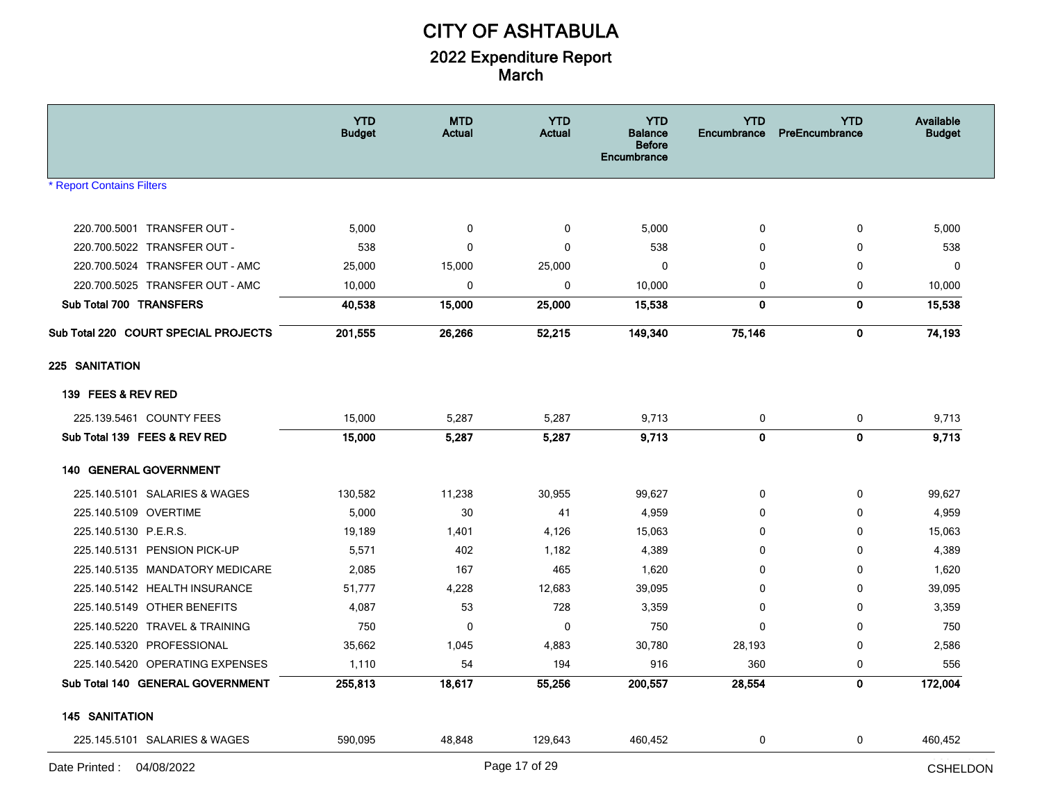|                                      | <b>YTD</b><br><b>Budget</b> | <b>MTD</b><br>Actual | <b>YTD</b><br><b>Actual</b> | <b>YTD</b><br>Balance<br><b>Before</b><br>Encumbrance | <b>YTD</b><br>Encumbrance | <b>YTD</b><br>PreEncumbrance | Available<br><b>Budget</b> |
|--------------------------------------|-----------------------------|----------------------|-----------------------------|-------------------------------------------------------|---------------------------|------------------------------|----------------------------|
| <b>* Report Contains Filters</b>     |                             |                      |                             |                                                       |                           |                              |                            |
|                                      |                             |                      |                             |                                                       |                           |                              |                            |
| 220.700.5001 TRANSFER OUT -          | 5,000                       | $\mathbf 0$          | 0                           | 5,000                                                 | 0                         | 0                            | 5,000                      |
| 220.700.5022 TRANSFER OUT -          | 538                         | $\mathbf 0$          | $\mathbf 0$                 | 538                                                   | 0                         | 0                            | 538                        |
| 220.700.5024 TRANSFER OUT - AMC      | 25,000                      | 15,000               | 25,000                      | $\Omega$                                              | $\Omega$                  | 0                            | $\Omega$                   |
| 220.700.5025 TRANSFER OUT - AMC      | 10,000                      | $\mathbf 0$          | $\mathbf 0$                 | 10,000                                                | 0                         | 0                            | 10,000                     |
| Sub Total 700 TRANSFERS              | 40,538                      | 15,000               | 25,000                      | 15,538                                                | 0                         | 0                            | 15,538                     |
| Sub Total 220 COURT SPECIAL PROJECTS | 201,555                     | 26,266               | 52,215                      | 149,340                                               | 75,146                    | $\mathbf{0}$                 | 74,193                     |
| 225 SANITATION                       |                             |                      |                             |                                                       |                           |                              |                            |
| 139 FEES & REV RED                   |                             |                      |                             |                                                       |                           |                              |                            |
| 225.139.5461 COUNTY FEES             | 15,000                      | 5,287                | 5,287                       | 9,713                                                 | 0                         | 0                            | 9,713                      |
| Sub Total 139 FEES & REV RED         | 15,000                      | 5,287                | 5,287                       | 9,713                                                 | $\mathbf 0$               | $\mathbf 0$                  | 9,713                      |
| <b>140 GENERAL GOVERNMENT</b>        |                             |                      |                             |                                                       |                           |                              |                            |
| 225.140.5101 SALARIES & WAGES        | 130,582                     | 11,238               | 30,955                      | 99,627                                                | $\Omega$                  | 0                            | 99,627                     |
| 225.140.5109 OVERTIME                | 5,000                       | 30                   | 41                          | 4,959                                                 | $\mathbf{0}$              | $\Omega$                     | 4,959                      |
| 225.140.5130 P.E.R.S.                | 19,189                      | 1,401                | 4,126                       | 15,063                                                | $\Omega$                  | 0                            | 15,063                     |
| 225.140.5131 PENSION PICK-UP         | 5,571                       | 402                  | 1,182                       | 4,389                                                 | $\mathbf{0}$              | 0                            | 4,389                      |
| 225.140.5135 MANDATORY MEDICARE      | 2,085                       | 167                  | 465                         | 1,620                                                 | $\mathbf 0$               | 0                            | 1,620                      |
| 225.140.5142 HEALTH INSURANCE        | 51,777                      | 4,228                | 12,683                      | 39,095                                                | 0                         | 0                            | 39,095                     |
| 225.140.5149 OTHER BENEFITS          | 4,087                       | 53                   | 728                         | 3,359                                                 | $\Omega$                  | $\Omega$                     | 3,359                      |
| 225.140.5220 TRAVEL & TRAINING       | 750                         | 0                    | $\mathbf 0$                 | 750                                                   | $\Omega$                  | 0                            | 750                        |
| 225.140.5320 PROFESSIONAL            | 35,662                      | 1,045                | 4,883                       | 30,780                                                | 28,193                    | 0                            | 2,586                      |
| 225.140.5420 OPERATING EXPENSES      | 1,110                       | 54                   | 194                         | 916                                                   | 360                       | 0                            | 556                        |
| Sub Total 140 GENERAL GOVERNMENT     | 255,813                     | 18,617               | 55,256                      | 200,557                                               | 28,554                    | 0                            | 172,004                    |
| <b>145 SANITATION</b>                |                             |                      |                             |                                                       |                           |                              |                            |
| 225.145.5101 SALARIES & WAGES        | 590,095                     | 48,848               | 129,643                     | 460,452                                               | 0                         | $\mathbf 0$                  | 460,452                    |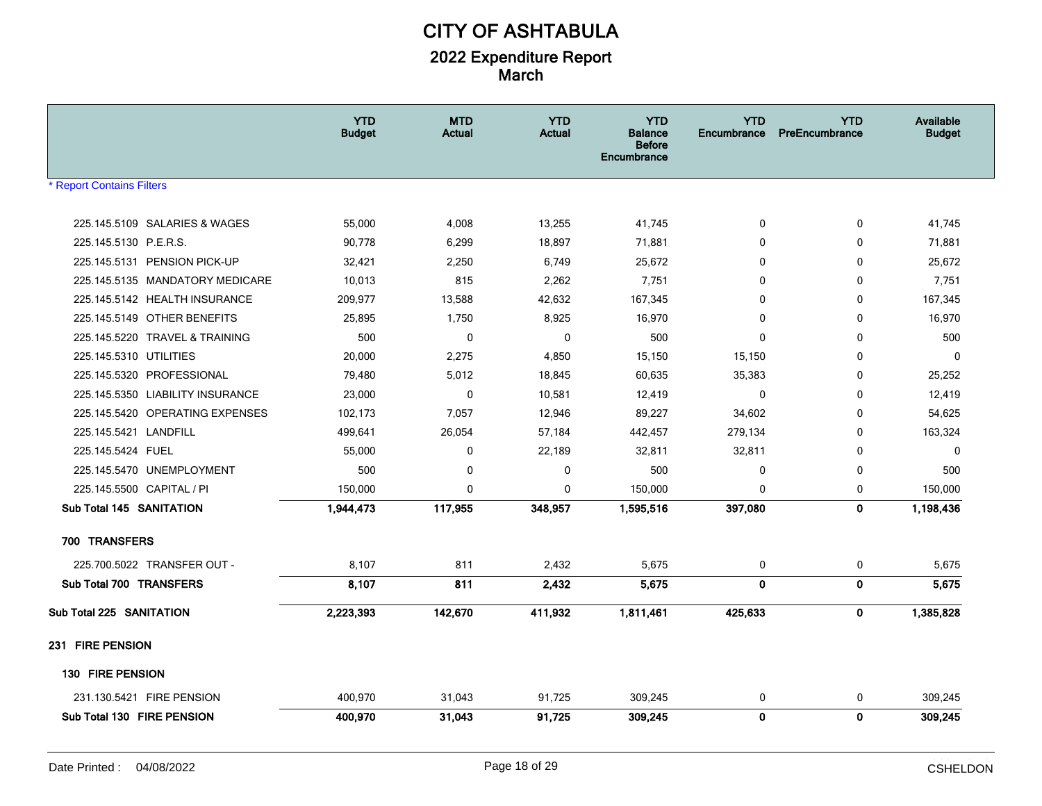|                                  | <b>YTD</b><br><b>Budget</b> | <b>MTD</b><br><b>Actual</b> | <b>YTD</b><br><b>Actual</b> | <b>YTD</b><br><b>Balance</b><br><b>Before</b><br>Encumbrance | <b>YTD</b><br><b>Encumbrance</b> | <b>YTD</b><br>PreEncumbrance | Available<br><b>Budget</b> |
|----------------------------------|-----------------------------|-----------------------------|-----------------------------|--------------------------------------------------------------|----------------------------------|------------------------------|----------------------------|
| <b>Report Contains Filters</b>   |                             |                             |                             |                                                              |                                  |                              |                            |
| 225.145.5109 SALARIES & WAGES    | 55,000                      | 4,008                       | 13,255                      | 41,745                                                       | $\mathbf 0$                      | $\mathbf 0$                  | 41,745                     |
| 225.145.5130 P.E.R.S.            | 90,778                      | 6,299                       | 18,897                      | 71,881                                                       | $\mathbf{0}$                     | 0                            | 71,881                     |
| 225.145.5131 PENSION PICK-UP     | 32,421                      | 2,250                       | 6,749                       | 25,672                                                       | $\mathbf{0}$                     | $\mathbf 0$                  | 25,672                     |
| 225.145.5135 MANDATORY MEDICARE  | 10,013                      | 815                         | 2,262                       | 7,751                                                        | 0                                | 0                            | 7,751                      |
| 225.145.5142 HEALTH INSURANCE    | 209,977                     | 13,588                      | 42,632                      | 167,345                                                      | $\mathbf{0}$                     | $\mathbf 0$                  | 167,345                    |
| 225.145.5149 OTHER BENEFITS      | 25,895                      | 1,750                       | 8,925                       | 16,970                                                       | $\mathbf 0$                      | 0                            | 16,970                     |
| 225.145.5220 TRAVEL & TRAINING   | 500                         | $\mathbf{0}$                | 0                           | 500                                                          | $\mathbf{0}$                     | $\mathbf 0$                  | 500                        |
| 225.145.5310 UTILITIES           | 20,000                      | 2,275                       | 4,850                       | 15,150                                                       | 15,150                           | 0                            | $\mathbf 0$                |
| 225.145.5320 PROFESSIONAL        | 79,480                      | 5,012                       | 18,845                      | 60,635                                                       | 35,383                           | 0                            | 25,252                     |
| 225.145.5350 LIABILITY INSURANCE | 23,000                      | $\mathbf 0$                 | 10,581                      | 12,419                                                       | $\Omega$                         | $\mathbf{0}$                 | 12,419                     |
| 225.145.5420 OPERATING EXPENSES  | 102,173                     | 7,057                       | 12,946                      | 89,227                                                       | 34,602                           | $\mathbf 0$                  | 54,625                     |
| 225.145.5421 LANDFILL            | 499,641                     | 26,054                      | 57,184                      | 442,457                                                      | 279,134                          | 0                            | 163,324                    |
| 225.145.5424 FUEL                | 55,000                      | 0                           | 22,189                      | 32,811                                                       | 32,811                           | 0                            | 0                          |
| 225.145.5470 UNEMPLOYMENT        | 500                         | $\mathbf 0$                 | 0                           | 500                                                          | 0                                | $\mathbf 0$                  | 500                        |
| 225.145.5500 CAPITAL / PI        | 150,000                     | $\Omega$                    | 0                           | 150,000                                                      | $\mathbf{0}$                     | 0                            | 150,000                    |
| Sub Total 145 SANITATION         | 1,944,473                   | 117,955                     | 348,957                     | 1,595,516                                                    | 397,080                          | $\mathbf 0$                  | 1,198,436                  |
| 700 TRANSFERS                    |                             |                             |                             |                                                              |                                  |                              |                            |
| 225.700.5022 TRANSFER OUT -      | 8,107                       | 811                         | 2,432                       | 5,675                                                        | 0                                | $\mathbf 0$                  | 5,675                      |
| Sub Total 700 TRANSFERS          | 8,107                       | 811                         | 2,432                       | 5.675                                                        | $\mathbf{0}$                     | $\mathbf 0$                  | 5,675                      |
| Sub Total 225 SANITATION         | 2,223,393                   | 142,670                     | 411,932                     | 1,811,461                                                    | 425,633                          | $\mathbf 0$                  | 1,385,828                  |
| 231 FIRE PENSION                 |                             |                             |                             |                                                              |                                  |                              |                            |
| 130 FIRE PENSION                 |                             |                             |                             |                                                              |                                  |                              |                            |
| 231.130.5421 FIRE PENSION        | 400,970                     | 31,043                      | 91,725                      | 309,245                                                      | 0                                | 0                            | 309,245                    |
| Sub Total 130 FIRE PENSION       | 400,970                     | 31,043                      | 91,725                      | 309,245                                                      | $\mathbf{0}$                     | $\pmb{0}$                    | 309,245                    |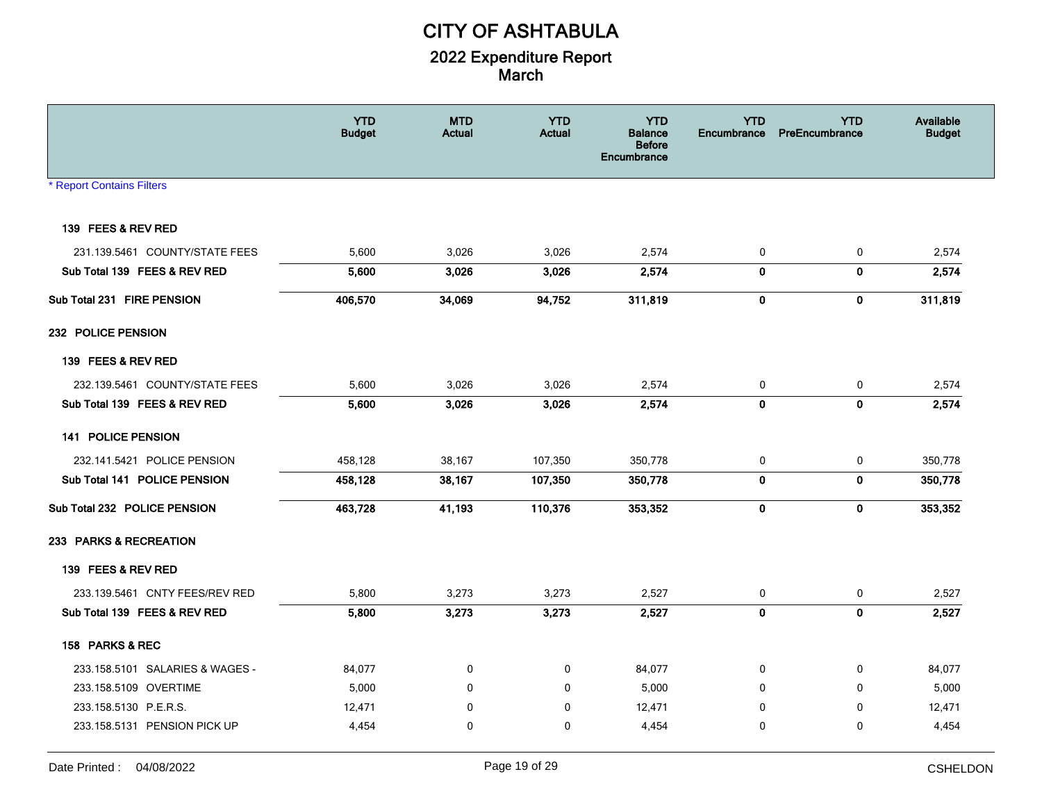|                                  | <b>YTD</b><br><b>Budget</b> | <b>MTD</b><br><b>Actual</b> | <b>YTD</b><br><b>Actual</b> | <b>YTD</b><br><b>Balance</b><br><b>Before</b><br><b>Encumbrance</b> | <b>YTD</b><br>Encumbrance | <b>YTD</b><br>PreEncumbrance | Available<br><b>Budget</b> |
|----------------------------------|-----------------------------|-----------------------------|-----------------------------|---------------------------------------------------------------------|---------------------------|------------------------------|----------------------------|
| <b>* Report Contains Filters</b> |                             |                             |                             |                                                                     |                           |                              |                            |
| 139 FEES & REV RED               |                             |                             |                             |                                                                     |                           |                              |                            |
| 231.139.5461 COUNTY/STATE FEES   | 5,600                       | 3,026                       | 3,026                       | 2,574                                                               | 0                         | $\mathbf 0$                  | 2,574                      |
| Sub Total 139 FEES & REV RED     | 5,600                       | 3,026                       | 3,026                       | 2,574                                                               | $\mathbf 0$               | $\mathbf 0$                  | 2,574                      |
| Sub Total 231 FIRE PENSION       | 406,570                     | 34,069                      | 94,752                      | 311,819                                                             | 0                         | $\mathbf 0$                  | 311,819                    |
| 232 POLICE PENSION               |                             |                             |                             |                                                                     |                           |                              |                            |
| 139 FEES & REV RED               |                             |                             |                             |                                                                     |                           |                              |                            |
| 232.139.5461 COUNTY/STATE FEES   | 5,600                       | 3,026                       | 3,026                       | 2,574                                                               | 0                         | $\mathbf 0$                  | 2,574                      |
| Sub Total 139 FEES & REV RED     | 5,600                       | 3,026                       | 3,026                       | 2,574                                                               | $\mathbf{0}$              | $\mathbf 0$                  | 2,574                      |
| 141 POLICE PENSION               |                             |                             |                             |                                                                     |                           |                              |                            |
| 232.141.5421 POLICE PENSION      | 458,128                     | 38,167                      | 107,350                     | 350,778                                                             | 0                         | 0                            | 350,778                    |
| Sub Total 141 POLICE PENSION     | 458,128                     | 38,167                      | 107,350                     | 350,778                                                             | 0                         | $\mathbf 0$                  | 350,778                    |
| Sub Total 232 POLICE PENSION     | 463,728                     | 41,193                      | 110,376                     | 353,352                                                             | $\bf{0}$                  | $\mathbf 0$                  | 353,352                    |
| 233 PARKS & RECREATION           |                             |                             |                             |                                                                     |                           |                              |                            |
| 139 FEES & REV RED               |                             |                             |                             |                                                                     |                           |                              |                            |
| 233.139.5461 CNTY FEES/REV RED   | 5,800                       | 3,273                       | 3,273                       | 2,527                                                               | 0                         | 0                            | 2,527                      |
| Sub Total 139 FEES & REV RED     | 5,800                       | 3,273                       | 3,273                       | 2,527                                                               | $\mathbf 0$               | $\mathbf 0$                  | 2,527                      |
| 158 PARKS & REC                  |                             |                             |                             |                                                                     |                           |                              |                            |
| 233.158.5101 SALARIES & WAGES -  | 84,077                      | $\mathbf 0$                 | 0                           | 84,077                                                              | 0                         | 0                            | 84,077                     |
| 233.158.5109 OVERTIME            | 5,000                       | $\mathbf 0$                 | $\mathbf 0$                 | 5,000                                                               | $\mathbf 0$               | $\mathbf 0$                  | 5,000                      |
| 233.158.5130 P.E.R.S.            | 12,471                      | $\mathbf{0}$                | $\mathbf 0$                 | 12,471                                                              | $\Omega$                  | $\mathbf{0}$                 | 12,471                     |
| 233.158.5131 PENSION PICK UP     | 4,454                       | $\mathbf{0}$                | $\mathbf 0$                 | 4,454                                                               | $\mathbf{0}$              | $\mathbf{0}$                 | 4,454                      |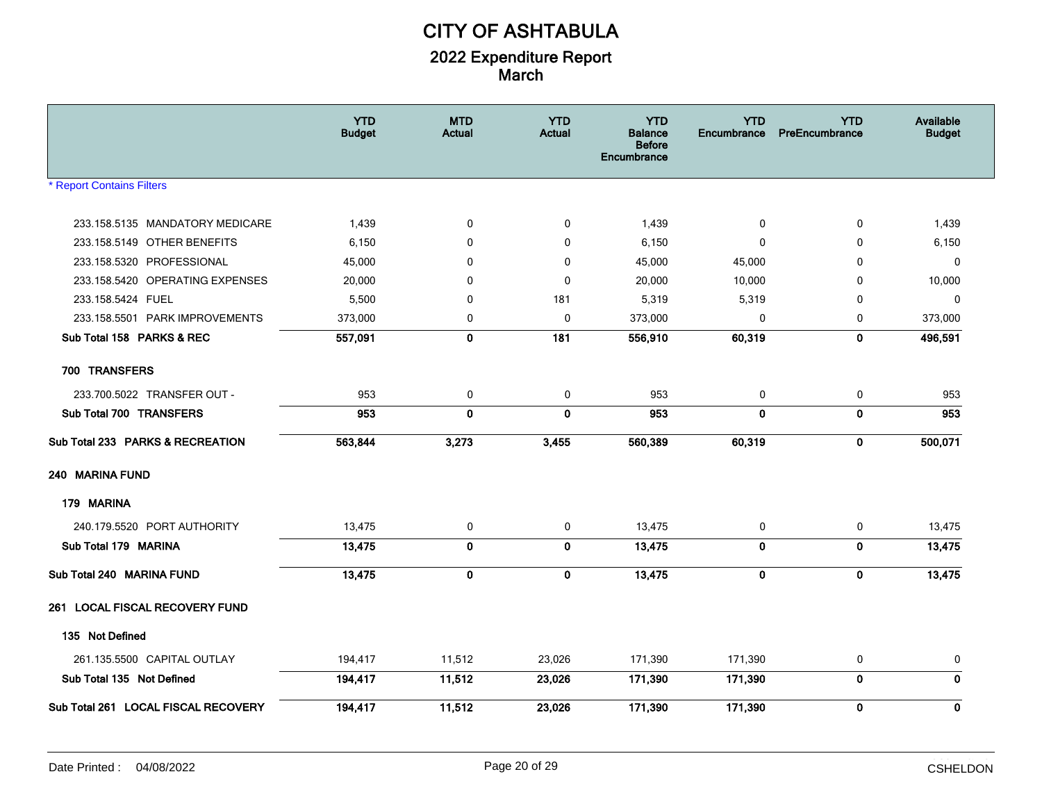|                                     | <b>YTD</b><br><b>Budget</b> | <b>MTD</b><br><b>Actual</b> | <b>YTD</b><br><b>Actual</b> | <b>YTD</b><br><b>Balance</b><br><b>Before</b><br><b>Encumbrance</b> | <b>YTD</b><br>Encumbrance | <b>YTD</b><br>PreEncumbrance | Available<br><b>Budget</b> |
|-------------------------------------|-----------------------------|-----------------------------|-----------------------------|---------------------------------------------------------------------|---------------------------|------------------------------|----------------------------|
| <b>Report Contains Filters</b>      |                             |                             |                             |                                                                     |                           |                              |                            |
| 233.158.5135 MANDATORY MEDICARE     | 1,439                       | 0                           | 0                           | 1,439                                                               | 0                         | 0                            | 1,439                      |
| 233.158.5149 OTHER BENEFITS         | 6,150                       | 0                           | 0                           | 6,150                                                               | $\mathbf 0$               | 0                            | 6,150                      |
| 233.158.5320 PROFESSIONAL           | 45,000                      | $\mathbf{0}$                | 0                           | 45,000                                                              | 45,000                    | $\Omega$                     | 0                          |
| 233.158.5420 OPERATING EXPENSES     | 20,000                      | $\Omega$                    | $\mathbf{0}$                | 20,000                                                              | 10,000                    | $\Omega$                     | 10,000                     |
| 233.158.5424 FUEL                   | 5,500                       | 0                           | 181                         | 5,319                                                               | 5,319                     | 0                            | $\mathbf 0$                |
| 233.158.5501 PARK IMPROVEMENTS      | 373,000                     | 0                           | 0                           | 373,000                                                             | 0                         | 0                            | 373,000                    |
| Sub Total 158 PARKS & REC           | 557,091                     | $\mathbf 0$                 | 181                         | 556,910                                                             | 60,319                    | $\pmb{0}$                    | 496,591                    |
| 700 TRANSFERS                       |                             |                             |                             |                                                                     |                           |                              |                            |
| 233.700.5022 TRANSFER OUT -         | 953                         | 0                           | $\mathbf 0$                 | 953                                                                 | 0                         | $\mathbf 0$                  | 953                        |
| Sub Total 700 TRANSFERS             | 953                         | 0                           | 0                           | 953                                                                 | $\mathbf{0}$              | $\pmb{0}$                    | 953                        |
| Sub Total 233 PARKS & RECREATION    | 563,844                     | 3,273                       | 3,455                       | 560,389                                                             | 60,319                    | $\bf{0}$                     | 500,071                    |
| 240 MARINA FUND                     |                             |                             |                             |                                                                     |                           |                              |                            |
| 179 MARINA                          |                             |                             |                             |                                                                     |                           |                              |                            |
| 240.179.5520 PORT AUTHORITY         | 13,475                      | 0                           | 0                           | 13,475                                                              | 0                         | 0                            | 13,475                     |
| Sub Total 179 MARINA                | 13,475                      | $\pmb{0}$                   | $\pmb{0}$                   | 13,475                                                              | 0                         | $\pmb{0}$                    | 13,475                     |
| Sub Total 240 MARINA FUND           | 13,475                      | $\mathbf 0$                 | $\bf{0}$                    | 13,475                                                              | $\bf{0}$                  | $\bf{0}$                     | 13,475                     |
| 261 LOCAL FISCAL RECOVERY FUND      |                             |                             |                             |                                                                     |                           |                              |                            |
| 135 Not Defined                     |                             |                             |                             |                                                                     |                           |                              |                            |
| 261.135.5500 CAPITAL OUTLAY         | 194,417                     | 11,512                      | 23,026                      | 171,390                                                             | 171,390                   | 0                            | 0                          |
| Sub Total 135 Not Defined           | 194,417                     | 11,512                      | 23,026                      | 171,390                                                             | 171,390                   | $\mathbf 0$                  | $\mathbf{0}$               |
| Sub Total 261 LOCAL FISCAL RECOVERY | 194,417                     | 11,512                      | 23,026                      | 171,390                                                             | 171,390                   | $\mathbf 0$                  | 0                          |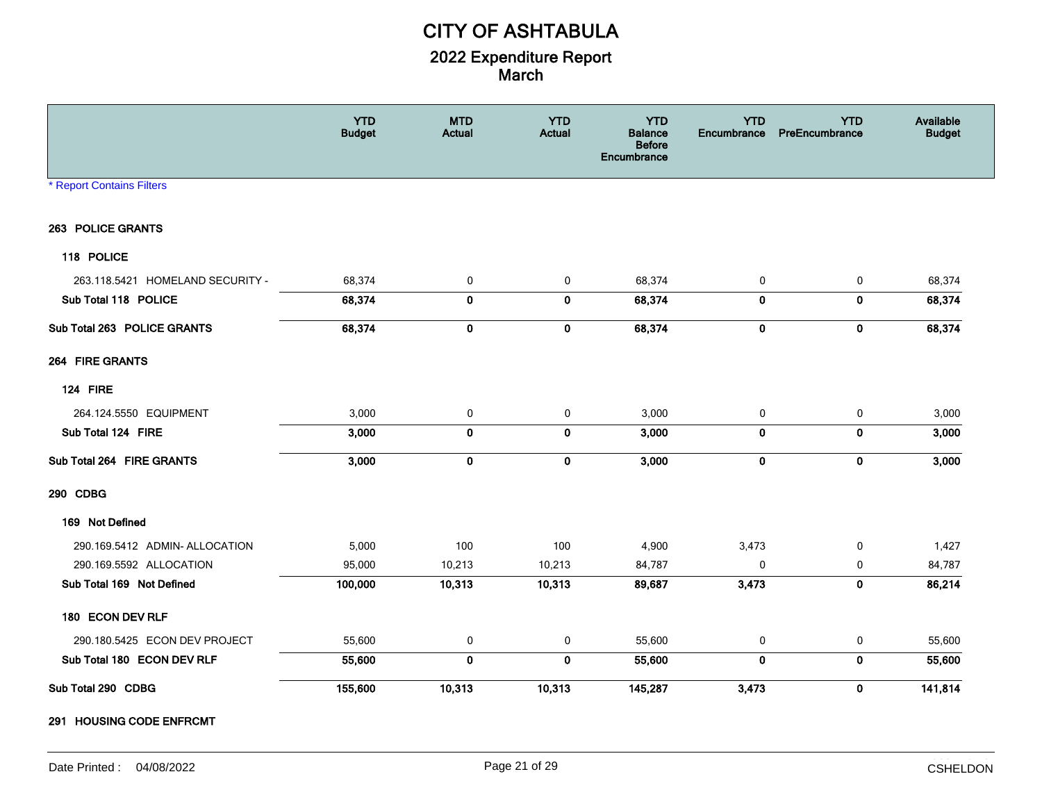|                                  | <b>YTD</b><br><b>Budget</b> | <b>MTD</b><br><b>Actual</b> | <b>YTD</b><br><b>Actual</b> | <b>YTD</b><br><b>Balance</b><br><b>Before</b><br>Encumbrance | <b>YTD</b><br>Encumbrance | <b>YTD</b><br>PreEncumbrance | Available<br><b>Budget</b> |
|----------------------------------|-----------------------------|-----------------------------|-----------------------------|--------------------------------------------------------------|---------------------------|------------------------------|----------------------------|
| <b>* Report Contains Filters</b> |                             |                             |                             |                                                              |                           |                              |                            |
| 263 POLICE GRANTS                |                             |                             |                             |                                                              |                           |                              |                            |
| 118 POLICE                       |                             |                             |                             |                                                              |                           |                              |                            |
| 263.118.5421 HOMELAND SECURITY - | 68,374                      | 0                           | 0                           | 68,374                                                       | 0                         | 0                            | 68,374                     |
| Sub Total 118 POLICE             | 68,374                      | 0                           | $\bf{0}$                    | 68,374                                                       | $\bf{0}$                  | 0                            | 68,374                     |
| Sub Total 263 POLICE GRANTS      | 68,374                      | 0                           | $\bf{0}$                    | 68,374                                                       | 0                         | $\bf{0}$                     | 68,374                     |
| 264 FIRE GRANTS                  |                             |                             |                             |                                                              |                           |                              |                            |
| <b>124 FIRE</b>                  |                             |                             |                             |                                                              |                           |                              |                            |
| 264.124.5550 EQUIPMENT           | 3,000                       | 0                           | 0                           | 3,000                                                        | 0                         | 0                            | 3,000                      |
| Sub Total 124 FIRE               | 3,000                       | $\mathbf 0$                 | $\bf{0}$                    | 3,000                                                        | $\mathbf 0$               | $\bf{0}$                     | 3,000                      |
| Sub Total 264 FIRE GRANTS        | 3,000                       | $\pmb{0}$                   | $\pmb{0}$                   | 3,000                                                        | $\pmb{0}$                 | $\pmb{0}$                    | 3,000                      |
| 290 CDBG                         |                             |                             |                             |                                                              |                           |                              |                            |
| 169 Not Defined                  |                             |                             |                             |                                                              |                           |                              |                            |
| 290.169.5412 ADMIN- ALLOCATION   | 5,000                       | 100                         | 100                         | 4,900                                                        | 3,473                     | 0                            | 1,427                      |
| 290.169.5592 ALLOCATION          | 95,000                      | 10,213                      | 10,213                      | 84,787                                                       | $\mathbf 0$               | 0                            | 84,787                     |
| Sub Total 169 Not Defined        | 100,000                     | 10.313                      | 10,313                      | 89,687                                                       | 3,473                     | $\mathbf 0$                  | 86,214                     |
| 180 ECON DEV RLF                 |                             |                             |                             |                                                              |                           |                              |                            |
| 290.180.5425 ECON DEV PROJECT    | 55,600                      | 0                           | 0                           | 55,600                                                       | 0                         | 0                            | 55,600                     |
| Sub Total 180 ECON DEV RLF       | 55,600                      | $\mathbf 0$                 | $\mathbf 0$                 | 55,600                                                       | $\mathbf 0$               | $\mathbf 0$                  | 55,600                     |
| Sub Total 290 CDBG               | 155,600                     | 10,313                      | 10,313                      | 145,287                                                      | 3,473                     | $\mathbf 0$                  | 141,814                    |

**291 HOUSING CODE ENFRCMT**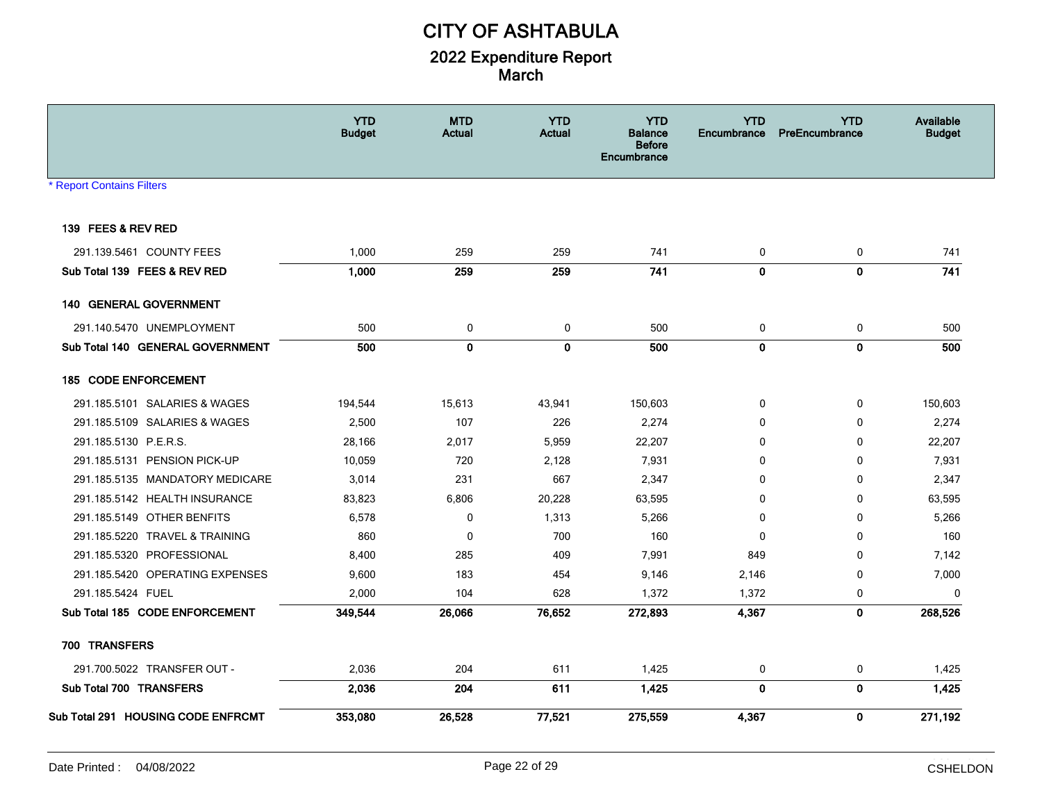|                                    | <b>YTD</b><br><b>Budget</b> | <b>MTD</b><br><b>Actual</b> | <b>YTD</b><br><b>Actual</b> | <b>YTD</b><br><b>Balance</b><br><b>Before</b><br>Encumbrance | <b>YTD</b><br>Encumbrance | <b>YTD</b><br>PreEncumbrance | Available<br><b>Budget</b> |
|------------------------------------|-----------------------------|-----------------------------|-----------------------------|--------------------------------------------------------------|---------------------------|------------------------------|----------------------------|
| * Report Contains Filters          |                             |                             |                             |                                                              |                           |                              |                            |
| 139 FEES & REV RED                 |                             |                             |                             |                                                              |                           |                              |                            |
| 291.139.5461 COUNTY FEES           | 1,000                       | 259                         | 259                         | 741                                                          | 0                         | 0                            | 741                        |
| Sub Total 139 FEES & REV RED       | 1,000                       | 259                         | 259                         | 741                                                          | $\mathbf{0}$              | $\pmb{0}$                    | 741                        |
| 140 GENERAL GOVERNMENT             |                             |                             |                             |                                                              |                           |                              |                            |
| 291.140.5470 UNEMPLOYMENT          | 500                         | 0                           | 0                           | 500                                                          | 0                         | $\mathbf 0$                  | 500                        |
| Sub Total 140 GENERAL GOVERNMENT   | 500                         | 0                           | $\mathbf 0$                 | 500                                                          | $\mathbf{0}$              | $\mathbf 0$                  | 500                        |
| 185 CODE ENFORCEMENT               |                             |                             |                             |                                                              |                           |                              |                            |
| 291.185.5101 SALARIES & WAGES      | 194,544                     | 15,613                      | 43,941                      | 150,603                                                      | 0                         | 0                            | 150,603                    |
| 291.185.5109 SALARIES & WAGES      | 2,500                       | 107                         | 226                         | 2,274                                                        | 0                         | 0                            | 2,274                      |
| 291.185.5130 P.E.R.S.              | 28,166                      | 2,017                       | 5,959                       | 22,207                                                       | 0                         | 0                            | 22,207                     |
| 291.185.5131 PENSION PICK-UP       | 10,059                      | 720                         | 2,128                       | 7,931                                                        | 0                         | 0                            | 7,931                      |
| 291.185.5135 MANDATORY MEDICARE    | 3,014                       | 231                         | 667                         | 2,347                                                        | $\mathbf{0}$              | 0                            | 2,347                      |
| 291.185.5142 HEALTH INSURANCE      | 83,823                      | 6,806                       | 20,228                      | 63,595                                                       | $\mathbf{0}$              | $\Omega$                     | 63,595                     |
| 291.185.5149 OTHER BENFITS         | 6,578                       | 0                           | 1,313                       | 5,266                                                        | 0                         | 0                            | 5,266                      |
| 291.185.5220 TRAVEL & TRAINING     | 860                         | 0                           | 700                         | 160                                                          | $\mathbf 0$               | 0                            | 160                        |
| 291.185.5320 PROFESSIONAL          | 8,400                       | 285                         | 409                         | 7,991                                                        | 849                       | 0                            | 7,142                      |
| 291.185.5420 OPERATING EXPENSES    | 9,600                       | 183                         | 454                         | 9,146                                                        | 2,146                     | 0                            | 7,000                      |
| 291.185.5424 FUEL                  | 2,000                       | 104                         | 628                         | 1,372                                                        | 1,372                     | 0                            | $\mathbf 0$                |
| Sub Total 185 CODE ENFORCEMENT     | 349,544                     | 26,066                      | 76,652                      | 272,893                                                      | 4,367                     | $\pmb{0}$                    | 268,526                    |
| 700 TRANSFERS                      |                             |                             |                             |                                                              |                           |                              |                            |
| 291.700.5022 TRANSFER OUT -        | 2,036                       | 204                         | 611                         | 1,425                                                        | 0                         | 0                            | 1,425                      |
| Sub Total 700 TRANSFERS            | 2,036                       | 204                         | 611                         | 1,425                                                        | 0                         | 0                            | 1,425                      |
| Sub Total 291 HOUSING CODE ENFRCMT | 353,080                     | 26,528                      | 77,521                      | 275,559                                                      | 4,367                     | $\mathbf 0$                  | 271,192                    |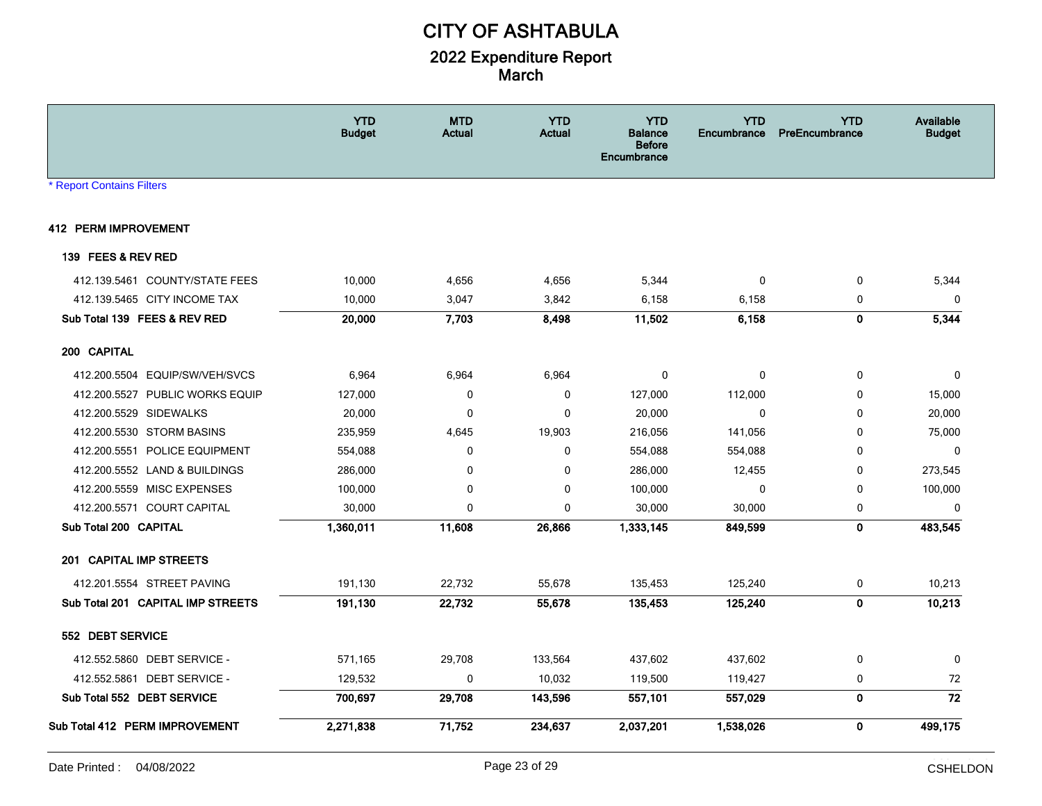|                                   | <b>YTD</b><br><b>Budget</b> | <b>MTD</b><br><b>Actual</b> | <b>YTD</b><br><b>Actual</b> | <b>YTD</b><br><b>Balance</b><br><b>Before</b><br><b>Encumbrance</b> | <b>YTD</b><br>Encumbrance | <b>YTD</b><br><b>PreEncumbrance</b> | Available<br><b>Budget</b> |
|-----------------------------------|-----------------------------|-----------------------------|-----------------------------|---------------------------------------------------------------------|---------------------------|-------------------------------------|----------------------------|
| <b>* Report Contains Filters</b>  |                             |                             |                             |                                                                     |                           |                                     |                            |
| <b>412 PERM IMPROVEMENT</b>       |                             |                             |                             |                                                                     |                           |                                     |                            |
| 139 FEES & REV RED                |                             |                             |                             |                                                                     |                           |                                     |                            |
| 412.139.5461 COUNTY/STATE FEES    | 10,000                      | 4,656                       | 4,656                       | 5,344                                                               | $\mathbf 0$               | 0                                   | 5,344                      |
| 412.139.5465 CITY INCOME TAX      | 10,000                      | 3,047                       | 3,842                       | 6,158                                                               | 6,158                     | $\pmb{0}$                           | 0                          |
| Sub Total 139 FEES & REV RED      | 20,000                      | 7,703                       | 8,498                       | 11,502                                                              | 6,158                     | $\mathbf 0$                         | 5,344                      |
| 200 CAPITAL                       |                             |                             |                             |                                                                     |                           |                                     |                            |
| 412.200.5504 EQUIP/SW/VEH/SVCS    | 6,964                       | 6,964                       | 6,964                       | 0                                                                   | 0                         | $\mathbf 0$                         | 0                          |
| 412.200.5527 PUBLIC WORKS EQUIP   | 127,000                     | 0                           | 0                           | 127,000                                                             | 112,000                   | 0                                   | 15,000                     |
| 412.200.5529 SIDEWALKS            | 20,000                      | $\mathbf 0$                 | 0                           | 20,000                                                              | 0                         | 0                                   | 20,000                     |
| 412.200.5530 STORM BASINS         | 235,959                     | 4,645                       | 19,903                      | 216,056                                                             | 141,056                   | $\mathbf{0}$                        | 75,000                     |
| 412.200.5551 POLICE EQUIPMENT     | 554,088                     | 0                           | 0                           | 554,088                                                             | 554,088                   | $\mathbf 0$                         | $\mathbf 0$                |
| 412.200.5552 LAND & BUILDINGS     | 286,000                     | 0                           | 0                           | 286,000                                                             | 12,455                    | 0                                   | 273,545                    |
| 412.200.5559 MISC EXPENSES        | 100,000                     | 0                           | 0                           | 100,000                                                             | $\Omega$                  | 0                                   | 100,000                    |
| 412.200.5571 COURT CAPITAL        | 30,000                      | $\Omega$                    | 0                           | 30,000                                                              | 30,000                    | 0                                   | $\mathbf 0$                |
| Sub Total 200 CAPITAL             | 1,360,011                   | 11,608                      | 26,866                      | 1,333,145                                                           | 849,599                   | $\mathbf 0$                         | 483,545                    |
| 201 CAPITAL IMP STREETS           |                             |                             |                             |                                                                     |                           |                                     |                            |
| 412.201.5554 STREET PAVING        | 191,130                     | 22,732                      | 55,678                      | 135,453                                                             | 125,240                   | 0                                   | 10,213                     |
| Sub Total 201 CAPITAL IMP STREETS | 191,130                     | 22,732                      | 55,678                      | 135,453                                                             | 125,240                   | $\pmb{0}$                           | 10,213                     |
| 552 DEBT SERVICE                  |                             |                             |                             |                                                                     |                           |                                     |                            |
| 412.552.5860 DEBT SERVICE -       | 571,165                     | 29,708                      | 133,564                     | 437,602                                                             | 437,602                   | 0                                   | 0                          |
| 412.552.5861 DEBT SERVICE -       | 129,532                     | $\mathbf 0$                 | 10,032                      | 119,500                                                             | 119,427                   | 0                                   | 72                         |
| Sub Total 552 DEBT SERVICE        | 700,697                     | 29,708                      | 143,596                     | 557,101                                                             | 557,029                   | $\mathbf 0$                         | 72                         |
| Sub Total 412 PERM IMPROVEMENT    | 2,271,838                   | 71,752                      | 234,637                     | 2,037,201                                                           | 1,538,026                 | $\mathbf 0$                         | 499,175                    |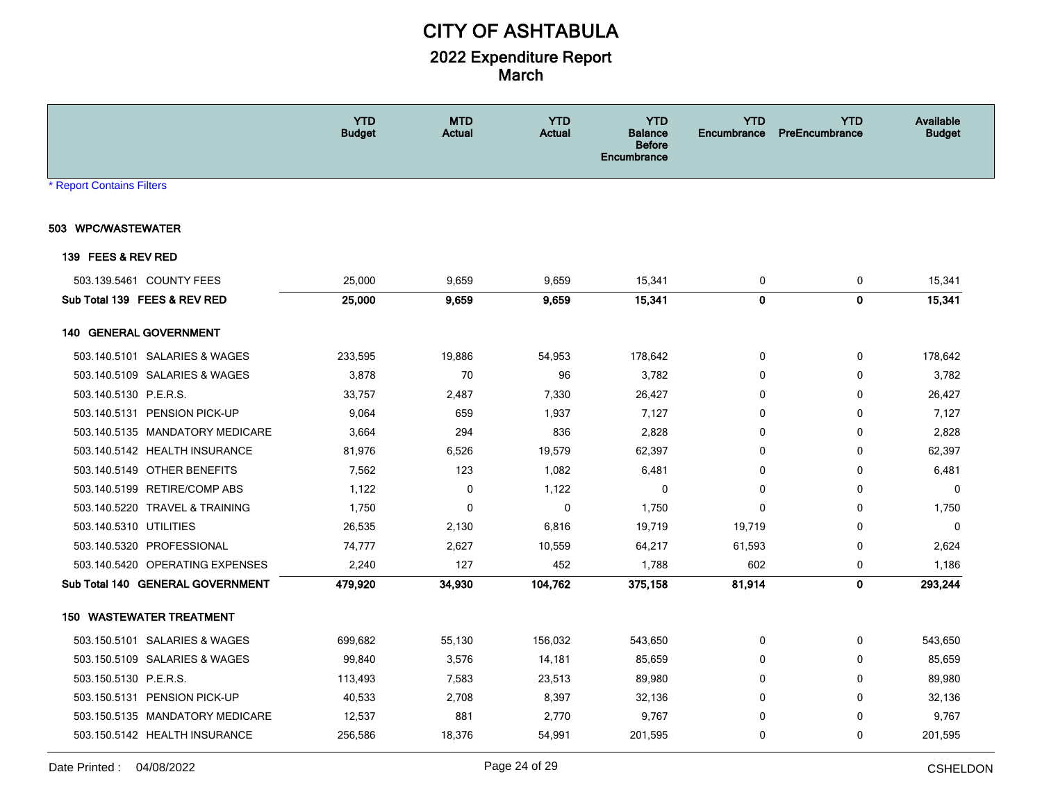|                                  | <b>YTD</b><br><b>Budget</b> | <b>MTD</b><br><b>Actual</b> | <b>YTD</b><br><b>Actual</b> | <b>YTD</b><br>Balance<br><b>Before</b><br><b>Encumbrance</b> | <b>YTD</b><br><b>Encumbrance</b> | <b>YTD</b><br>PreEncumbrance | <b>Available</b><br><b>Budget</b> |
|----------------------------------|-----------------------------|-----------------------------|-----------------------------|--------------------------------------------------------------|----------------------------------|------------------------------|-----------------------------------|
| * Report Contains Filters        |                             |                             |                             |                                                              |                                  |                              |                                   |
| 503 WPC/WASTEWATER               |                             |                             |                             |                                                              |                                  |                              |                                   |
| 139 FEES & REV RED               |                             |                             |                             |                                                              |                                  |                              |                                   |
| 503.139.5461 COUNTY FEES         | 25,000                      | 9,659                       | 9,659                       | 15,341                                                       | 0                                | 0                            | 15,341                            |
| Sub Total 139 FEES & REV RED     | 25,000                      | 9.659                       | 9,659                       | 15,341                                                       | $\mathbf 0$                      | $\pmb{0}$                    | 15,341                            |
| 140 GENERAL GOVERNMENT           |                             |                             |                             |                                                              |                                  |                              |                                   |
| 503.140.5101 SALARIES & WAGES    | 233,595                     | 19,886                      | 54,953                      | 178,642                                                      | 0                                | 0                            | 178,642                           |
| 503.140.5109 SALARIES & WAGES    | 3,878                       | 70                          | 96                          | 3,782                                                        | $\mathbf 0$                      | $\mathbf 0$                  | 3,782                             |
| 503.140.5130 P.E.R.S.            | 33,757                      | 2,487                       | 7,330                       | 26,427                                                       | 0                                | 0                            | 26,427                            |
| 503.140.5131 PENSION PICK-UP     | 9,064                       | 659                         | 1,937                       | 7,127                                                        | 0                                | 0                            | 7,127                             |
| 503.140.5135 MANDATORY MEDICARE  | 3,664                       | 294                         | 836                         | 2,828                                                        | 0                                | 0                            | 2,828                             |
| 503.140.5142 HEALTH INSURANCE    | 81,976                      | 6,526                       | 19,579                      | 62,397                                                       | 0                                | 0                            | 62,397                            |
| 503.140.5149 OTHER BENEFITS      | 7,562                       | 123                         | 1,082                       | 6,481                                                        | $\mathbf{0}$                     | $\mathbf 0$                  | 6,481                             |
| 503.140.5199 RETIRE/COMP ABS     | 1,122                       | 0                           | 1,122                       | $\mathbf 0$                                                  | $\mathbf 0$                      | $\mathbf 0$                  | $\mathbf 0$                       |
| 503.140.5220 TRAVEL & TRAINING   | 1,750                       | $\Omega$                    | 0                           | 1,750                                                        | $\mathbf{0}$                     | $\mathbf 0$                  | 1,750                             |
| 503.140.5310 UTILITIES           | 26,535                      | 2,130                       | 6,816                       | 19,719                                                       | 19,719                           | 0                            | $\mathbf 0$                       |
| 503.140.5320 PROFESSIONAL        | 74,777                      | 2,627                       | 10,559                      | 64,217                                                       | 61,593                           | 0                            | 2,624                             |
| 503.140.5420 OPERATING EXPENSES  | 2,240                       | 127                         | 452                         | 1,788                                                        | 602                              | 0                            | 1,186                             |
| Sub Total 140 GENERAL GOVERNMENT | 479,920                     | 34,930                      | 104,762                     | 375,158                                                      | 81,914                           | 0                            | 293,244                           |
| <b>150 WASTEWATER TREATMENT</b>  |                             |                             |                             |                                                              |                                  |                              |                                   |
| 503.150.5101 SALARIES & WAGES    | 699,682                     | 55,130                      | 156,032                     | 543,650                                                      | 0                                | 0                            | 543,650                           |
| 503.150.5109 SALARIES & WAGES    | 99,840                      | 3,576                       | 14,181                      | 85,659                                                       | 0                                | $\mathbf 0$                  | 85,659                            |
| 503.150.5130 P.E.R.S.            | 113,493                     | 7,583                       | 23,513                      | 89,980                                                       | 0                                | 0                            | 89,980                            |
| 503.150.5131 PENSION PICK-UP     | 40,533                      | 2,708                       | 8,397                       | 32,136                                                       | 0                                | 0                            | 32,136                            |
| 503.150.5135 MANDATORY MEDICARE  | 12,537                      | 881                         | 2,770                       | 9,767                                                        | 0                                | 0                            | 9,767                             |
| 503.150.5142 HEALTH INSURANCE    | 256,586                     | 18,376                      | 54,991                      | 201,595                                                      | 0                                | $\mathbf 0$                  | 201,595                           |
|                                  |                             |                             |                             |                                                              |                                  |                              |                                   |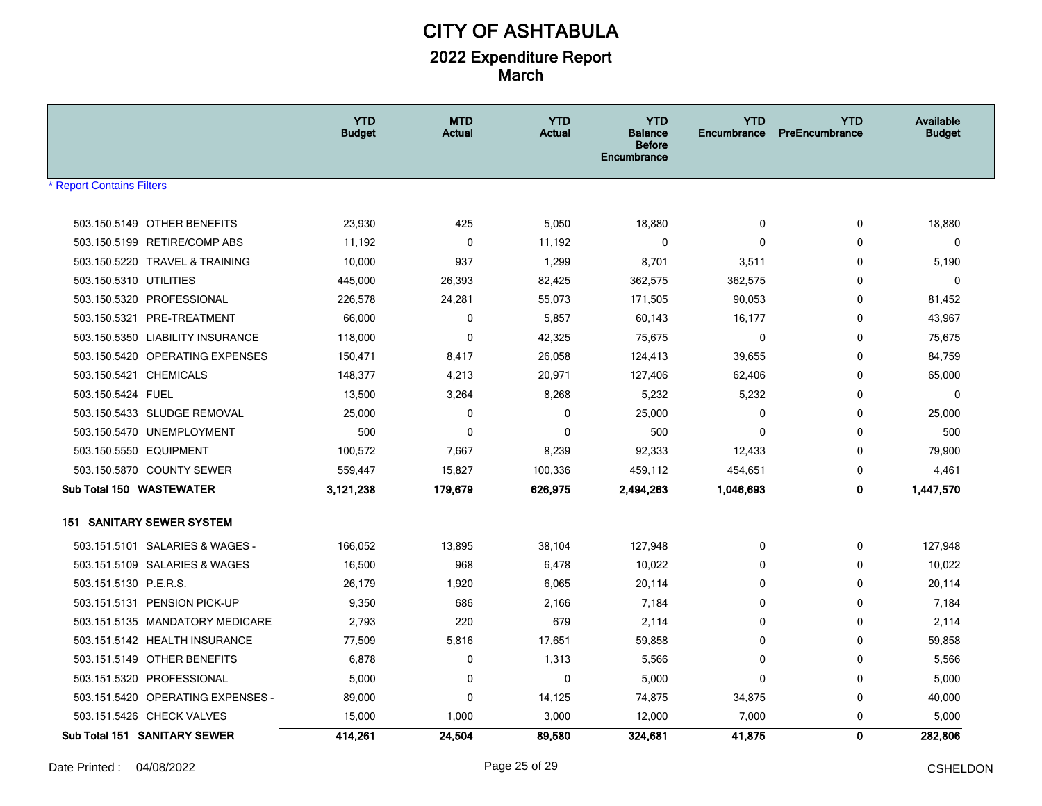|                                   | <b>YTD</b><br><b>Budget</b> | <b>MTD</b><br><b>Actual</b> | <b>YTD</b><br><b>Actual</b> | <b>YTD</b><br>Balance<br><b>Before</b><br><b>Encumbrance</b> | <b>YTD</b><br>Encumbrance | <b>YTD</b><br>PreEncumbrance | Available<br><b>Budget</b> |
|-----------------------------------|-----------------------------|-----------------------------|-----------------------------|--------------------------------------------------------------|---------------------------|------------------------------|----------------------------|
| <b>Report Contains Filters</b>    |                             |                             |                             |                                                              |                           |                              |                            |
|                                   |                             |                             |                             |                                                              |                           |                              |                            |
| 503.150.5149 OTHER BENEFITS       | 23,930                      | 425                         | 5,050                       | 18,880                                                       | $\mathbf 0$               | $\mathbf 0$                  | 18,880                     |
| 503.150.5199 RETIRE/COMP ABS      | 11,192                      | $\pmb{0}$                   | 11,192                      | $\mathbf{0}$                                                 | $\Omega$                  | 0                            | 0                          |
| 503.150.5220 TRAVEL & TRAINING    | 10,000                      | 937                         | 1,299                       | 8,701                                                        | 3,511                     | 0                            | 5,190                      |
| 503.150.5310 UTILITIES            | 445,000                     | 26,393                      | 82,425                      | 362,575                                                      | 362,575                   | $\Omega$                     | 0                          |
| 503.150.5320 PROFESSIONAL         | 226,578                     | 24,281                      | 55,073                      | 171,505                                                      | 90,053                    | 0                            | 81,452                     |
| 503.150.5321<br>PRE-TREATMENT     | 66,000                      | 0                           | 5,857                       | 60,143                                                       | 16,177                    | 0                            | 43,967                     |
| 503.150.5350 LIABILITY INSURANCE  | 118,000                     | $\mathbf 0$                 | 42,325                      | 75,675                                                       | $\mathbf 0$               | 0                            | 75,675                     |
| 503.150.5420 OPERATING EXPENSES   | 150,471                     | 8,417                       | 26,058                      | 124,413                                                      | 39,655                    | $\mathbf 0$                  | 84,759                     |
| 503.150.5421 CHEMICALS            | 148,377                     | 4,213                       | 20,971                      | 127,406                                                      | 62,406                    | $\mathbf 0$                  | 65,000                     |
| 503.150.5424 FUEL                 | 13,500                      | 3,264                       | 8,268                       | 5,232                                                        | 5,232                     | 0                            | $\mathbf 0$                |
| 503.150.5433 SLUDGE REMOVAL       | 25,000                      | 0                           | 0                           | 25,000                                                       | 0                         | 0                            | 25,000                     |
| 503.150.5470 UNEMPLOYMENT         | 500                         | 0                           | $\mathbf 0$                 | 500                                                          | 0                         | 0                            | 500                        |
| 503.150.5550 EQUIPMENT            | 100,572                     | 7,667                       | 8,239                       | 92,333                                                       | 12,433                    | 0                            | 79,900                     |
| 503.150.5870 COUNTY SEWER         | 559,447                     | 15,827                      | 100,336                     | 459,112                                                      | 454,651                   | 0                            | 4,461                      |
| Sub Total 150 WASTEWATER          | 3,121,238                   | 179,679                     | 626,975                     | 2.494.263                                                    | 1,046,693                 | 0                            | 1,447,570                  |
| <b>151 SANITARY SEWER SYSTEM</b>  |                             |                             |                             |                                                              |                           |                              |                            |
| 503.151.5101 SALARIES & WAGES -   | 166,052                     | 13,895                      | 38,104                      | 127,948                                                      | 0                         | 0                            | 127,948                    |
| 503.151.5109 SALARIES & WAGES     | 16,500                      | 968                         | 6,478                       | 10,022                                                       | $\Omega$                  | 0                            | 10,022                     |
| 503.151.5130 P.E.R.S.             | 26,179                      | 1,920                       | 6,065                       | 20,114                                                       | $\mathbf 0$               | $\mathbf 0$                  | 20,114                     |
| 503.151.5131 PENSION PICK-UP      | 9,350                       | 686                         | 2,166                       | 7,184                                                        | 0                         | 0                            | 7,184                      |
| 503.151.5135 MANDATORY MEDICARE   | 2,793                       | 220                         | 679                         | 2,114                                                        | $\Omega$                  | $\mathbf 0$                  | 2,114                      |
| 503.151.5142 HEALTH INSURANCE     | 77,509                      | 5,816                       | 17,651                      | 59,858                                                       | $\Omega$                  | 0                            | 59,858                     |
| 503.151.5149 OTHER BENEFITS       | 6,878                       | 0                           | 1,313                       | 5,566                                                        | $\mathbf 0$               | 0                            | 5,566                      |
| 503.151.5320 PROFESSIONAL         | 5,000                       | $\mathbf 0$                 | $\mathbf 0$                 | 5,000                                                        | $\mathbf 0$               | $\mathbf 0$                  | 5,000                      |
| 503.151.5420 OPERATING EXPENSES - | 89,000                      | 0                           | 14,125                      | 74,875                                                       | 34,875                    | 0                            | 40,000                     |
| 503.151.5426 CHECK VALVES         | 15,000                      | 1,000                       | 3,000                       | 12,000                                                       | 7,000                     | $\mathbf 0$                  | 5,000                      |
| Sub Total 151 SANITARY SEWER      | 414,261                     | 24,504                      | 89,580                      | 324,681                                                      | 41,875                    | $\mathbf 0$                  | 282,806                    |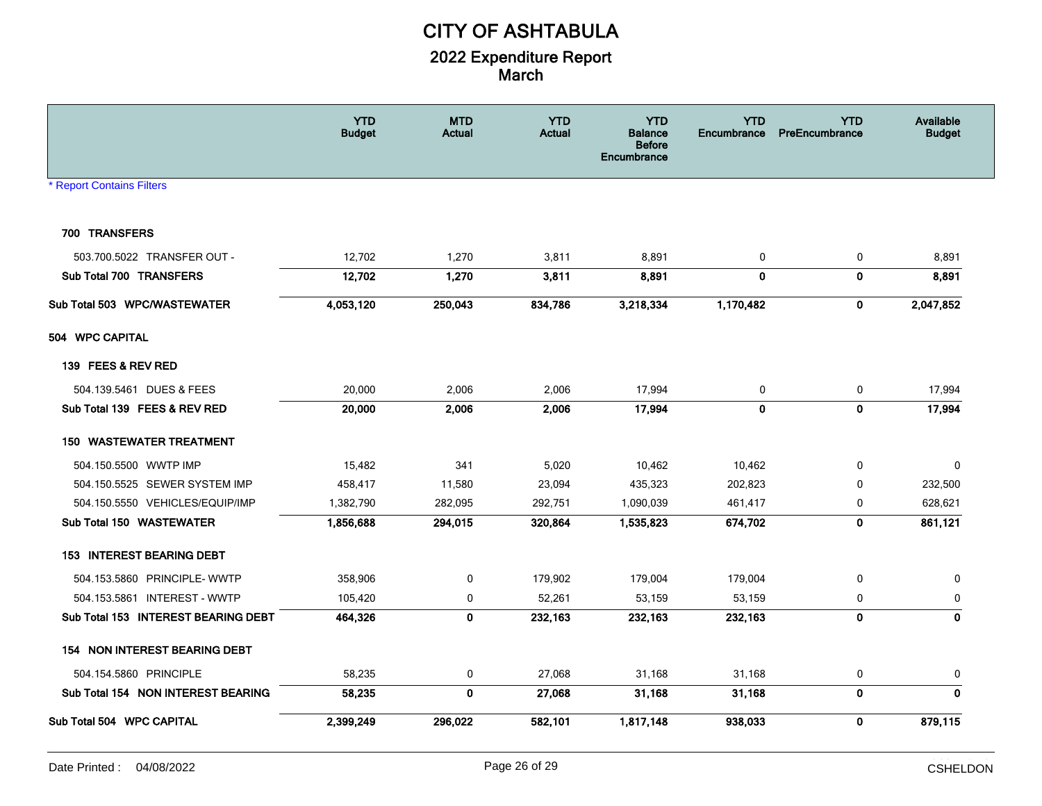|                                     | <b>YTD</b><br><b>Budget</b> | <b>MTD</b><br>Actual | <b>YTD</b><br><b>Actual</b> | <b>YTD</b><br><b>Balance</b><br><b>Before</b><br>Encumbrance | <b>YTD</b><br>Encumbrance | <b>YTD</b><br>PreEncumbrance | Available<br><b>Budget</b> |
|-------------------------------------|-----------------------------|----------------------|-----------------------------|--------------------------------------------------------------|---------------------------|------------------------------|----------------------------|
| <b>* Report Contains Filters</b>    |                             |                      |                             |                                                              |                           |                              |                            |
|                                     |                             |                      |                             |                                                              |                           |                              |                            |
| 700 TRANSFERS                       |                             |                      |                             |                                                              |                           |                              |                            |
| 503.700.5022 TRANSFER OUT -         | 12,702                      | 1,270                | 3,811                       | 8,891                                                        | 0                         | $\pmb{0}$                    | 8,891                      |
| Sub Total 700 TRANSFERS             | 12,702                      | 1,270                | 3,811                       | 8,891                                                        | $\mathbf 0$               | $\mathbf 0$                  | 8,891                      |
| Sub Total 503 WPC/WASTEWATER        | 4,053,120                   | 250,043              | 834,786                     | 3,218,334                                                    | 1,170,482                 | $\bf{0}$                     | 2,047,852                  |
| 504 WPC CAPITAL                     |                             |                      |                             |                                                              |                           |                              |                            |
| 139 FEES & REV RED                  |                             |                      |                             |                                                              |                           |                              |                            |
| 504.139.5461 DUES & FEES            | 20,000                      | 2,006                | 2,006                       | 17,994                                                       | $\mathbf 0$               | 0                            | 17,994                     |
| Sub Total 139 FEES & REV RED        | 20,000                      | 2,006                | 2,006                       | 17,994                                                       | $\mathbf{0}$              | $\pmb{0}$                    | 17,994                     |
| <b>150 WASTEWATER TREATMENT</b>     |                             |                      |                             |                                                              |                           |                              |                            |
| 504.150.5500 WWTP IMP               | 15,482                      | 341                  | 5,020                       | 10,462                                                       | 10,462                    | $\mathbf 0$                  | $\mathbf 0$                |
| 504.150.5525 SEWER SYSTEM IMP       | 458,417                     | 11,580               | 23,094                      | 435,323                                                      | 202,823                   | 0                            | 232,500                    |
| 504.150.5550 VEHICLES/EQUIP/IMP     | 1,382,790                   | 282,095              | 292,751                     | 1,090,039                                                    | 461,417                   | 0                            | 628,621                    |
| Sub Total 150 WASTEWATER            | 1,856,688                   | 294,015              | 320,864                     | 1,535,823                                                    | 674,702                   | $\mathbf 0$                  | 861,121                    |
| <b>153 INTEREST BEARING DEBT</b>    |                             |                      |                             |                                                              |                           |                              |                            |
| 504.153.5860 PRINCIPLE- WWTP        | 358,906                     | $\pmb{0}$            | 179,902                     | 179,004                                                      | 179,004                   | 0                            | 0                          |
| 504.153.5861 INTEREST - WWTP        | 105,420                     | 0                    | 52,261                      | 53,159                                                       | 53,159                    | 0                            | 0                          |
| Sub Total 153 INTEREST BEARING DEBT | 464,326                     | 0                    | 232,163                     | 232,163                                                      | 232,163                   | $\pmb{0}$                    | 0                          |
| 154 NON INTEREST BEARING DEBT       |                             |                      |                             |                                                              |                           |                              |                            |
| 504.154.5860 PRINCIPLE              | 58,235                      | 0                    | 27,068                      | 31,168                                                       | 31,168                    | 0                            | 0                          |
| Sub Total 154 NON INTEREST BEARING  | 58,235                      | $\mathbf 0$          | 27,068                      | 31,168                                                       | 31,168                    | $\pmb{0}$                    | $\mathbf 0$                |
| Sub Total 504 WPC CAPITAL           | 2,399,249                   | 296,022              | 582,101                     | 1,817,148                                                    | 938,033                   | $\mathbf 0$                  | 879,115                    |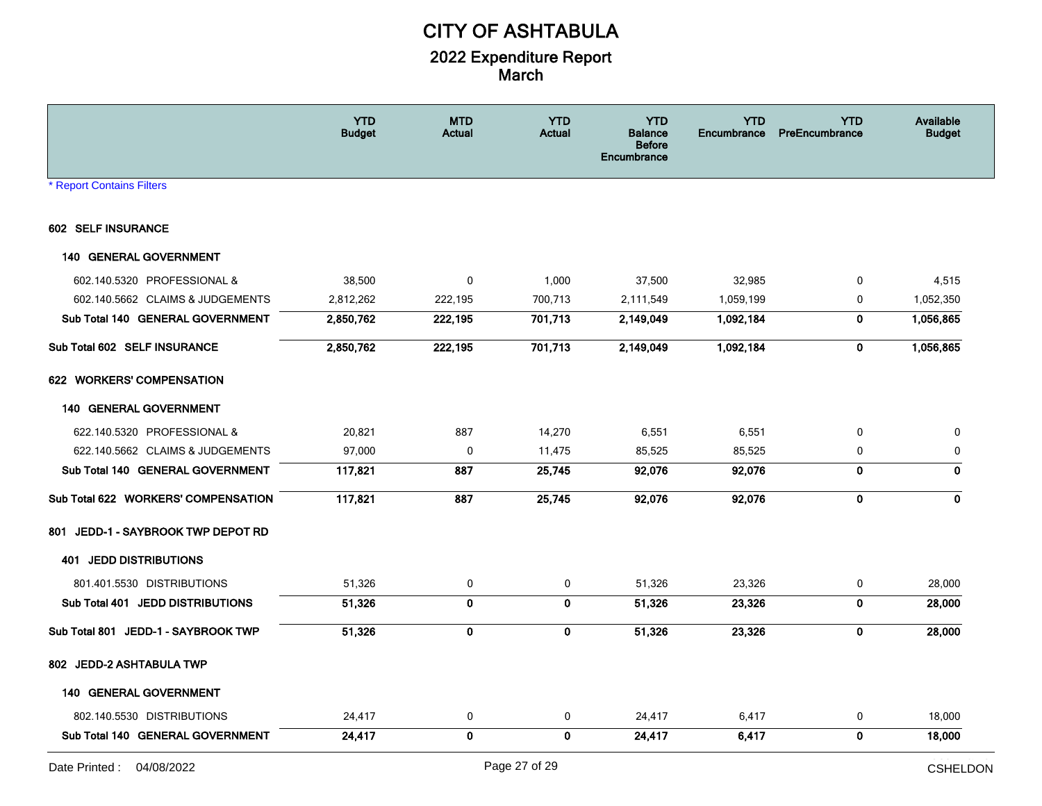|                                     | <b>YTD</b><br><b>Budget</b> | <b>MTD</b><br><b>Actual</b> | <b>YTD</b><br><b>Actual</b> | <b>YTD</b><br><b>Balance</b><br><b>Before</b><br>Encumbrance | <b>YTD</b><br><b>Encumbrance</b> | <b>YTD</b><br>PreEncumbrance | Available<br><b>Budget</b> |
|-------------------------------------|-----------------------------|-----------------------------|-----------------------------|--------------------------------------------------------------|----------------------------------|------------------------------|----------------------------|
| <b>* Report Contains Filters</b>    |                             |                             |                             |                                                              |                                  |                              |                            |
| 602 SELF INSURANCE                  |                             |                             |                             |                                                              |                                  |                              |                            |
| <b>140 GENERAL GOVERNMENT</b>       |                             |                             |                             |                                                              |                                  |                              |                            |
| 602.140.5320 PROFESSIONAL &         | 38,500                      | $\mathbf 0$                 | 1,000                       | 37,500                                                       | 32,985                           | 0                            | 4,515                      |
| 602.140.5662 CLAIMS & JUDGEMENTS    | 2,812,262                   | 222,195                     | 700,713                     | 2,111,549                                                    | 1,059,199                        | 0                            | 1,052,350                  |
| Sub Total 140 GENERAL GOVERNMENT    | 2,850,762                   | 222,195                     | 701,713                     | 2,149,049                                                    | 1,092,184                        | 0                            | 1,056,865                  |
| Sub Total 602 SELF INSURANCE        | 2,850,762                   | 222,195                     | 701,713                     | 2,149,049                                                    | 1,092,184                        | $\bf{0}$                     | 1,056,865                  |
| 622 WORKERS' COMPENSATION           |                             |                             |                             |                                                              |                                  |                              |                            |
| <b>140 GENERAL GOVERNMENT</b>       |                             |                             |                             |                                                              |                                  |                              |                            |
| 622.140.5320 PROFESSIONAL &         | 20,821                      | 887                         | 14,270                      | 6,551                                                        | 6,551                            | 0                            | 0                          |
| 622.140.5662 CLAIMS & JUDGEMENTS    | 97,000                      | 0                           | 11,475                      | 85,525                                                       | 85,525                           | 0                            | 0                          |
| Sub Total 140 GENERAL GOVERNMENT    | 117,821                     | 887                         | 25,745                      | 92,076                                                       | 92,076                           | $\mathbf 0$                  | $\mathbf 0$                |
| Sub Total 622 WORKERS' COMPENSATION | 117,821                     | 887                         | 25,745                      | 92,076                                                       | 92,076                           | 0                            | $\mathbf{0}$               |
| 801 JEDD-1 - SAYBROOK TWP DEPOT RD  |                             |                             |                             |                                                              |                                  |                              |                            |
| <b>401 JEDD DISTRIBUTIONS</b>       |                             |                             |                             |                                                              |                                  |                              |                            |
| 801.401.5530 DISTRIBUTIONS          | 51,326                      | $\pmb{0}$                   | 0                           | 51,326                                                       | 23,326                           | 0                            | 28,000                     |
| Sub Total 401 JEDD DISTRIBUTIONS    | 51,326                      | $\mathbf 0$                 | $\mathbf 0$                 | 51,326                                                       | 23,326                           | $\bf{0}$                     | 28,000                     |
| Sub Total 801 JEDD-1 - SAYBROOK TWP | 51,326                      | $\mathbf 0$                 | $\bf{0}$                    | 51,326                                                       | 23,326                           | $\bf{0}$                     | 28,000                     |
| 802 JEDD-2 ASHTABULA TWP            |                             |                             |                             |                                                              |                                  |                              |                            |
| <b>140 GENERAL GOVERNMENT</b>       |                             |                             |                             |                                                              |                                  |                              |                            |
| 802.140.5530 DISTRIBUTIONS          | 24,417                      | 0                           | 0                           | 24,417                                                       | 6,417                            | 0                            | 18,000                     |
| Sub Total 140 GENERAL GOVERNMENT    | 24,417                      | $\mathbf 0$                 | $\mathbf{0}$                | 24,417                                                       | 6,417                            | $\mathbf 0$                  | 18,000                     |
|                                     |                             |                             |                             |                                                              |                                  |                              |                            |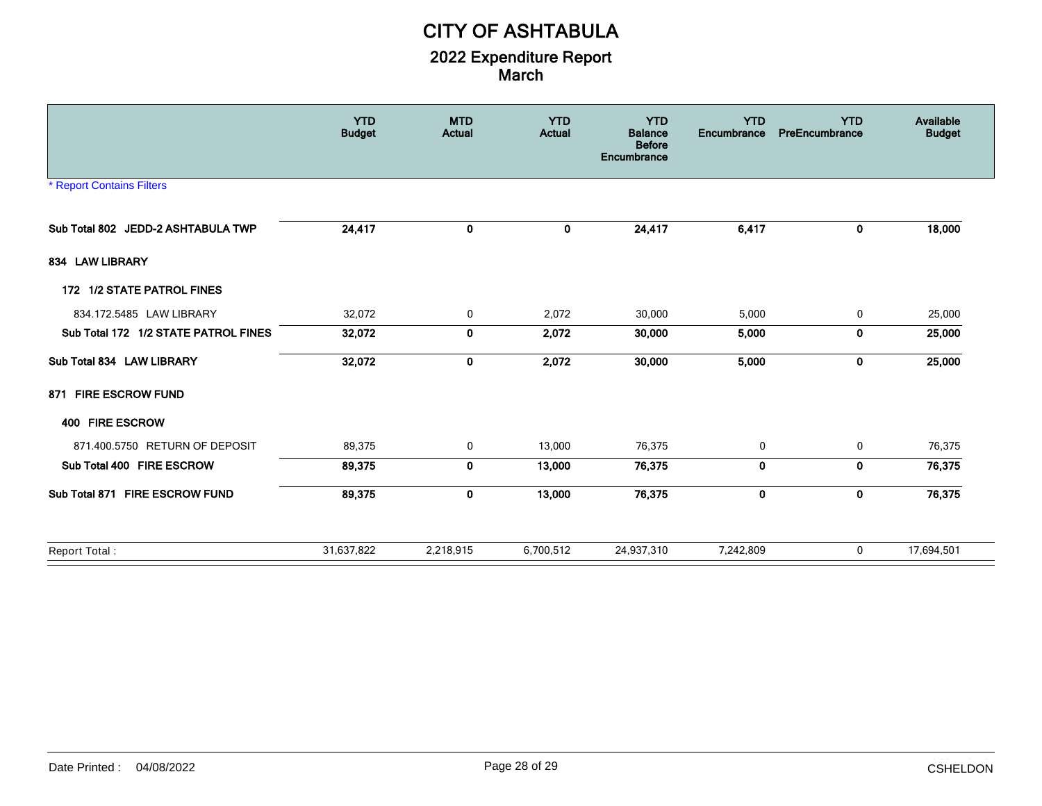|                                      | <b>YTD</b><br><b>Budget</b> | <b>MTD</b><br><b>Actual</b> | <b>YTD</b><br><b>Actual</b> | <b>YTD</b><br><b>Balance</b><br><b>Before</b><br>Encumbrance | <b>YTD</b><br>Encumbrance | <b>YTD</b><br>PreEncumbrance | Available<br><b>Budget</b> |
|--------------------------------------|-----------------------------|-----------------------------|-----------------------------|--------------------------------------------------------------|---------------------------|------------------------------|----------------------------|
| <b>* Report Contains Filters</b>     |                             |                             |                             |                                                              |                           |                              |                            |
| Sub Total 802 JEDD-2 ASHTABULA TWP   | 24,417                      | 0                           | $\mathbf 0$                 | 24,417                                                       | 6,417                     | 0                            | 18,000                     |
| 834 LAW LIBRARY                      |                             |                             |                             |                                                              |                           |                              |                            |
| 172 1/2 STATE PATROL FINES           |                             |                             |                             |                                                              |                           |                              |                            |
| 834.172.5485 LAW LIBRARY             | 32,072                      | $\mathbf 0$                 | 2,072                       | 30,000                                                       | 5,000                     | 0                            | 25,000                     |
| Sub Total 172 1/2 STATE PATROL FINES | 32,072                      | 0                           | 2,072                       | 30,000                                                       | 5,000                     | 0                            | 25,000                     |
| Sub Total 834 LAW LIBRARY            | 32,072                      | 0                           | 2,072                       | 30,000                                                       | 5,000                     | 0                            | 25,000                     |
| 871 FIRE ESCROW FUND                 |                             |                             |                             |                                                              |                           |                              |                            |
| 400 FIRE ESCROW                      |                             |                             |                             |                                                              |                           |                              |                            |
| 871.400.5750 RETURN OF DEPOSIT       | 89,375                      | 0                           | 13,000                      | 76,375                                                       | 0                         | 0                            | 76,375                     |
| Sub Total 400 FIRE ESCROW            | 89,375                      | 0                           | 13,000                      | 76,375                                                       | $\mathbf 0$               | $\mathbf 0$                  | 76,375                     |
| Sub Total 871 FIRE ESCROW FUND       | 89,375                      | 0                           | 13,000                      | 76,375                                                       | $\mathbf 0$               | 0                            | 76,375                     |
| Report Total:                        | 31,637,822                  | 2,218,915                   | 6,700,512                   | 24,937,310                                                   | 7,242,809                 | 0                            | 17,694,501                 |